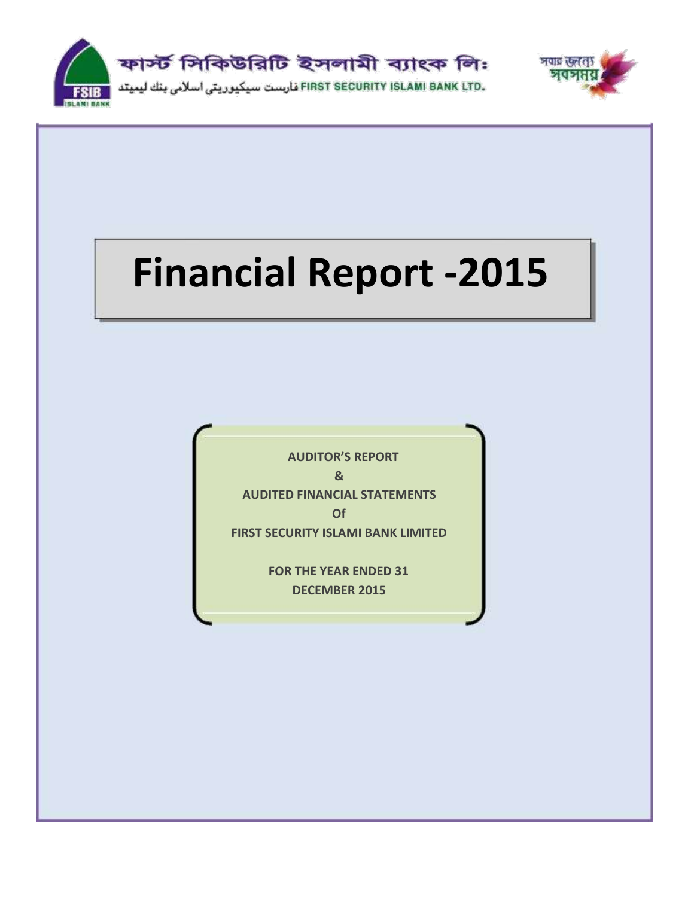



# **Financial Report -2015**

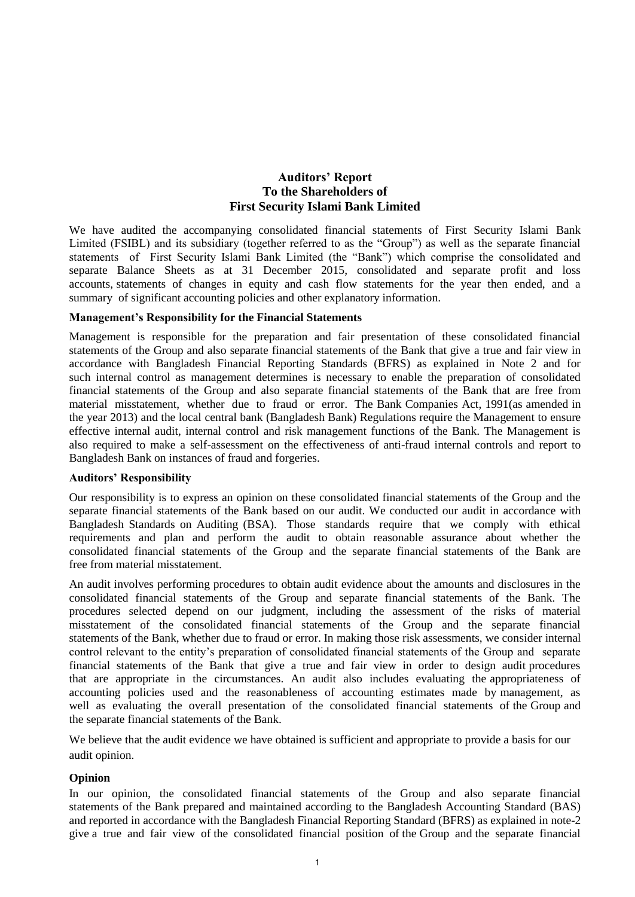# **Auditors' Report To the Shareholders of First Security Islami Bank Limited**

We have audited the accompanying consolidated financial statements of First Security Islami Bank Limited (FSIBL) and its subsidiary (together referred to as the "Group") as well as the separate financial statements of First Security Islami Bank Limited (the "Bank") which comprise the consolidated and separate Balance Sheets as at 31 December 2015, consolidated and separate profit and loss accounts, statements of changes in equity and cash flow statements for the year then ended, and a summary of significant accounting policies and other explanatory information.

# **Management's Responsibility for the Financial Statements**

Management is responsible for the preparation and fair presentation of these consolidated financial statements of the Group and also separate financial statements of the Bank that give a true and fair view in accordance with Bangladesh Financial Reporting Standards (BFRS) as explained in Note 2 and for such internal control as management determines is necessary to enable the preparation of consolidated financial statements of the Group and also separate financial statements of the Bank that are free from material misstatement, whether due to fraud or error. The Bank Companies Act, 1991(as amended in the year 2013) and the local central bank (Bangladesh Bank) Regulations require the Management to ensure effective internal audit, internal control and risk management functions of the Bank. The Management is also required to make a self-assessment on the effectiveness of anti-fraud internal controls and report to Bangladesh Bank on instances of fraud and forgeries.

# **Auditors' Responsibility**

Our responsibility is to express an opinion on these consolidated financial statements of the Group and the separate financial statements of the Bank based on our audit. We conducted our audit in accordance with Bangladesh Standards on Auditing (BSA). Those standards require that we comply with ethical requirements and plan and perform the audit to obtain reasonable assurance about whether the consolidated financial statements of the Group and the separate financial statements of the Bank are free from material misstatement.

An audit involves performing procedures to obtain audit evidence about the amounts and disclosures in the consolidated financial statements of the Group and separate financial statements of the Bank. The procedures selected depend on our judgment, including the assessment of the risks of material misstatement of the consolidated financial statements of the Group and the separate financial statements of the Bank, whether due to fraud or error. In making those risk assessments, we consider internal control relevant to the entity's preparation of consolidated financial statements of the Group and separate financial statements of the Bank that give a true and fair view in order to design audit procedures that are appropriate in the circumstances. An audit also includes evaluating the appropriateness of accounting policies used and the reasonableness of accounting estimates made by management, as well as evaluating the overall presentation of the consolidated financial statements of the Group and the separate financial statements of the Bank.

We believe that the audit evidence we have obtained is sufficient and appropriate to provide a basis for our audit opinion.

# **Opinion**

In our opinion, the consolidated financial statements of the Group and also separate financial statements of the Bank prepared and maintained according to the Bangladesh Accounting Standard (BAS) and reported in accordance with the Bangladesh Financial Reporting Standard (BFRS) as explained in note-2 give a true and fair view of the consolidated financial position of the Group and the separate financial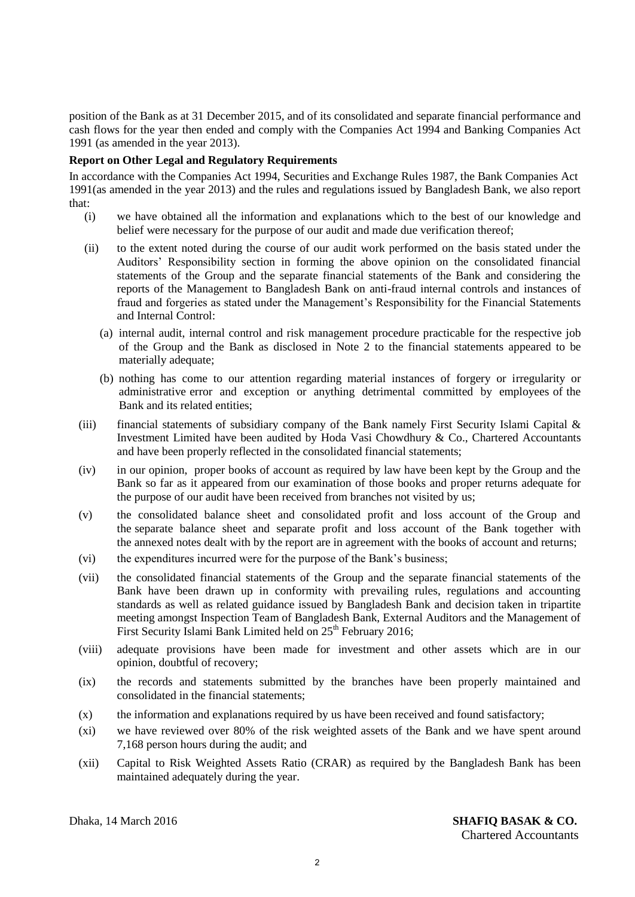position of the Bank as at 31 December 2015, and of its consolidated and separate financial performance and cash flows for the year then ended and comply with the Companies Act 1994 and Banking Companies Act 1991 (as amended in the year 2013).

# **Report on Other Legal and Regulatory Requirements**

In accordance with the Companies Act 1994, Securities and Exchange Rules 1987, the Bank Companies Act 1991(as amended in the year 2013) and the rules and regulations issued by Bangladesh Bank, we also report that:

- (i) we have obtained all the information and explanations which to the best of our knowledge and belief were necessary for the purpose of our audit and made due verification thereof;
- (ii) to the extent noted during the course of our audit work performed on the basis stated under the Auditors' Responsibility section in forming the above opinion on the consolidated financial statements of the Group and the separate financial statements of the Bank and considering the reports of the Management to Bangladesh Bank on anti-fraud internal controls and instances of fraud and forgeries as stated under the Management's Responsibility for the Financial Statements and Internal Control:
	- (a) internal audit, internal control and risk management procedure practicable for the respective job of the Group and the Bank as disclosed in Note 2 to the financial statements appeared to be materially adequate;
	- (b) nothing has come to our attention regarding material instances of forgery or irregularity or administrative error and exception or anything detrimental committed by employees of the Bank and its related entities;
- (iii) financial statements of subsidiary company of the Bank namely First Security Islami Capital  $\&$ Investment Limited have been audited by Hoda Vasi Chowdhury & Co., Chartered Accountants and have been properly reflected in the consolidated financial statements;
- (iv) in our opinion, proper books of account as required by law have been kept by the Group and the Bank so far as it appeared from our examination of those books and proper returns adequate for the purpose of our audit have been received from branches not visited by us;
- (v) the consolidated balance sheet and consolidated profit and loss account of the Group and the separate balance sheet and separate profit and loss account of the Bank together with the annexed notes dealt with by the report are in agreement with the books of account and returns;
- (vi) the expenditures incurred were for the purpose of the Bank's business;
- (vii) the consolidated financial statements of the Group and the separate financial statements of the Bank have been drawn up in conformity with prevailing rules, regulations and accounting standards as well as related guidance issued by Bangladesh Bank and decision taken in tripartite meeting amongst Inspection Team of Bangladesh Bank, External Auditors and the Management of First Security Islami Bank Limited held on  $25<sup>th</sup>$  February 2016;
- (viii) adequate provisions have been made for investment and other assets which are in our opinion, doubtful of recovery;
- (ix) the records and statements submitted by the branches have been properly maintained and consolidated in the financial statements;
- (x) the information and explanations required by us have been received and found satisfactory;
- (xi) we have reviewed over 80% of the risk weighted assets of the Bank and we have spent around 7,168 person hours during the audit; and
- (xii) Capital to Risk Weighted Assets Ratio (CRAR) as required by the Bangladesh Bank has been maintained adequately during the year.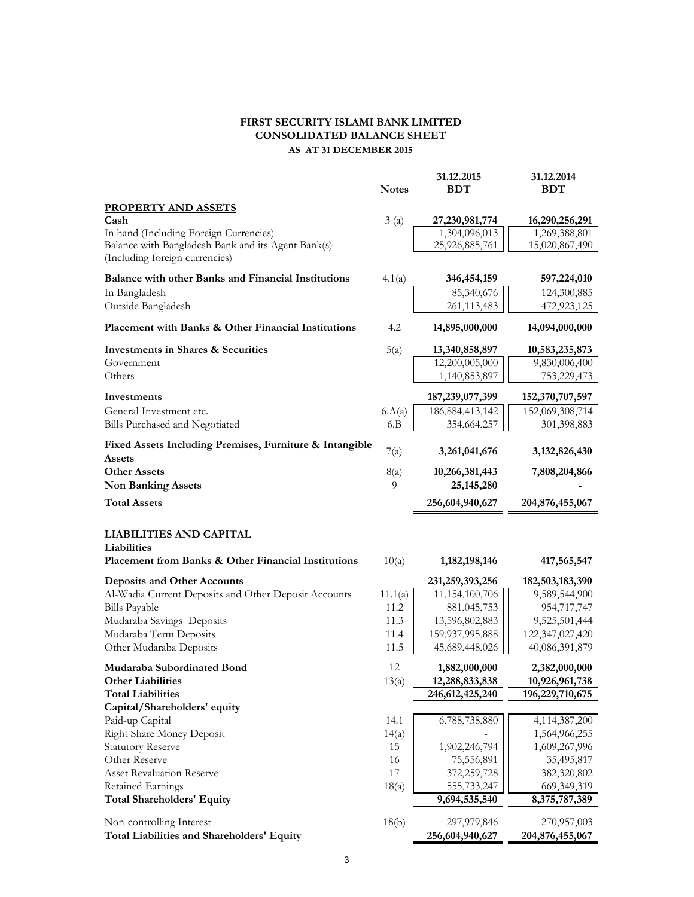# **FIRST SECURITY ISLAMI BANK LIMITED CONSOLIDATED BALANCE SHEET AS AT 31 DECEMBER 2015**

|                                                                                                      | <b>Notes</b> | 31.12.2015<br><b>BDT</b>        | 31.12.2014<br><b>BDT</b>        |
|------------------------------------------------------------------------------------------------------|--------------|---------------------------------|---------------------------------|
| <b>PROPERTY AND ASSETS</b>                                                                           |              |                                 |                                 |
| Cash                                                                                                 | 3(a)         | 27,230,981,774                  | 16,290,256,291                  |
| In hand (Including Foreign Currencies)<br>Balance with Bangladesh Bank and its Agent Bank(s)         |              | 1,304,096,013<br>25,926,885,761 | 1,269,388,801<br>15,020,867,490 |
| (Including foreign currencies)                                                                       |              |                                 |                                 |
| Balance with other Banks and Financial Institutions                                                  | 4.1(a)       | 346, 454, 159                   | 597,224,010                     |
| In Bangladesh                                                                                        |              | 85,340,676                      | 124,300,885                     |
| Outside Bangladesh                                                                                   |              | 261,113,483                     | 472,923,125                     |
| Placement with Banks & Other Financial Institutions                                                  | 4.2          | 14,895,000,000                  | 14,094,000,000                  |
| <b>Investments in Shares &amp; Securities</b>                                                        | 5(a)         | 13,340,858,897                  | 10,583,235,873                  |
| Government                                                                                           |              | 12,200,005,000                  | 9,830,006,400                   |
| Others                                                                                               |              | 1,140,853,897                   | 753,229,473                     |
| Investments                                                                                          |              | 187,239,077,399                 | 152,370,707,597                 |
| General Investment etc.                                                                              | 6.A(a)       | 186, 884, 413, 142              | 152,069,308,714                 |
| Bills Purchased and Negotiated                                                                       | 6.B          | 354,664,257                     | 301,398,883                     |
| Fixed Assets Including Premises, Furniture & Intangible<br>Assets                                    | 7(a)         | 3,261,041,676                   | 3, 132, 826, 430                |
| <b>Other Assets</b>                                                                                  | 8(a)         | 10,266,381,443                  | 7,808,204,866                   |
| <b>Non Banking Assets</b>                                                                            | 9            | 25, 145, 280                    |                                 |
| <b>Total Assets</b>                                                                                  |              | 256,604,940,627                 | 204,876,455,067                 |
| <b>LIABILITIES AND CAPITAL</b><br>Liabilities<br>Placement from Banks & Other Financial Institutions | 10(a)        | 1, 182, 198, 146                | 417,565,547                     |
| <b>Deposits and Other Accounts</b>                                                                   |              | 231,259,393,256                 | 182,503,183,390                 |
| Al-Wadia Current Deposits and Other Deposit Accounts                                                 | 11.1(a)      | 11,154,100,706                  | 9,589,544,900                   |
| <b>Bills Payable</b>                                                                                 | 11.2         | 881,045,753                     | 954,717,747                     |
| Mudaraba Savings Deposits                                                                            | 11.3         | 13,596,802,883                  | 9,525,501,444                   |
| Mudaraba Term Deposits                                                                               | 11.4         | 159,937,995,888                 | 122,347,027,420                 |
| Other Mudaraba Deposits                                                                              | 11.5         | 45,689,448,026                  | 40,086,391,879                  |
| Mudaraba Subordinated Bond                                                                           | 12           | 1,882,000,000                   | 2,382,000,000                   |
| <b>Other Liabilities</b>                                                                             | 13(a)        | 12,288,833,838                  | 10,926,961,738                  |
| <b>Total Liabilities</b>                                                                             |              | 246, 612, 425, 240              | 196,229,710,675                 |
| Capital/Shareholders' equity                                                                         |              |                                 |                                 |
| Paid-up Capital                                                                                      | 14.1         | 6,788,738,880                   | 4,114,387,200                   |
| Right Share Money Deposit<br><b>Statutory Reserve</b>                                                | 14(a)<br>15  |                                 | 1,564,966,255                   |
| Other Reserve                                                                                        | 16           | 1,902,246,794<br>75,556,891     | 1,609,267,996<br>35,495,817     |
| <b>Asset Revaluation Reserve</b>                                                                     | 17           | 372,259,728                     | 382,320,802                     |
| Retained Earnings                                                                                    | 18(a)        | 555,733,247                     | 669,349,319                     |
| <b>Total Shareholders' Equity</b>                                                                    |              | 9,694,535,540                   | 8,375,787,389                   |
|                                                                                                      |              |                                 |                                 |
| Non-controlling Interest<br>Total Liabilities and Shareholders' Equity                               | 18(b)        | 297,979,846<br>256,604,940,627  | 270,957,003<br>204,876,455,067  |
|                                                                                                      |              |                                 |                                 |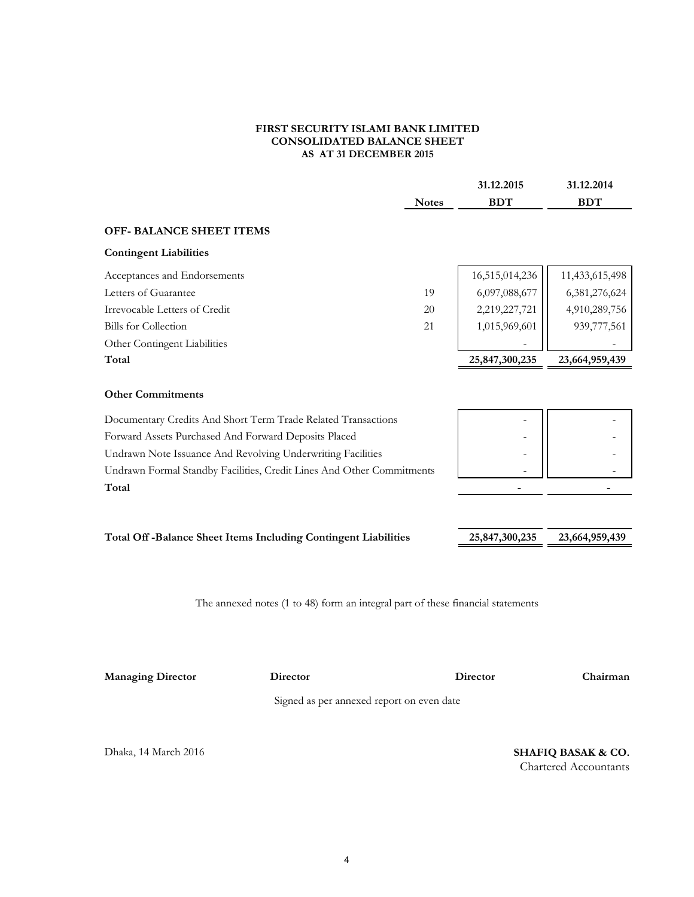#### **FIRST SECURITY ISLAMI BANK LIMITED CONSOLIDATED BALANCE SHEET AS AT 31 DECEMBER 2015**

| <b>BDT</b><br>16,515,014,236<br>6,097,088,677<br>2,219,227,721<br>1,015,969,601 | <b>BDT</b><br>11,433,615,498<br>6,381,276,624<br>4,910,289,756 |
|---------------------------------------------------------------------------------|----------------------------------------------------------------|
|                                                                                 |                                                                |
|                                                                                 |                                                                |
|                                                                                 |                                                                |
|                                                                                 |                                                                |
|                                                                                 |                                                                |
|                                                                                 |                                                                |
|                                                                                 | 939,777,561                                                    |
|                                                                                 |                                                                |
| 25,847,300,235                                                                  | 23,664,959,439                                                 |
|                                                                                 |                                                                |
|                                                                                 |                                                                |
|                                                                                 |                                                                |
|                                                                                 |                                                                |
|                                                                                 |                                                                |
|                                                                                 |                                                                |
|                                                                                 |                                                                |
| 25,847,300,235                                                                  | 23,664,959,439                                                 |
|                                                                                 |                                                                |
|                                                                                 |                                                                |

The annexed notes (1 to 48) form an integral part of these financial statements

**Managing Director Director**

**Director Chairman**

Signed as per annexed report on even date

Dhaka, 14 March 2016 **SHAFIQ BASAK & CO.** Chartered Accountants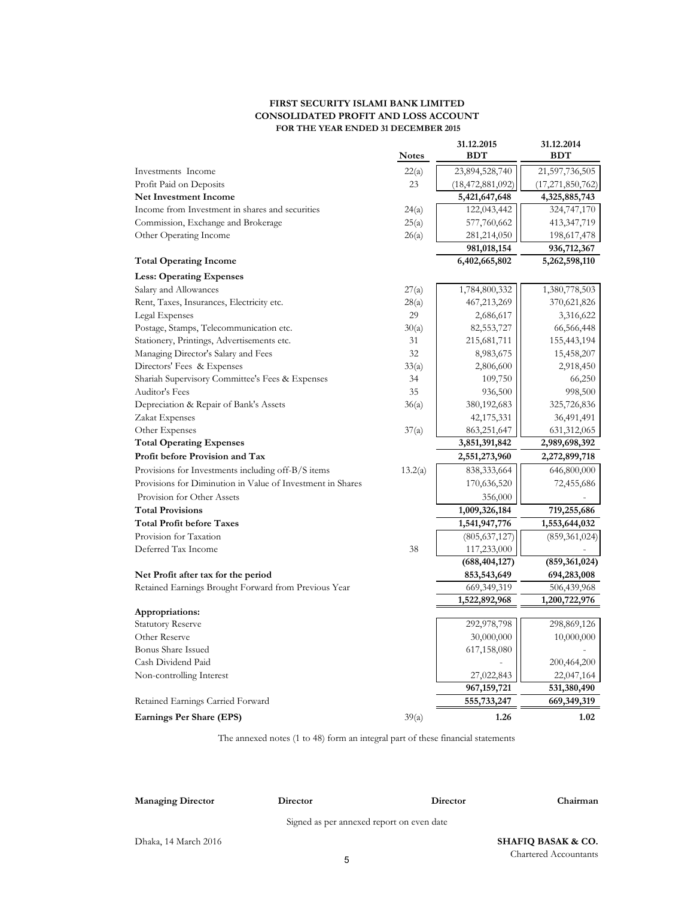#### **FIRST SECURITY ISLAMI BANK LIMITED CONSOLIDATED PROFIT AND LOSS ACCOUNT FOR THE YEAR ENDED 31 DECEMBER 2015**

|                                                            | <b>Notes</b> | 31.12.2015<br><b>BDT</b>     | 31.12.2014<br><b>BDT</b>     |
|------------------------------------------------------------|--------------|------------------------------|------------------------------|
|                                                            |              | 23,894,528,740               |                              |
| Investments Income                                         | 22(a)<br>23  |                              | 21,597,736,505               |
| Profit Paid on Deposits<br><b>Net Investment Income</b>    |              | (18, 472, 881, 092)          | (17, 271, 850, 762)          |
| Income from Investment in shares and securities            |              | 5,421,647,648                | 4,325,885,743                |
|                                                            | 24(a)        | 122,043,442                  | 324,747,170                  |
| Commission, Exchange and Brokerage                         | 25(a)        | 577,760,662                  | 413, 347, 719                |
| Other Operating Income                                     | 26(a)        | 281,214,050                  | 198,617,478                  |
| <b>Total Operating Income</b>                              |              | 981,018,154<br>6,402,665,802 | 936,712,367<br>5,262,598,110 |
| <b>Less: Operating Expenses</b>                            |              |                              |                              |
| Salary and Allowances                                      | 27(a)        | 1,784,800,332                | 1,380,778,503                |
| Rent, Taxes, Insurances, Electricity etc.                  | 28(a)        | 467,213,269                  | 370,621,826                  |
| Legal Expenses                                             | 29           | 2,686,617                    | 3,316,622                    |
| Postage, Stamps, Telecommunication etc.                    | 30(a)        | 82,553,727                   | 66,566,448                   |
| Stationery, Printings, Advertisements etc.                 | 31           | 215,681,711                  | 155,443,194                  |
| Managing Director's Salary and Fees                        | 32           | 8,983,675                    | 15,458,207                   |
| Directors' Fees & Expenses                                 | 33(a)        | 2,806,600                    | 2,918,450                    |
| Shariah Supervisory Committee's Fees & Expenses            | 34           | 109,750                      | 66,250                       |
| Auditor's Fees                                             | 35           | 936,500                      | 998,500                      |
| Depreciation & Repair of Bank's Assets                     | 36(a)        | 380, 192, 683                | 325,726,836                  |
| Zakat Expenses                                             |              | 42,175,331                   | 36,491,491                   |
| Other Expenses                                             | 37(a)        | 863,251,647                  | 631,312,065                  |
| <b>Total Operating Expenses</b>                            |              | 3,851,391,842                | 2,989,698,392                |
| Profit before Provision and Tax                            |              | 2,551,273,960                | 2,272,899,718                |
| Provisions for Investments including off-B/S items         | 13.2(a)      | 838, 333, 664                | 646,800,000                  |
| Provisions for Diminution in Value of Investment in Shares |              | 170,636,520                  | 72,455,686                   |
| Provision for Other Assets                                 |              | 356,000                      |                              |
| <b>Total Provisions</b>                                    |              | 1,009,326,184                | 719,255,686                  |
| <b>Total Profit before Taxes</b>                           |              | 1,541,947,776                | 1,553,644,032                |
| Provision for Taxation                                     |              | (805, 637, 127)              | (859, 361, 024)              |
| Deferred Tax Income                                        | 38           | 117,233,000                  |                              |
|                                                            |              | (688, 404, 127)              | (859, 361, 024)              |
| Net Profit after tax for the period                        |              | 853,543,649                  | 694,283,008                  |
| Retained Earnings Brought Forward from Previous Year       |              | 669, 349, 319                | 506,439,968                  |
|                                                            |              | 1,522,892,968                | 1,200,722,976                |
| Appropriations:                                            |              |                              |                              |
| <b>Statutory Reserve</b>                                   |              | 292,978,798                  | 298,869,126                  |
| Other Reserve                                              |              | 30,000,000                   | 10,000,000                   |
| <b>Bonus Share Issued</b>                                  |              | 617,158,080                  |                              |
| Cash Dividend Paid                                         |              |                              | 200,464,200                  |
| Non-controlling Interest                                   |              | 27,022,843                   | 22,047,164                   |
|                                                            |              | 967, 159, 721                | 531,380,490                  |
| Retained Earnings Carried Forward                          |              | 555,733,247                  | 669,349,319                  |
| Earnings Per Share (EPS)                                   | 39(a)        | 1.26                         | 1.02                         |

The annexed notes (1 to 48) form an integral part of these financial statements

#### **Managing Director Director**

Signed as per annexed report on even date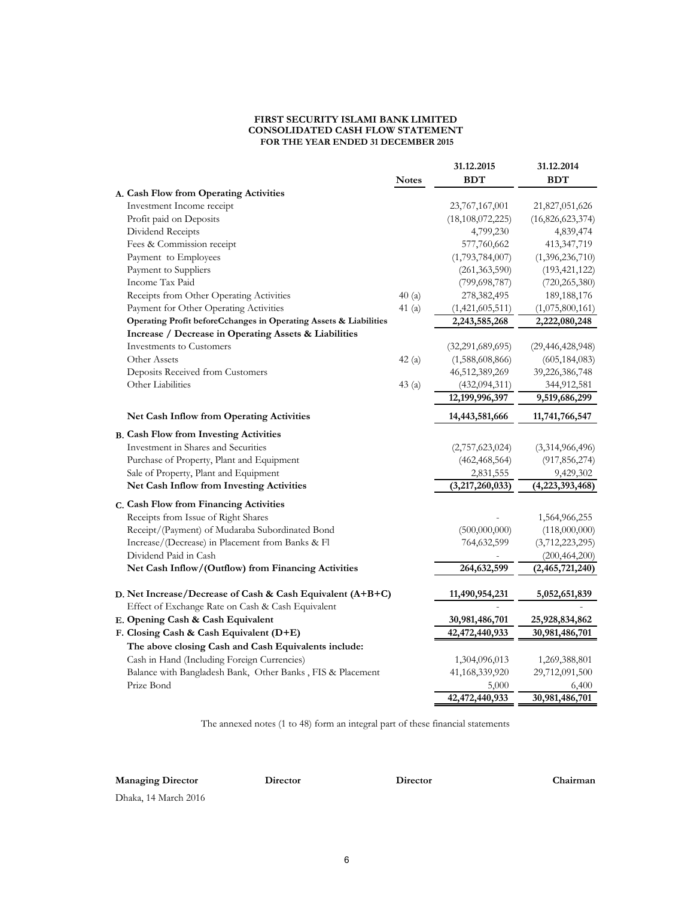#### **FIRST SECURITY ISLAMI BANK LIMITED CONSOLIDATED CASH FLOW STATEMENT FOR THE YEAR ENDED 31 DECEMBER 2015**

|                                                                          | <b>Notes</b> | 31.12.2015<br><b>BDT</b> | 31.12.2014<br><b>BDT</b> |
|--------------------------------------------------------------------------|--------------|--------------------------|--------------------------|
| A. Cash Flow from Operating Activities                                   |              |                          |                          |
| Investment Income receipt                                                |              | 23,767,167,001           | 21,827,051,626           |
| Profit paid on Deposits                                                  |              | (18, 108, 072, 225)      | (16,826,623,374)         |
| Dividend Receipts                                                        |              | 4,799,230                | 4,839,474                |
| Fees & Commission receipt                                                |              | 577,760,662              | 413,347,719              |
| Payment to Employees                                                     |              | (1,793,784,007)          | (1,396,236,710)          |
| Payment to Suppliers                                                     |              | (261, 363, 590)          | (193, 421, 122)          |
| Income Tax Paid                                                          |              | (799, 698, 787)          | (720, 265, 380)          |
| Receipts from Other Operating Activities                                 | 40(a)        | 278,382,495              | 189, 188, 176            |
| Payment for Other Operating Activities                                   | 41(a)        | (1,421,605,511)          | (1,075,800,161)          |
| Operating Profit beforeCchanges in Operating Assets & Liabilities        |              | 2,243,585,268            | 2,222,080,248            |
| Increase / Decrease in Operating Assets & Liabilities                    |              |                          |                          |
| Investments to Customers                                                 |              | (32,291,689,695)         | (29, 446, 428, 948)      |
| Other Assets                                                             | 42(a)        | (1,588,608,866)          | (605, 184, 083)          |
| Deposits Received from Customers                                         |              | 46,512,389,269           | 39,226,386,748           |
| Other Liabilities                                                        | 43(a)        | (432,094,311)            | 344,912,581              |
|                                                                          |              | 12,199,996,397           | 9,519,686,299            |
| <b>Net Cash Inflow from Operating Activities</b>                         |              | 14,443,581,666           | 11,741,766,547           |
| <b>B. Cash Flow from Investing Activities</b>                            |              |                          |                          |
| Investment in Shares and Securities                                      |              | (2,757,623,024)          | (3,314,966,496)          |
| Purchase of Property, Plant and Equipment                                |              | (462, 468, 564)          | (917, 856, 274)          |
| Sale of Property, Plant and Equipment                                    |              | 2,831,555                | 9,429,302                |
| Net Cash Inflow from Investing Activities                                |              | (3,217,260,033)          | (4,223,393,468)          |
| C. Cash Flow from Financing Activities                                   |              |                          |                          |
| Receipts from Issue of Right Shares                                      |              |                          | 1,564,966,255            |
| Receipt/(Payment) of Mudaraba Subordinated Bond                          |              | (500,000,000)            | (118,000,000)            |
| Increase/(Decrease) in Placement from Banks & Fl                         |              | 764,632,599              | (3,712,223,295)          |
| Dividend Paid in Cash                                                    |              |                          | (200, 464, 200)          |
| Net Cash Inflow/(Outflow) from Financing Activities                      |              | 264,632,599              | (2,465,721,240)          |
| D. Net Increase/Decrease of Cash & Cash Equivalent $(A+B+C)$             |              | 11,490,954,231           | 5,052,651,839            |
| Effect of Exchange Rate on Cash & Cash Equivalent                        |              |                          |                          |
| E. Opening Cash & Cash Equivalent                                        |              | 30,981,486,701           | 25,928,834,862           |
| F. Closing Cash & Cash Equivalent (D+E)                                  |              | 42,472,440,933           | 30,981,486,701           |
| The above closing Cash and Cash Equivalents include:                     |              |                          |                          |
|                                                                          |              |                          |                          |
| Cash in Hand (Including Foreign Currencies)                              |              | 1,304,096,013            | 1,269,388,801            |
| Balance with Bangladesh Bank, Other Banks, FIS & Placement<br>Prize Bond |              | 41,168,339,920<br>5,000  | 29,712,091,500<br>6,400  |
|                                                                          |              | 42,472,440,933           | 30,981,486,701           |
|                                                                          |              |                          |                          |

The annexed notes (1 to 48) form an integral part of these financial statements

**Managing Director Director**

**Director Chairman**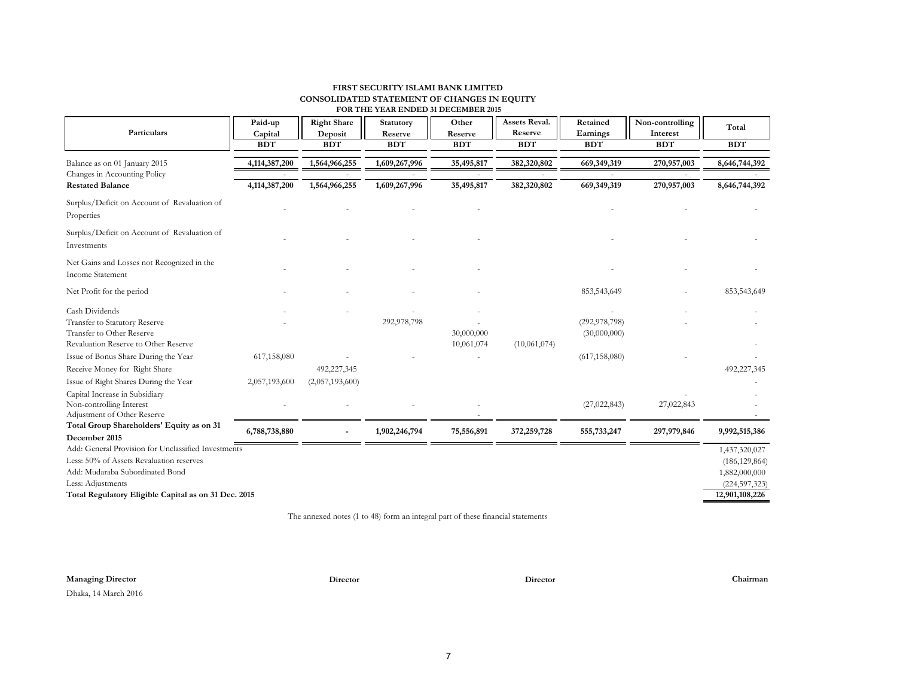#### **FIRST SECURITY ISLAMI BANK LIMITED CONSOLIDATED STATEMENT OF CHANGES IN EQUITY FOR THE YEAR ENDED 31 DECEMBER 2015**

| Particulars                                                                                                                                                                                                                            | Paid-up<br>Capital<br><b>BDT</b> | <b>Right Share</b><br>Deposit<br><b>BDT</b> | Statutory<br>Reserve<br><b>BDT</b> | Other<br>Reserve<br><b>BDT</b> | Assets Reval.<br>Reserve<br><b>BDT</b> | Retained<br>Earnings<br><b>BDT</b>                 | Non-controlling<br>Interest<br><b>BDT</b> | Total<br><b>BDT</b>                                                                    |
|----------------------------------------------------------------------------------------------------------------------------------------------------------------------------------------------------------------------------------------|----------------------------------|---------------------------------------------|------------------------------------|--------------------------------|----------------------------------------|----------------------------------------------------|-------------------------------------------|----------------------------------------------------------------------------------------|
| Balance as on 01 January 2015                                                                                                                                                                                                          | 4,114,387,200                    | 1,564,966,255                               | 1,609,267,996                      | 35,495,817                     | 382,320,802                            | 669,349,319                                        | 270,957,003                               | 8,646,744,392                                                                          |
| Changes in Accounting Policy<br><b>Restated Balance</b>                                                                                                                                                                                | 4,114,387,200                    | 1,564,966,255                               | 1,609,267,996                      | 35,495,817                     | 382,320,802                            | 669,349,319                                        | 270,957,003                               | 8,646,744,392                                                                          |
| Surplus/Deficit on Account of Revaluation of<br>Properties                                                                                                                                                                             |                                  |                                             |                                    |                                |                                        |                                                    |                                           |                                                                                        |
| Surplus/Deficit on Account of Revaluation of<br>Investments                                                                                                                                                                            |                                  |                                             |                                    |                                |                                        |                                                    |                                           |                                                                                        |
| Net Gains and Losses not Recognized in the<br><b>Income Statement</b>                                                                                                                                                                  |                                  |                                             |                                    |                                |                                        |                                                    |                                           |                                                                                        |
| Net Profit for the period                                                                                                                                                                                                              |                                  |                                             |                                    |                                |                                        | 853,543,649                                        |                                           | 853,543,649                                                                            |
| Cash Dividends<br>Transfer to Statutory Reserve<br>Transfer to Other Reserve<br>Revaluation Reserve to Other Reserve<br>Issue of Bonus Share During the Year<br>Receive Money for Right Share<br>Issue of Right Shares During the Year | 617,158,080<br>2,057,193,600     | 492,227,345<br>(2,057,193,600)              | 292,978,798                        | 30,000,000<br>10,061,074       | (10,061,074)                           | (292, 978, 798)<br>(30,000,000)<br>(617, 158, 080) |                                           | 492,227,345                                                                            |
| Capital Increase in Subsidiary<br>Non-controlling Interest<br>Adjustment of Other Reserve                                                                                                                                              |                                  |                                             |                                    |                                |                                        | (27, 022, 843)                                     | 27,022,843                                |                                                                                        |
| Total Group Shareholders' Equity as on 31<br>December 2015                                                                                                                                                                             | 6,788,738,880                    |                                             | 1,902,246,794                      | 75,556,891                     | 372,259,728                            | 555,733,247                                        | 297,979,846                               | 9,992,515,386                                                                          |
| Add: General Provision for Unclassified Investments<br>Less: 50% of Assets Revaluation reserves<br>Add: Mudaraba Subordinated Bond<br>Less: Adjustments<br>Total Regulatory Eligible Capital as on 31 Dec. 2015                        |                                  |                                             |                                    |                                |                                        |                                                    |                                           | 1,437,320,027<br>(186, 129, 864)<br>1,882,000,000<br>(224, 597, 323)<br>12,901,108,226 |

The annexed notes (1 to 48) form an integral part of these financial statements

# **Managing Director Director Director Chairman**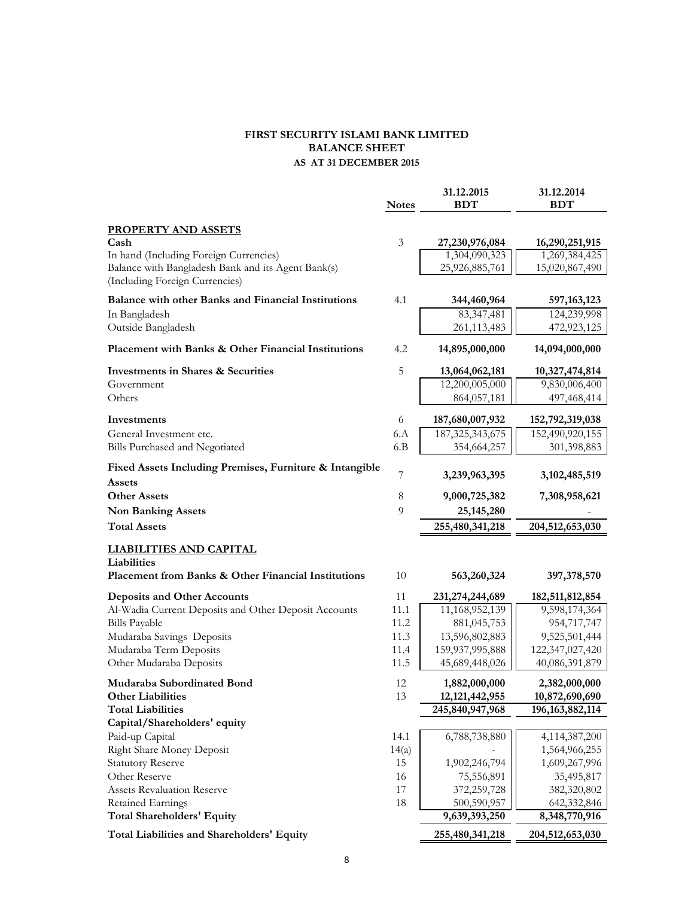# **FIRST SECURITY ISLAMI BANK LIMITED BALANCE SHEET AS AT 31 DECEMBER 2015**

|                                                                    | <b>Notes</b>   | 31.12.2015<br><b>BDT</b>           | 31.12.2014<br><b>BDT</b>         |
|--------------------------------------------------------------------|----------------|------------------------------------|----------------------------------|
| <b>PROPERTY AND ASSETS</b>                                         |                |                                    |                                  |
| Cash                                                               | $\mathfrak{Z}$ | 27,230,976,084                     | 16,290,251,915                   |
| In hand (Including Foreign Currencies)                             |                | 1,304,090,323                      | 1,269,384,425                    |
| Balance with Bangladesh Bank and its Agent Bank(s)                 |                | 25,926,885,761                     | 15,020,867,490                   |
| (Including Foreign Currencies)                                     |                |                                    |                                  |
| <b>Balance with other Banks and Financial Institutions</b>         | 4.1            | 344,460,964                        | 597, 163, 123                    |
| In Bangladesh                                                      |                | 83,347,481                         | 124,239,998                      |
| Outside Bangladesh                                                 |                | 261,113,483                        | 472,923,125                      |
| Placement with Banks & Other Financial Institutions                | 4.2            | 14,895,000,000                     | 14,094,000,000                   |
| <b>Investments in Shares &amp; Securities</b>                      | 5              | 13,064,062,181                     | 10,327,474,814                   |
| Government                                                         |                | 12,200,005,000                     | 9,830,006,400                    |
| Others                                                             |                | 864,057,181                        | 497,468,414                      |
| Investments                                                        | 6              | 187,680,007,932                    | 152,792,319,038                  |
| General Investment etc.                                            | 6.A            | 187, 325, 343, 675                 | 152,490,920,155                  |
| Bills Purchased and Negotiated                                     | 6.B            | 354,664,257                        | 301,398,883                      |
| Fixed Assets Including Premises, Furniture & Intangible<br>Assets  | 7              | 3,239,963,395                      | 3, 102, 485, 519                 |
| <b>Other Assets</b>                                                | $\,8\,$        | 9,000,725,382                      | 7,308,958,621                    |
| <b>Non Banking Assets</b>                                          | 9              | 25, 145, 280                       |                                  |
| <b>Total Assets</b>                                                |                | 255,480,341,218                    | 204,512,653,030                  |
|                                                                    |                |                                    |                                  |
| <b>LIABILITIES AND CAPITAL</b>                                     |                |                                    |                                  |
| Liabilities<br>Placement from Banks & Other Financial Institutions | 10             | 563,260,324                        | 397, 378, 570                    |
|                                                                    |                |                                    |                                  |
| <b>Deposits and Other Accounts</b>                                 | 11             | 231,274,244,689                    | 182,511,812,854                  |
| Al-Wadia Current Deposits and Other Deposit Accounts               | 11.1           | 11,168,952,139                     | 9,598,174,364                    |
| <b>Bills Payable</b>                                               | 11.2<br>11.3   | 881,045,753<br>13,596,802,883      | 954,717,747                      |
| Mudaraba Savings Deposits<br>Mudaraba Term Deposits                | 11.4           | 159,937,995,888                    | 9,525,501,444<br>122,347,027,420 |
| Other Mudaraba Deposits                                            | 11.5           | 45,689,448,026                     | 40,086,391,879                   |
| Mudaraba Subordinated Bond                                         | 12             |                                    |                                  |
| <b>Other Liabilities</b>                                           | 13             | 1,882,000,000<br>12, 121, 442, 955 | 2,382,000,000<br>10,872,690,690  |
| <b>Total Liabilities</b>                                           |                | 245,840,947,968                    | 196, 163, 882, 114               |
| Capital/Shareholders' equity                                       |                |                                    |                                  |
| Paid-up Capital                                                    | 14.1           | 6,788,738,880                      | 4,114,387,200                    |
| <b>Right Share Money Deposit</b>                                   | 14(a)          |                                    | 1,564,966,255                    |
| <b>Statutory Reserve</b>                                           | 15             | 1,902,246,794                      | 1,609,267,996                    |
| Other Reserve                                                      | 16             | 75,556,891                         | 35,495,817                       |
| <b>Assets Revaluation Reserve</b>                                  | 17             | 372,259,728                        | 382,320,802                      |
| Retained Earnings                                                  | 18             | 500,590,957                        | 642,332,846                      |
| <b>Total Shareholders' Equity</b>                                  |                | 9,639,393,250                      | 8,348,770,916                    |
| Total Liabilities and Shareholders' Equity                         |                | 255,480,341,218                    | 204,512,653,030                  |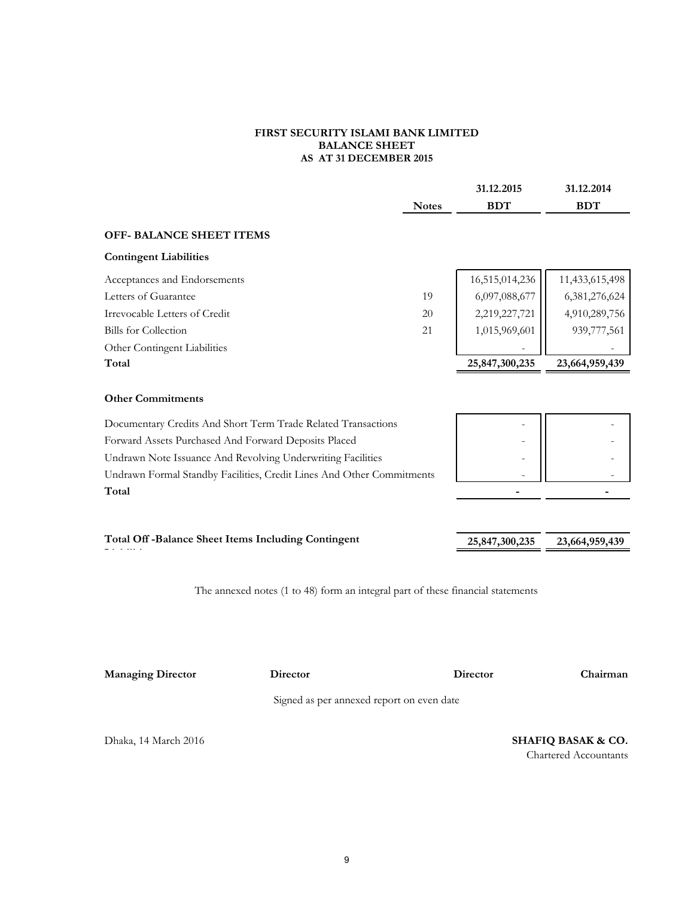#### **FIRST SECURITY ISLAMI BANK LIMITED BALANCE SHEET AS AT 31 DECEMBER 2015**

|                                                             |                                                                                 |              | 31.12.2015     | 31.12.2014                                                    |
|-------------------------------------------------------------|---------------------------------------------------------------------------------|--------------|----------------|---------------------------------------------------------------|
|                                                             |                                                                                 | <b>Notes</b> | <b>BDT</b>     | <b>BDT</b>                                                    |
| <b>OFF- BALANCE SHEET ITEMS</b>                             |                                                                                 |              |                |                                                               |
| <b>Contingent Liabilities</b>                               |                                                                                 |              |                |                                                               |
| Acceptances and Endorsements                                |                                                                                 |              | 16,515,014,236 | 11,433,615,498                                                |
| Letters of Guarantee                                        |                                                                                 | 19           | 6,097,088,677  | 6,381,276,624                                                 |
| Irrevocable Letters of Credit                               |                                                                                 | 20           | 2,219,227,721  | 4,910,289,756                                                 |
| <b>Bills</b> for Collection                                 |                                                                                 | 21           | 1,015,969,601  | 939,777,561                                                   |
| Other Contingent Liabilities                                |                                                                                 |              |                |                                                               |
| Total                                                       |                                                                                 |              | 25,847,300,235 | 23,664,959,439                                                |
| <b>Other Commitments</b>                                    |                                                                                 |              |                |                                                               |
|                                                             | Documentary Credits And Short Term Trade Related Transactions                   |              |                |                                                               |
| Forward Assets Purchased And Forward Deposits Placed        |                                                                                 |              |                |                                                               |
| Undrawn Note Issuance And Revolving Underwriting Facilities |                                                                                 |              |                |                                                               |
|                                                             | Undrawn Formal Standby Facilities, Credit Lines And Other Commitments           |              |                |                                                               |
| Total                                                       |                                                                                 |              |                |                                                               |
|                                                             |                                                                                 |              |                |                                                               |
|                                                             | <b>Total Off-Balance Sheet Items Including Contingent</b>                       |              | 25,847,300,235 | 23,664,959,439                                                |
|                                                             | The annexed notes (1 to 48) form an integral part of these financial statements |              |                |                                                               |
| <b>Managing Director</b>                                    | Director<br>Signed as per annexed report on even date                           |              | Director       | Chairman                                                      |
|                                                             |                                                                                 |              |                |                                                               |
| Dhaka, 14 March 2016                                        |                                                                                 |              |                | <b>SHAFIQ BASAK &amp; CO.</b><br><b>Chartered Accountants</b> |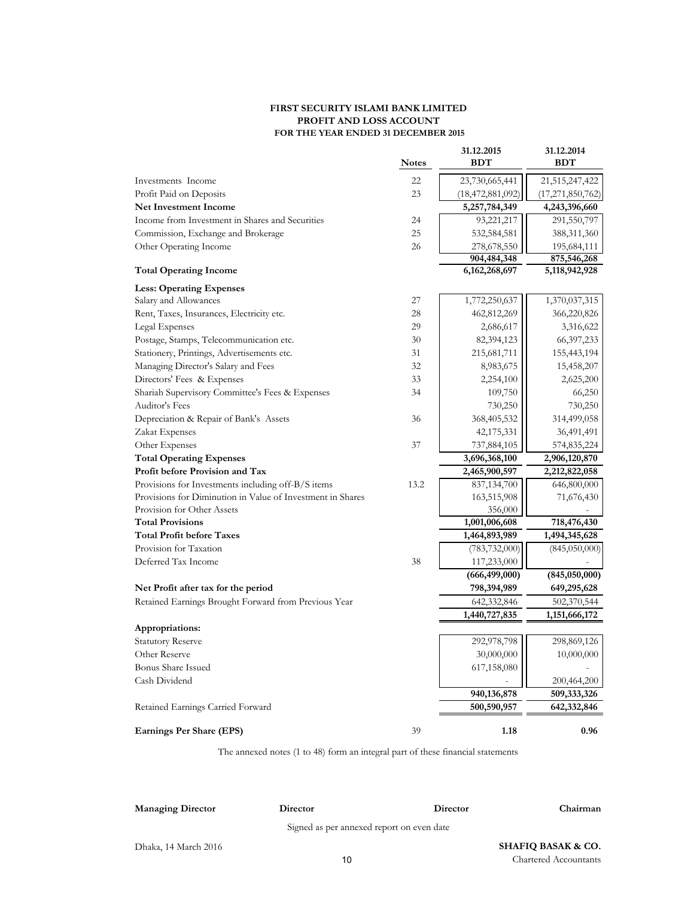#### **FIRST SECURITY ISLAMI BANK LIMITED PROFIT AND LOSS ACCOUNT FOR THE YEAR ENDED 31 DECEMBER 2015**

|                                                            | <b>Notes</b> | 31.12.2015<br><b>BDT</b> | 31.12.2014<br><b>BDT</b> |
|------------------------------------------------------------|--------------|--------------------------|--------------------------|
| Investments Income                                         | 22           | 23,730,665,441           | 21,515,247,422           |
| Profit Paid on Deposits                                    | 23           | (18, 472, 881, 092)      | (17, 271, 850, 762)      |
| <b>Net Investment Income</b>                               |              | 5,257,784,349            | 4,243,396,660            |
| Income from Investment in Shares and Securities            | 24           | 93,221,217               | 291,550,797              |
| Commission, Exchange and Brokerage                         | 25           | 532,584,581              | 388,311,360              |
| Other Operating Income                                     | 26           | 278,678,550              | 195,684,111              |
|                                                            |              | 904,484,348              | 875,546,268              |
| <b>Total Operating Income</b>                              |              | 6, 162, 268, 697         | 5,118,942,928            |
| <b>Less: Operating Expenses</b>                            |              |                          |                          |
| Salary and Allowances                                      | 27           | 1,772,250,637            | 1,370,037,315            |
| Rent, Taxes, Insurances, Electricity etc.                  | 28           | 462,812,269              | 366,220,826              |
| Legal Expenses                                             | 29           | 2,686,617                | 3,316,622                |
| Postage, Stamps, Telecommunication etc.                    | 30           | 82,394,123               | 66, 397, 233             |
| Stationery, Printings, Advertisements etc.                 | 31           | 215,681,711              | 155,443,194              |
| Managing Director's Salary and Fees                        | 32           | 8,983,675                | 15,458,207               |
| Directors' Fees & Expenses                                 | 33           | 2,254,100                | 2,625,200                |
| Shariah Supervisory Committee's Fees & Expenses            | 34           | 109,750                  | 66,250                   |
| Auditor's Fees                                             |              | 730,250                  | 730,250                  |
| Depreciation & Repair of Bank's Assets                     | 36           | 368,405,532              | 314,499,058              |
| Zakat Expenses                                             |              | 42,175,331               | 36,491,491               |
| Other Expenses                                             | 37           | 737,884,105              | 574,835,224              |
| <b>Total Operating Expenses</b>                            |              | 3,696,368,100            | 2,906,120,870            |
| Profit before Provision and Tax                            |              | 2,465,900,597            | 2,212,822,058            |
| Provisions for Investments including off-B/S items         | 13.2         | 837,134,700              | 646,800,000              |
| Provisions for Diminution in Value of Investment in Shares |              | 163,515,908              | 71,676,430               |
| Provision for Other Assets                                 |              | 356,000                  |                          |
| <b>Total Provisions</b>                                    |              | 1,001,006,608            | 718,476,430              |
| <b>Total Profit before Taxes</b>                           |              | 1,464,893,989            | 1,494,345,628            |
| Provision for Taxation                                     |              | (783, 732, 000)          | (845,050,000)            |
| Deferred Tax Income                                        | 38           | 117,233,000              |                          |
|                                                            |              | (666, 499, 000)          | (845,050,000)            |
| Net Profit after tax for the period                        |              | 798,394,989              | 649,295,628              |
| Retained Earnings Brought Forward from Previous Year       |              | 642,332,846              | 502,370,544              |
|                                                            |              | 1,440,727,835            | 1,151,666,172            |
| Appropriations:                                            |              |                          |                          |
| <b>Statutory Reserve</b>                                   |              | 292,978,798              | 298,869,126              |
| Other Reserve                                              |              | 30,000,000               | 10,000,000               |
| <b>Bonus Share Issued</b>                                  |              | 617,158,080              |                          |
| Cash Dividend                                              |              |                          | 200,464,200              |
|                                                            |              | 940,136,878              | 509,333,326              |
| Retained Earnings Carried Forward                          |              | 500,590,957              | 642,332,846              |
| Earnings Per Share (EPS)                                   | 39           | 1.18                     | 0.96                     |

The annexed notes (1 to 48) form an integral part of these financial statements

#### **Managing Director Director**

Signed as per annexed report on even date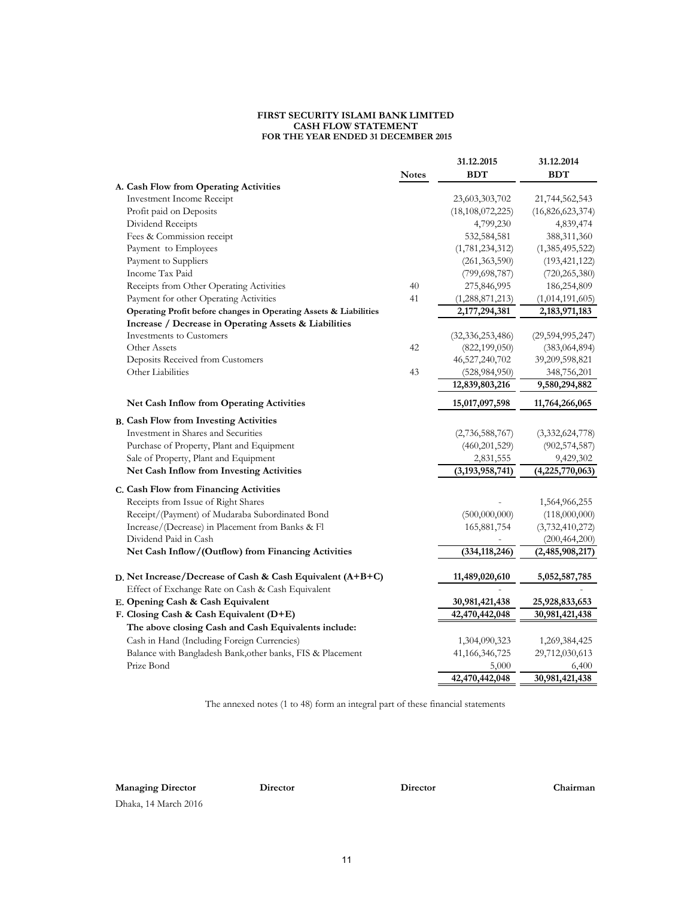#### **FIRST SECURITY ISLAMI BANK LIMITED CASH FLOW STATEMENT FOR THE YEAR ENDED 31 DECEMBER 2015**

|                                                                   |              | 31.12.2015          | 31.12.2014          |
|-------------------------------------------------------------------|--------------|---------------------|---------------------|
|                                                                   | <b>Notes</b> | <b>BDT</b>          | <b>BDT</b>          |
| A. Cash Flow from Operating Activities                            |              |                     |                     |
| <b>Investment Income Receipt</b>                                  |              | 23,603,303,702      | 21,744,562,543      |
| Profit paid on Deposits                                           |              | (18, 108, 072, 225) | (16,826,623,374)    |
| Dividend Receipts                                                 |              | 4,799,230           | 4,839,474           |
| Fees & Commission receipt                                         |              | 532,584,581         | 388,311,360         |
| Payment to Employees                                              |              | (1,781,234,312)     | (1,385,495,522)     |
| Payment to Suppliers                                              |              | (261, 363, 590)     | (193, 421, 122)     |
| Income Tax Paid                                                   |              | (799, 698, 787)     | (720, 265, 380)     |
| Receipts from Other Operating Activities                          | 40           | 275,846,995         | 186,254,809         |
| Payment for other Operating Activities                            | 41           | (1, 288, 871, 213)  | (1,014,191,605)     |
| Operating Profit before changes in Operating Assets & Liabilities |              | 2,177,294,381       | 2,183,971,183       |
| Increase / Decrease in Operating Assets & Liabilities             |              |                     |                     |
| <b>Investments</b> to Customers                                   |              | (32, 336, 253, 486) | (29, 594, 995, 247) |
| Other Assets                                                      | 42           | (822, 199, 050)     | (383,064,894)       |
| Deposits Received from Customers                                  |              | 46,527,240,702      | 39,209,598,821      |
| Other Liabilities                                                 | 43           | (528, 984, 950)     | 348,756,201         |
|                                                                   |              | 12,839,803,216      | 9,580,294,882       |
| Net Cash Inflow from Operating Activities                         |              | 15,017,097,598      | 11,764,266,065      |
| <b>B. Cash Flow from Investing Activities</b>                     |              |                     |                     |
| Investment in Shares and Securities                               |              | (2,736,588,767)     | (3,332,624,778)     |
| Purchase of Property, Plant and Equipment                         |              | (460, 201, 529)     | (902, 574, 587)     |
| Sale of Property, Plant and Equipment                             |              | 2,831,555           | 9,429,302           |
| Net Cash Inflow from Investing Activities                         |              | (3, 193, 958, 741)  | (4,225,770,063)     |
| C. Cash Flow from Financing Activities                            |              |                     |                     |
| Receipts from Issue of Right Shares                               |              |                     | 1,564,966,255       |
| Receipt/(Payment) of Mudaraba Subordinated Bond                   |              | (500,000,000)       | (118,000,000)       |
| Increase/(Decrease) in Placement from Banks & Fl                  |              | 165,881,754         | (3,732,410,272)     |
| Dividend Paid in Cash                                             |              |                     | (200, 464, 200)     |
| Net Cash Inflow/(Outflow) from Financing Activities               |              | (334, 118, 246)     | (2,485,908,217)     |
|                                                                   |              |                     |                     |
| D. Net Increase/Decrease of Cash & Cash Equivalent (A+B+C)        |              | 11,489,020,610      | 5,052,587,785       |
| Effect of Exchange Rate on Cash & Cash Equivalent                 |              |                     |                     |
| E. Opening Cash & Cash Equivalent                                 |              | 30,981,421,438      | 25,928,833,653      |
| F. Closing Cash & Cash Equivalent (D+E)                           |              | 42,470,442,048      | 30,981,421,438      |
| The above closing Cash and Cash Equivalents include:              |              |                     |                     |
| Cash in Hand (Including Foreign Currencies)                       |              | 1,304,090,323       | 1,269,384,425       |
| Balance with Bangladesh Bank, other banks, FIS & Placement        |              | 41, 166, 346, 725   | 29,712,030,613      |
| Prize Bond                                                        |              | 5,000               | 6,400               |
|                                                                   |              | 42,470,442,048      | 30,981,421,438      |

The annexed notes (1 to 48) form an integral part of these financial statements

**Managing Director Director Director Chairman**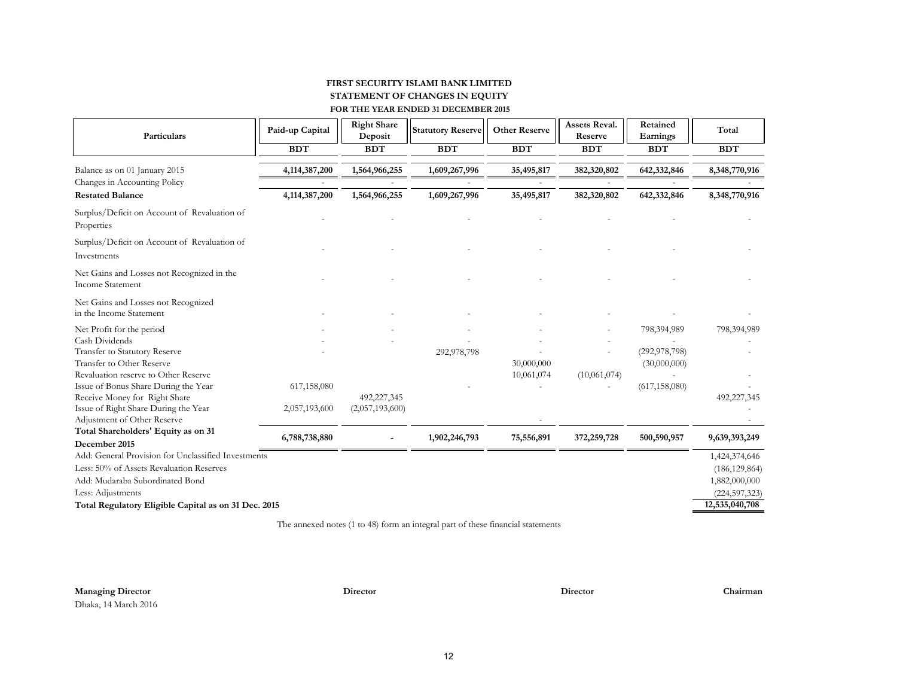#### **FIRST SECURITY ISLAMI BANK LIMITED FOR THE YEAR ENDED 31 DECEMBER 2015 STATEMENT OF CHANGES IN EQUITY**

| Particulars                                                           | Paid-up Capital | <b>Right Share</b><br>Deposit | <b>Statutory Reserve</b> | <b>Other Reserve</b> | <b>Assets Reval.</b><br>Reserve | Retained<br>Earnings            | Total           |
|-----------------------------------------------------------------------|-----------------|-------------------------------|--------------------------|----------------------|---------------------------------|---------------------------------|-----------------|
|                                                                       | <b>BDT</b>      | <b>BDT</b>                    | <b>BDT</b>               | <b>BDT</b>           | <b>BDT</b>                      | <b>BDT</b>                      | <b>BDT</b>      |
| Balance as on 01 January 2015<br>Changes in Accounting Policy         | 4,114,387,200   | 1,564,966,255                 | 1,609,267,996            | 35,495,817           | 382,320,802                     | 642,332,846                     | 8,348,770,916   |
| <b>Restated Balance</b>                                               | 4,114,387,200   | 1,564,966,255                 | 1,609,267,996            | 35,495,817           | 382,320,802                     | 642,332,846                     | 8,348,770,916   |
| Surplus/Deficit on Account of Revaluation of<br>Properties            |                 |                               |                          |                      |                                 |                                 |                 |
| Surplus/Deficit on Account of Revaluation of<br>Investments           |                 |                               |                          |                      |                                 |                                 |                 |
| Net Gains and Losses not Recognized in the<br><b>Income Statement</b> |                 |                               |                          |                      |                                 |                                 |                 |
| Net Gains and Losses not Recognized<br>in the Income Statement        |                 |                               |                          |                      |                                 |                                 |                 |
| Net Profit for the period                                             |                 |                               |                          |                      |                                 | 798,394,989                     | 798,394,989     |
| Cash Dividends                                                        |                 |                               |                          |                      |                                 |                                 |                 |
| Transfer to Statutory Reserve<br>Transfer to Other Reserve            |                 |                               | 292,978,798              | 30,000,000           |                                 | (292, 978, 798)<br>(30,000,000) |                 |
| Revaluation reserve to Other Reserve                                  |                 |                               |                          | 10,061,074           | (10,061,074)                    |                                 |                 |
| Issue of Bonus Share During the Year                                  | 617,158,080     |                               |                          |                      |                                 | (617, 158, 080)                 |                 |
| Receive Money for Right Share                                         |                 | 492,227,345                   |                          |                      |                                 |                                 | 492,227,345     |
| Issue of Right Share During the Year                                  | 2,057,193,600   | (2,057,193,600)               |                          |                      |                                 |                                 |                 |
| Adjustment of Other Reserve<br>Total Shareholders' Equity as on 31    |                 |                               |                          |                      |                                 |                                 |                 |
| December 2015                                                         | 6,788,738,880   |                               | 1,902,246,793            | 75,556,891           | 372,259,728                     | 500,590,957                     | 9,639,393,249   |
| Add: General Provision for Unclassified Investments                   |                 |                               |                          |                      |                                 |                                 | 1,424,374,646   |
| Less: 50% of Assets Revaluation Reserves                              |                 |                               |                          |                      |                                 |                                 | (186, 129, 864) |
| Add: Mudaraba Subordinated Bond                                       |                 |                               |                          |                      |                                 |                                 | 1,882,000,000   |
| Less: Adjustments                                                     |                 |                               |                          |                      |                                 |                                 | (224, 597, 323) |
| Total Regulatory Eligible Capital as on 31 Dec. 2015                  |                 |                               |                          |                      |                                 |                                 | 12,535,040,708  |

The annexed notes (1 to 48) form an integral part of these financial statements

**Managing Director Director Director Chairman**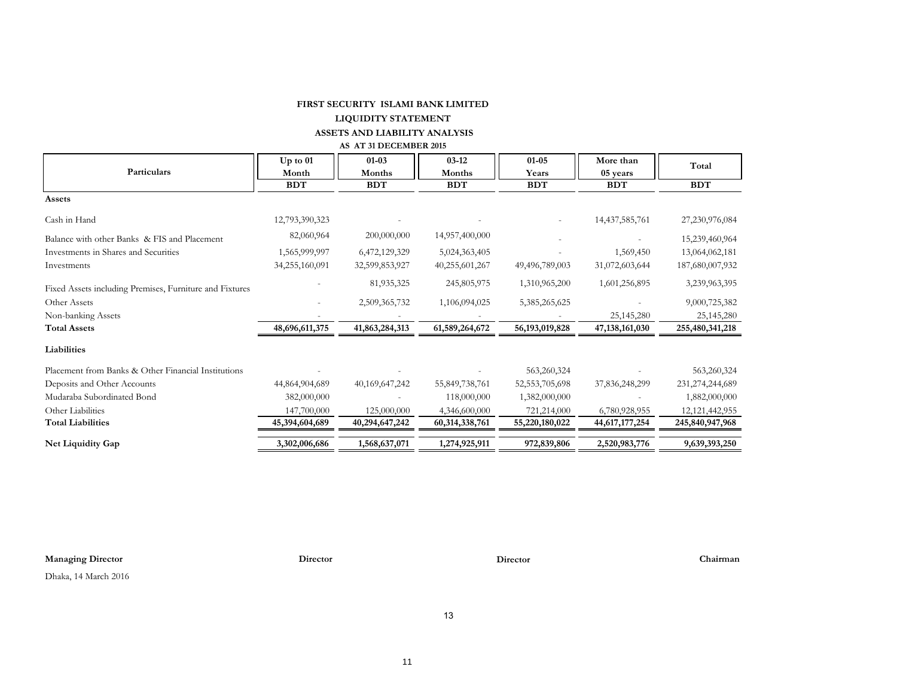# **FIRST SECURITY ISLAMI BANK LIMITED**

# **LIQUIDITY STATEMENT**

# **ASSETS AND LIABILITY ANALYSIS**

#### **AS AT 31 DECEMBER 2015**

|                                                         | $Up$ to $01$   | $01 - 03$      | $03-12$        | $01 - 05$         | More than         | Total              |
|---------------------------------------------------------|----------------|----------------|----------------|-------------------|-------------------|--------------------|
| Particulars                                             | Month          | Months         | Months         | Years             | 05 years          |                    |
|                                                         | <b>BDT</b>     | <b>BDT</b>     | <b>BDT</b>     | <b>BDT</b>        | <b>BDT</b>        | <b>BDT</b>         |
| Assets                                                  |                |                |                |                   |                   |                    |
| Cash in Hand                                            | 12,793,390,323 |                |                |                   | 14,437,585,761    | 27,230,976,084     |
| Balance with other Banks & FIS and Placement            | 82,060,964     | 200,000,000    | 14,957,400,000 |                   |                   | 15,239,460,964     |
| Investments in Shares and Securities                    | 1,565,999,997  | 6,472,129,329  | 5,024,363,405  |                   | 1,569,450         | 13,064,062,181     |
| Investments                                             | 34,255,160,091 | 32,599,853,927 | 40,255,601,267 | 49,496,789,003    | 31,072,603,644    | 187,680,007,932    |
| Fixed Assets including Premises, Furniture and Fixtures |                | 81,935,325     | 245,805,975    | 1,310,965,200     | 1,601,256,895     | 3,239,963,395      |
| Other Assets                                            |                | 2,509,365,732  | 1,106,094,025  | 5, 385, 265, 625  |                   | 9,000,725,382      |
| Non-banking Assets                                      |                |                |                |                   | 25,145,280        | 25,145,280         |
| <b>Total Assets</b>                                     | 48,696,611,375 | 41,863,284,313 | 61,589,264,672 | 56, 193, 019, 828 | 47, 138, 161, 030 | 255,480,341,218    |
| Liabilities                                             |                |                |                |                   |                   |                    |
| Placement from Banks & Other Financial Institutions     |                |                |                | 563,260,324       |                   | 563,260,324        |
| Deposits and Other Accounts                             | 44,864,904,689 | 40,169,647,242 | 55,849,738,761 | 52, 553, 705, 698 | 37,836,248,299    | 231, 274, 244, 689 |
| Mudaraba Subordinated Bond                              | 382,000,000    |                | 118,000,000    | 1,382,000,000     |                   | 1,882,000,000      |
| Other Liabilities                                       | 147,700,000    | 125,000,000    | 4,346,600,000  | 721,214,000       | 6,780,928,955     | 12, 121, 442, 955  |
| <b>Total Liabilities</b>                                | 45,394,604,689 | 40,294,647,242 | 60,314,338,761 | 55,220,180,022    | 44,617,177,254    | 245,840,947,968    |
| Net Liquidity Gap                                       | 3,302,006,686  | 1,568,637,071  | 1,274,925,911  | 972,839,806       | 2,520,983,776     | 9,639,393,250      |

**Managing Director Director Director Chairman**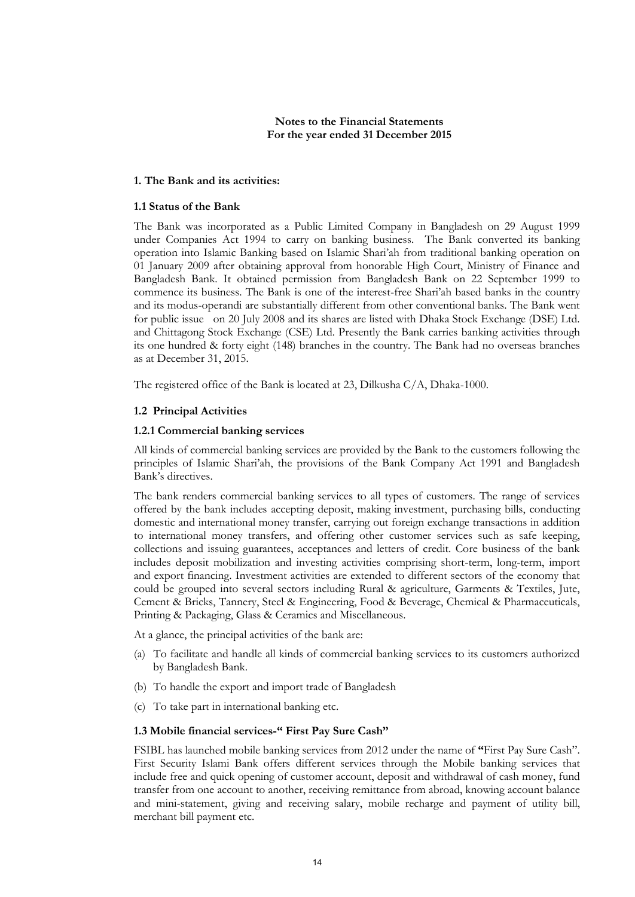# **Notes to the Financial Statements For the year ended 31 December 2015**

# **1. The Bank and its activities:**

#### **1.1 Status of the Bank**

The Bank was incorporated as a Public Limited Company in Bangladesh on 29 August 1999 under Companies Act 1994 to carry on banking business. The Bank converted its banking operation into Islamic Banking based on Islamic Shari"ah from traditional banking operation on 01 January 2009 after obtaining approval from honorable High Court, Ministry of Finance and Bangladesh Bank. It obtained permission from Bangladesh Bank on 22 September 1999 to commence its business. The Bank is one of the interest-free Shari"ah based banks in the country and its modus-operandi are substantially different from other conventional banks. The Bank went for public issue on 20 July 2008 and its shares are listed with Dhaka Stock Exchange (DSE) Ltd. and Chittagong Stock Exchange (CSE) Ltd. Presently the Bank carries banking activities through its one hundred & forty eight (148) branches in the country. The Bank had no overseas branches as at December 31, 2015.

The registered office of the Bank is located at 23, Dilkusha C/A, Dhaka-1000.

#### **1.2 Principal Activities**

#### **1.2.1 Commercial banking services**

All kinds of commercial banking services are provided by the Bank to the customers following the principles of Islamic Shari"ah, the provisions of the Bank Company Act 1991 and Bangladesh Bank"s directives.

The bank renders commercial banking services to all types of customers. The range of services offered by the bank includes accepting deposit, making investment, purchasing bills, conducting domestic and international money transfer, carrying out foreign exchange transactions in addition to international money transfers, and offering other customer services such as safe keeping, collections and issuing guarantees, acceptances and letters of credit. Core business of the bank includes deposit mobilization and investing activities comprising short-term, long-term, import and export financing. Investment activities are extended to different sectors of the economy that could be grouped into several sectors including Rural & agriculture, Garments & Textiles, Jute, Cement & Bricks, Tannery, Steel & Engineering, Food & Beverage, Chemical & Pharmaceuticals, Printing & Packaging, Glass & Ceramics and Miscellaneous.

At a glance, the principal activities of the bank are:

- (a) To facilitate and handle all kinds of commercial banking services to its customers authorized by Bangladesh Bank.
- (b) To handle the export and import trade of Bangladesh
- (c) To take part in international banking etc.

# **1.3 Mobile financial services-" First Pay Sure Cash"**

FSIBL has launched mobile banking services from 2012 under the name of **"**First Pay Sure Cash". First Security Islami Bank offers different services through the Mobile banking services that include free and quick opening of customer account, deposit and withdrawal of cash money, fund transfer from one account to another, receiving remittance from abroad, knowing account balance and mini-statement, giving and receiving salary, mobile recharge and payment of utility bill, merchant bill payment etc.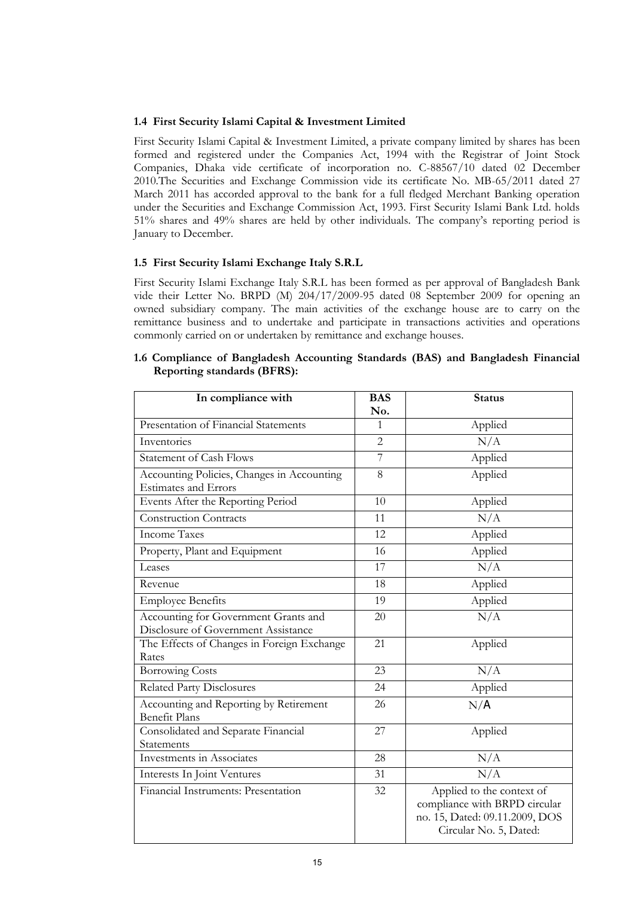# **1.4 First Security Islami Capital & Investment Limited**

First Security Islami Capital & Investment Limited, a private company limited by shares has been formed and registered under the Companies Act, 1994 with the Registrar of Joint Stock Companies, Dhaka vide certificate of incorporation no. C-88567/10 dated 02 December 2010.The Securities and Exchange Commission vide its certificate No. MB-65/2011 dated 27 March 2011 has accorded approval to the bank for a full fledged Merchant Banking operation under the Securities and Exchange Commission Act, 1993. First Security Islami Bank Ltd. holds 51% shares and 49% shares are held by other individuals. The company"s reporting period is January to December.

# **1.5 First Security Islami Exchange Italy S.R.L**

First Security Islami Exchange Italy S.R.L has been formed as per approval of Bangladesh Bank vide their Letter No. BRPD (M) 204/17/2009-95 dated 08 September 2009 for opening an owned subsidiary company. The main activities of the exchange house are to carry on the remittance business and to undertake and participate in transactions activities and operations commonly carried on or undertaken by remittance and exchange houses.

| In compliance with                                                          | <b>BAS</b><br>No. | <b>Status</b>                                                                                                          |
|-----------------------------------------------------------------------------|-------------------|------------------------------------------------------------------------------------------------------------------------|
| Presentation of Financial Statements                                        | 1                 | Applied                                                                                                                |
| Inventories                                                                 | $\overline{2}$    | N/A                                                                                                                    |
| <b>Statement of Cash Flows</b>                                              | $\overline{7}$    | Applied                                                                                                                |
| Accounting Policies, Changes in Accounting<br><b>Estimates and Errors</b>   | 8                 | Applied                                                                                                                |
| Events After the Reporting Period                                           | 10                | Applied                                                                                                                |
| <b>Construction Contracts</b>                                               | 11                | N/A                                                                                                                    |
| <b>Income Taxes</b>                                                         | 12                | Applied                                                                                                                |
| Property, Plant and Equipment                                               | 16                | Applied                                                                                                                |
| Leases                                                                      | 17                | N/A                                                                                                                    |
| Revenue                                                                     | 18                | Applied                                                                                                                |
| <b>Employee Benefits</b>                                                    | 19                | Applied                                                                                                                |
| Accounting for Government Grants and<br>Disclosure of Government Assistance | 20                | N/A                                                                                                                    |
| The Effects of Changes in Foreign Exchange<br>Rates                         | 21                | Applied                                                                                                                |
| <b>Borrowing Costs</b>                                                      | 23                | N/A                                                                                                                    |
| <b>Related Party Disclosures</b>                                            | 24                | Applied                                                                                                                |
| Accounting and Reporting by Retirement<br><b>Benefit Plans</b>              | 26                | N/A                                                                                                                    |
| Consolidated and Separate Financial<br>Statements                           | 27                | Applied                                                                                                                |
| Investments in Associates                                                   | 28                | N/A                                                                                                                    |
| Interests In Joint Ventures                                                 | 31                | N/A                                                                                                                    |
| Financial Instruments: Presentation                                         | 32                | Applied to the context of<br>compliance with BRPD circular<br>no. 15, Dated: 09.11.2009, DOS<br>Circular No. 5, Dated: |

#### **1.6 Compliance of Bangladesh Accounting Standards (BAS) and Bangladesh Financial Reporting standards (BFRS):**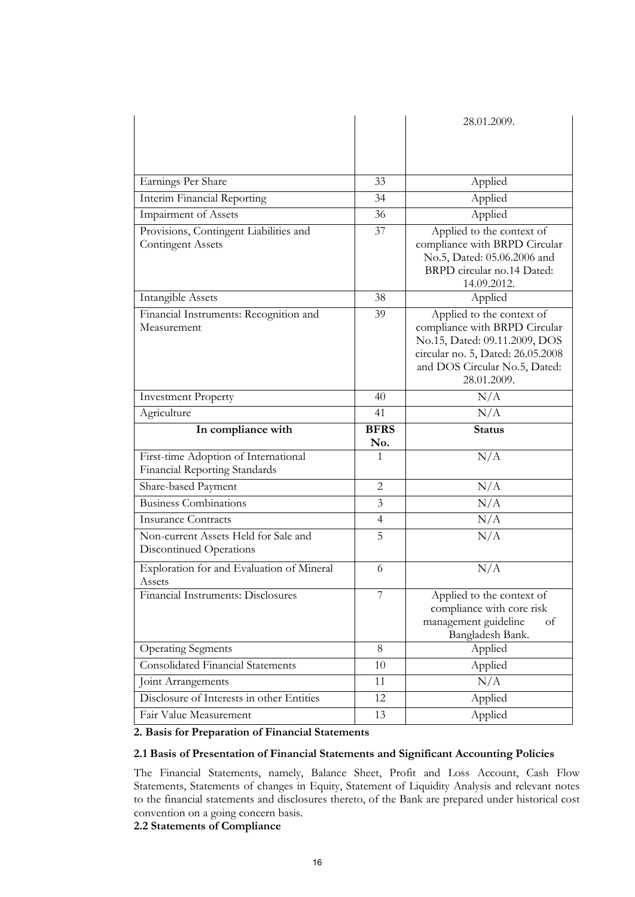|                                                                       |                | 28.01.2009.                                                                                                                                                                      |
|-----------------------------------------------------------------------|----------------|----------------------------------------------------------------------------------------------------------------------------------------------------------------------------------|
|                                                                       |                |                                                                                                                                                                                  |
|                                                                       |                |                                                                                                                                                                                  |
|                                                                       |                |                                                                                                                                                                                  |
| Earnings Per Share                                                    | 33             | Applied                                                                                                                                                                          |
| Interim Financial Reporting                                           | 34             | Applied                                                                                                                                                                          |
| Impairment of Assets                                                  | 36             | Applied                                                                                                                                                                          |
| Provisions, Contingent Liabilities and<br><b>Contingent Assets</b>    | 37             | Applied to the context of<br>compliance with BRPD Circular<br>No.5, Dated: 05.06.2006 and<br>BRPD circular no.14 Dated:<br>14.09.2012.                                           |
| <b>Intangible Assets</b>                                              | 38             | Applied                                                                                                                                                                          |
| Financial Instruments: Recognition and<br>Measurement                 | 39             | Applied to the context of<br>compliance with BRPD Circular<br>No.15, Dated: 09.11.2009, DOS<br>circular no. 5, Dated: 26.05.2008<br>and DOS Circular No.5, Dated:<br>28.01.2009. |
| <b>Investment Property</b>                                            | 40             | N/A                                                                                                                                                                              |
| Agriculture                                                           | 41             | N/A                                                                                                                                                                              |
|                                                                       |                |                                                                                                                                                                                  |
| In compliance with                                                    | <b>BFRS</b>    | <b>Status</b>                                                                                                                                                                    |
|                                                                       | No.            |                                                                                                                                                                                  |
| First-time Adoption of International<br>Financial Reporting Standards | $\mathbf{1}$   | N/A                                                                                                                                                                              |
| Share-based Payment                                                   | $\overline{2}$ | N/A                                                                                                                                                                              |
| <b>Business Combinations</b>                                          | 3              | N/A                                                                                                                                                                              |
| <b>Insurance Contracts</b>                                            | 4              | N/A                                                                                                                                                                              |
| Non-current Assets Held for Sale and<br>Discontinued Operations       | 5              | N/A                                                                                                                                                                              |
| Exploration for and Evaluation of Mineral<br>Assets                   | 6              | N/A                                                                                                                                                                              |
| Financial Instruments: Disclosures                                    |                | Applied to the context of<br>compliance with core risk<br>management guideline<br>of<br>Bangladesh Bank.                                                                         |
| <b>Operating Segments</b>                                             | 8              | Applied                                                                                                                                                                          |
| <b>Consolidated Financial Statements</b>                              | 10             | Applied                                                                                                                                                                          |
| Joint Arrangements                                                    | 11             | N/A                                                                                                                                                                              |
| Disclosure of Interests in other Entities                             | 12             | Applied                                                                                                                                                                          |

# **2. Basis for Preparation of Financial Statements**

# **2.1 Basis of Presentation of Financial Statements and Significant Accounting Policies**

The Financial Statements, namely, Balance Sheet, Profit and Loss Account, Cash Flow Statements, Statements of changes in Equity, Statement of Liquidity Analysis and relevant notes to the financial statements and disclosures thereto, of the Bank are prepared under historical cost convention on a going concern basis.

**2.2 Statements of Compliance**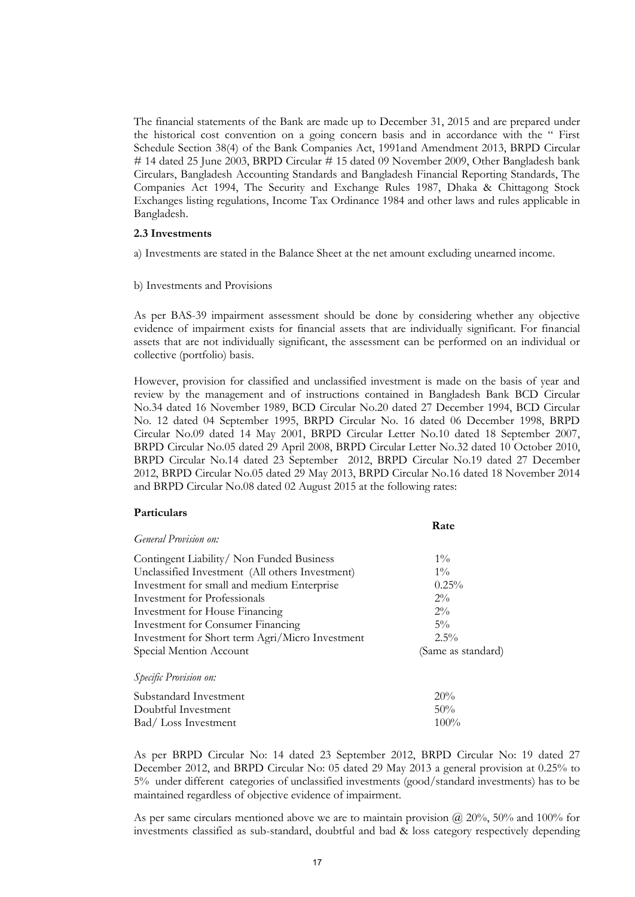The financial statements of the Bank are made up to December 31, 2015 and are prepared under the historical cost convention on a going concern basis and in accordance with the " First Schedule Section 38(4) of the Bank Companies Act, 1991and Amendment 2013, BRPD Circular # 14 dated 25 June 2003, BRPD Circular # 15 dated 09 November 2009, Other Bangladesh bank Circulars, Bangladesh Accounting Standards and Bangladesh Financial Reporting Standards, The Companies Act 1994, The Security and Exchange Rules 1987, Dhaka & Chittagong Stock Exchanges listing regulations, Income Tax Ordinance 1984 and other laws and rules applicable in Bangladesh.

#### **2.3 Investments**

a) Investments are stated in the Balance Sheet at the net amount excluding unearned income.

b) Investments and Provisions

As per BAS-39 impairment assessment should be done by considering whether any objective evidence of impairment exists for financial assets that are individually significant. For financial assets that are not individually significant, the assessment can be performed on an individual or collective (portfolio) basis.

However, provision for classified and unclassified investment is made on the basis of year and review by the management and of instructions contained in Bangladesh Bank BCD Circular No.34 dated 16 November 1989, BCD Circular No.20 dated 27 December 1994, BCD Circular No. 12 dated 04 September 1995, BRPD Circular No. 16 dated 06 December 1998, BRPD Circular No.09 dated 14 May 2001, BRPD Circular Letter No.10 dated 18 September 2007, BRPD Circular No.05 dated 29 April 2008, BRPD Circular Letter No.32 dated 10 October 2010, BRPD Circular No.14 dated 23 September 2012, BRPD Circular No.19 dated 27 December 2012, BRPD Circular No.05 dated 29 May 2013, BRPD Circular No.16 dated 18 November 2014 and BRPD Circular No.08 dated 02 August 2015 at the following rates:

# **Particulars**

|                                                 | Rate               |
|-------------------------------------------------|--------------------|
| <i>General Provision on:</i>                    |                    |
| Contingent Liability/Non Funded Business        | $1\%$              |
| Unclassified Investment (All others Investment) | $1\%$              |
| Investment for small and medium Enterprise      | 0.25%              |
| <b>Investment</b> for Professionals             | $2\%$              |
| Investment for House Financing                  | $2\%$              |
| Investment for Consumer Financing               | $5\%$              |
| Investment for Short term Agri/Micro Investment | $2.5\%$            |
| Special Mention Account                         | (Same as standard) |
| Specific Provision on:                          |                    |
| Substandard Investment                          | 20%                |
| Doubtful Investment                             | 50%                |
| Bad/Loss Investment                             | $100\%$            |

As per BRPD Circular No: 14 dated 23 September 2012, BRPD Circular No: 19 dated 27 December 2012, and BRPD Circular No: 05 dated 29 May 2013 a general provision at 0.25% to 5% under different categories of unclassified investments (good/standard investments) has to be maintained regardless of objective evidence of impairment.

As per same circulars mentioned above we are to maintain provision  $\omega$  20%, 50% and 100% for investments classified as sub-standard, doubtful and bad & loss category respectively depending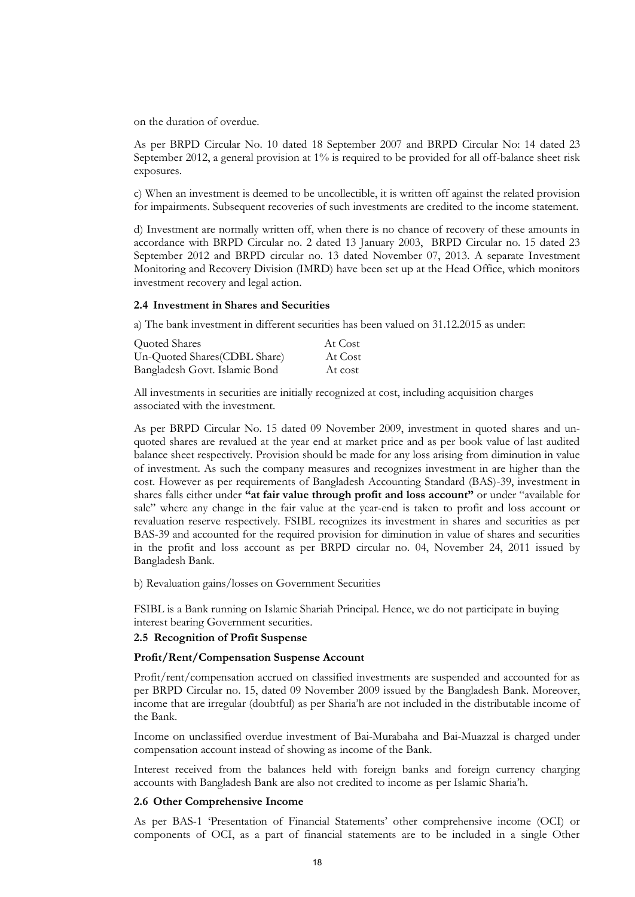on the duration of overdue.

As per BRPD Circular No. 10 dated 18 September 2007 and BRPD Circular No: 14 dated 23 September 2012, a general provision at 1% is required to be provided for all off-balance sheet risk exposures.

c) When an investment is deemed to be uncollectible, it is written off against the related provision for impairments. Subsequent recoveries of such investments are credited to the income statement.

d) Investment are normally written off, when there is no chance of recovery of these amounts in accordance with BRPD Circular no. 2 dated 13 January 2003, BRPD Circular no. 15 dated 23 September 2012 and BRPD circular no. 13 dated November 07, 2013. A separate Investment Monitoring and Recovery Division (IMRD) have been set up at the Head Office, which monitors investment recovery and legal action.

#### **2.4 Investment in Shares and Securities**

a) The bank investment in different securities has been valued on 31.12.2015 as under:

| Quoted Shares                 | At Cost |
|-------------------------------|---------|
| Un-Quoted Shares (CDBL Share) | At Cost |
| Bangladesh Govt. Islamic Bond | At cost |

All investments in securities are initially recognized at cost, including acquisition charges associated with the investment.

As per BRPD Circular No. 15 dated 09 November 2009, investment in quoted shares and unquoted shares are revalued at the year end at market price and as per book value of last audited balance sheet respectively. Provision should be made for any loss arising from diminution in value of investment. As such the company measures and recognizes investment in are higher than the cost. However as per requirements of Bangladesh Accounting Standard (BAS)-39, investment in shares falls either under **"at fair value through profit and loss account"** or under "available for sale" where any change in the fair value at the year-end is taken to profit and loss account or revaluation reserve respectively. FSIBL recognizes its investment in shares and securities as per BAS-39 and accounted for the required provision for diminution in value of shares and securities in the profit and loss account as per BRPD circular no. 04, November 24, 2011 issued by Bangladesh Bank.

b) Revaluation gains/losses on Government Securities

FSIBL is a Bank running on Islamic Shariah Principal. Hence, we do not participate in buying interest bearing Government securities.

#### **2.5 Recognition of Profit Suspense**

# **Profit/Rent/Compensation Suspense Account**

Profit/rent/compensation accrued on classified investments are suspended and accounted for as per BRPD Circular no. 15, dated 09 November 2009 issued by the Bangladesh Bank. Moreover, income that are irregular (doubtful) as per Sharia"h are not included in the distributable income of the Bank.

Income on unclassified overdue investment of Bai-Murabaha and Bai-Muazzal is charged under compensation account instead of showing as income of the Bank.

Interest received from the balances held with foreign banks and foreign currency charging accounts with Bangladesh Bank are also not credited to income as per Islamic Sharia"h.

## **2.6 Other Comprehensive Income**

As per BAS-1 "Presentation of Financial Statements" other comprehensive income (OCI) or components of OCI, as a part of financial statements are to be included in a single Other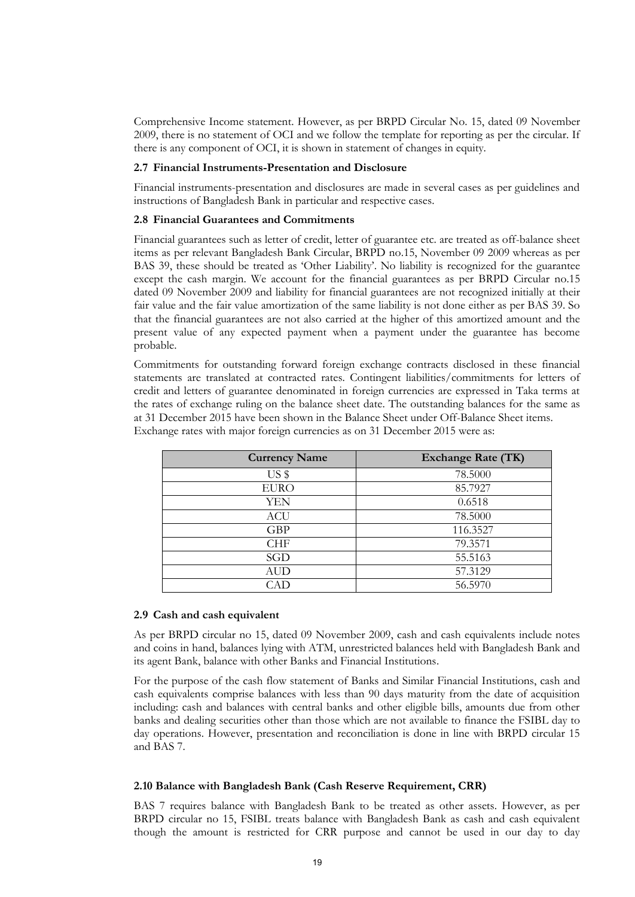Comprehensive Income statement. However, as per BRPD Circular No. 15, dated 09 November 2009, there is no statement of OCI and we follow the template for reporting as per the circular. If there is any component of OCI, it is shown in statement of changes in equity.

#### **2.7 Financial Instruments-Presentation and Disclosure**

Financial instruments-presentation and disclosures are made in several cases as per guidelines and instructions of Bangladesh Bank in particular and respective cases.

#### **2.8 Financial Guarantees and Commitments**

Financial guarantees such as letter of credit, letter of guarantee etc. are treated as off-balance sheet items as per relevant Bangladesh Bank Circular, BRPD no.15, November 09 2009 whereas as per BAS 39, these should be treated as "Other Liability". No liability is recognized for the guarantee except the cash margin. We account for the financial guarantees as per BRPD Circular no.15 dated 09 November 2009 and liability for financial guarantees are not recognized initially at their fair value and the fair value amortization of the same liability is not done either as per BAS 39. So that the financial guarantees are not also carried at the higher of this amortized amount and the present value of any expected payment when a payment under the guarantee has become probable.

Commitments for outstanding forward foreign exchange contracts disclosed in these financial statements are translated at contracted rates. Contingent liabilities/commitments for letters of credit and letters of guarantee denominated in foreign currencies are expressed in Taka terms at the rates of exchange ruling on the balance sheet date. The outstanding balances for the same as at 31 December 2015 have been shown in the Balance Sheet under Off-Balance Sheet items. Exchange rates with major foreign currencies as on 31 December 2015 were as:

| <b>Currency Name</b> | <b>Exchange Rate (TK)</b> |
|----------------------|---------------------------|
| US <sub>s</sub>      | 78.5000                   |
| <b>EURO</b>          | 85.7927                   |
| YEN                  | 0.6518                    |
| <b>ACU</b>           | 78.5000                   |
| <b>GBP</b>           | 116.3527                  |
| <b>CHF</b>           | 79.3571                   |
| SGD                  | 55.5163                   |
| <b>AUD</b>           | 57.3129                   |
| $\bigcirc$ ad        | 56.5970                   |

#### **2.9 Cash and cash equivalent**

As per BRPD circular no 15, dated 09 November 2009, cash and cash equivalents include notes and coins in hand, balances lying with ATM, unrestricted balances held with Bangladesh Bank and its agent Bank, balance with other Banks and Financial Institutions.

For the purpose of the cash flow statement of Banks and Similar Financial Institutions, cash and cash equivalents comprise balances with less than 90 days maturity from the date of acquisition including: cash and balances with central banks and other eligible bills, amounts due from other banks and dealing securities other than those which are not available to finance the FSIBL day to day operations. However, presentation and reconciliation is done in line with BRPD circular 15 and BAS 7.

#### **2.10 Balance with Bangladesh Bank (Cash Reserve Requirement, CRR)**

BAS 7 requires balance with Bangladesh Bank to be treated as other assets. However, as per BRPD circular no 15, FSIBL treats balance with Bangladesh Bank as cash and cash equivalent though the amount is restricted for CRR purpose and cannot be used in our day to day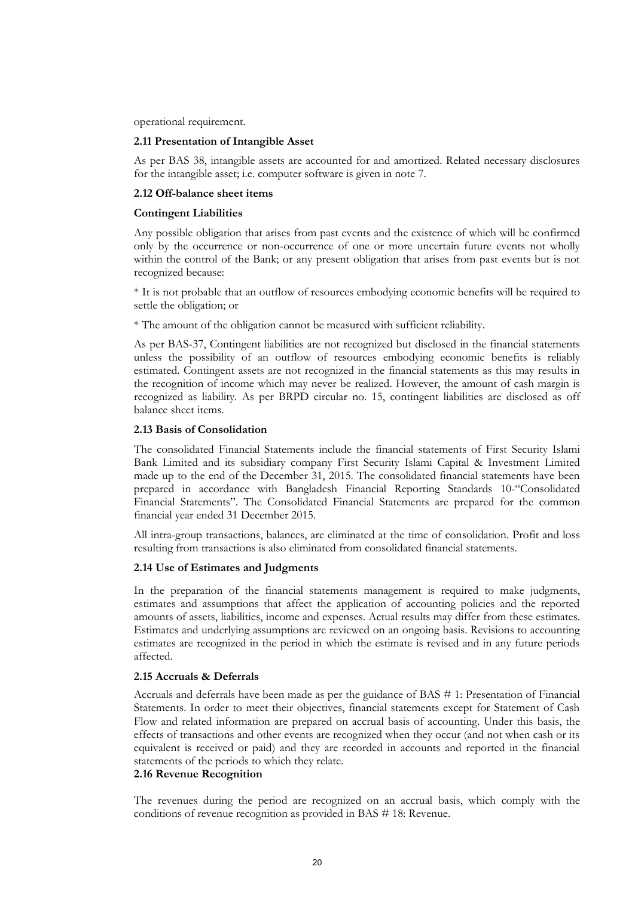operational requirement.

# **2.11 Presentation of Intangible Asset**

As per BAS 38, intangible assets are accounted for and amortized. Related necessary disclosures for the intangible asset; i.e. computer software is given in note 7.

# **2.12 Off-balance sheet items**

#### **Contingent Liabilities**

Any possible obligation that arises from past events and the existence of which will be confirmed only by the occurrence or non-occurrence of one or more uncertain future events not wholly within the control of the Bank; or any present obligation that arises from past events but is not recognized because:

\* It is not probable that an outflow of resources embodying economic benefits will be required to settle the obligation; or

\* The amount of the obligation cannot be measured with sufficient reliability.

As per BAS-37, Contingent liabilities are not recognized but disclosed in the financial statements unless the possibility of an outflow of resources embodying economic benefits is reliably estimated. Contingent assets are not recognized in the financial statements as this may results in the recognition of income which may never be realized. However, the amount of cash margin is recognized as liability. As per BRPD circular no. 15, contingent liabilities are disclosed as off balance sheet items.

# **2.13 Basis of Consolidation**

The consolidated Financial Statements include the financial statements of First Security Islami Bank Limited and its subsidiary company First Security Islami Capital & Investment Limited made up to the end of the December 31, 2015. The consolidated financial statements have been prepared in accordance with Bangladesh Financial Reporting Standards 10-"Consolidated Financial Statements". The Consolidated Financial Statements are prepared for the common financial year ended 31 December 2015.

All intra-group transactions, balances, are eliminated at the time of consolidation. Profit and loss resulting from transactions is also eliminated from consolidated financial statements.

# **2.14 Use of Estimates and Judgments**

In the preparation of the financial statements management is required to make judgments, estimates and assumptions that affect the application of accounting policies and the reported amounts of assets, liabilities, income and expenses. Actual results may differ from these estimates. Estimates and underlying assumptions are reviewed on an ongoing basis. Revisions to accounting estimates are recognized in the period in which the estimate is revised and in any future periods affected.

# **2.15 Accruals & Deferrals**

Accruals and deferrals have been made as per the guidance of BAS # 1: Presentation of Financial Statements. In order to meet their objectives, financial statements except for Statement of Cash Flow and related information are prepared on accrual basis of accounting. Under this basis, the effects of transactions and other events are recognized when they occur (and not when cash or its equivalent is received or paid) and they are recorded in accounts and reported in the financial statements of the periods to which they relate.

# **2.16 Revenue Recognition**

The revenues during the period are recognized on an accrual basis, which comply with the conditions of revenue recognition as provided in BAS # 18: Revenue.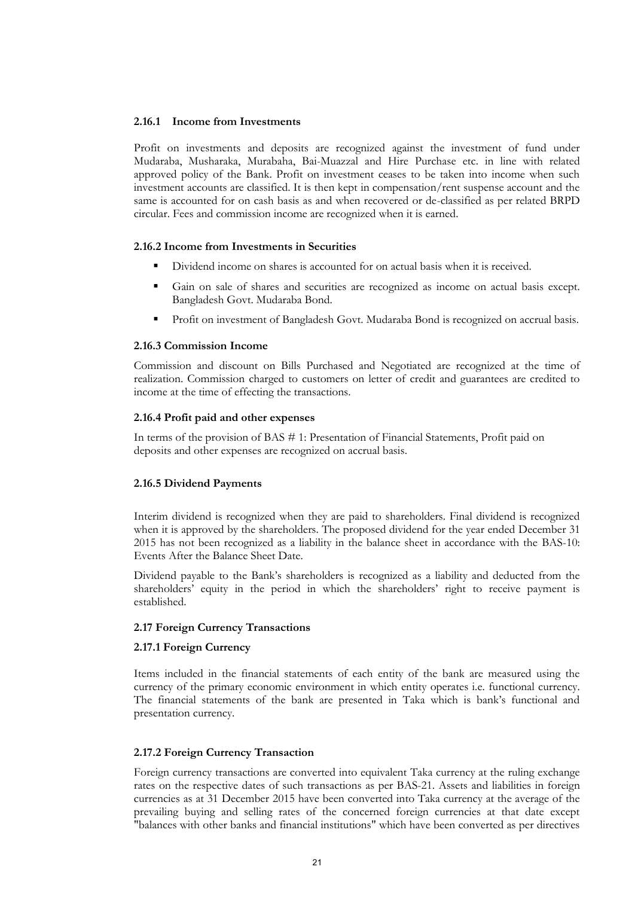# **2.16.1 Income from Investments**

Profit on investments and deposits are recognized against the investment of fund under Mudaraba, Musharaka, Murabaha, Bai-Muazzal and Hire Purchase etc. in line with related approved policy of the Bank. Profit on investment ceases to be taken into income when such investment accounts are classified. It is then kept in compensation/rent suspense account and the same is accounted for on cash basis as and when recovered or de-classified as per related BRPD circular. Fees and commission income are recognized when it is earned.

# **2.16.2 Income from Investments in Securities**

- Dividend income on shares is accounted for on actual basis when it is received.
- Gain on sale of shares and securities are recognized as income on actual basis except. Bangladesh Govt. Mudaraba Bond.
- Profit on investment of Bangladesh Govt. Mudaraba Bond is recognized on accrual basis.

# **2.16.3 Commission Income**

Commission and discount on Bills Purchased and Negotiated are recognized at the time of realization. Commission charged to customers on letter of credit and guarantees are credited to income at the time of effecting the transactions.

# **2.16.4 Profit paid and other expenses**

In terms of the provision of BAS # 1: Presentation of Financial Statements, Profit paid on deposits and other expenses are recognized on accrual basis.

# **2.16.5 Dividend Payments**

Interim dividend is recognized when they are paid to shareholders. Final dividend is recognized when it is approved by the shareholders. The proposed dividend for the year ended December 31 2015 has not been recognized as a liability in the balance sheet in accordance with the BAS-10: Events After the Balance Sheet Date.

Dividend payable to the Bank"s shareholders is recognized as a liability and deducted from the shareholders" equity in the period in which the shareholders" right to receive payment is established.

# **2.17 Foreign Currency Transactions**

# **2.17.1 Foreign Currency**

Items included in the financial statements of each entity of the bank are measured using the currency of the primary economic environment in which entity operates i.e. functional currency. The financial statements of the bank are presented in Taka which is bank"s functional and presentation currency.

# **2.17.2 Foreign Currency Transaction**

Foreign currency transactions are converted into equivalent Taka currency at the ruling exchange rates on the respective dates of such transactions as per BAS-21. Assets and liabilities in foreign currencies as at 31 December 2015 have been converted into Taka currency at the average of the prevailing buying and selling rates of the concerned foreign currencies at that date except "balances with other banks and financial institutions" which have been converted as per directives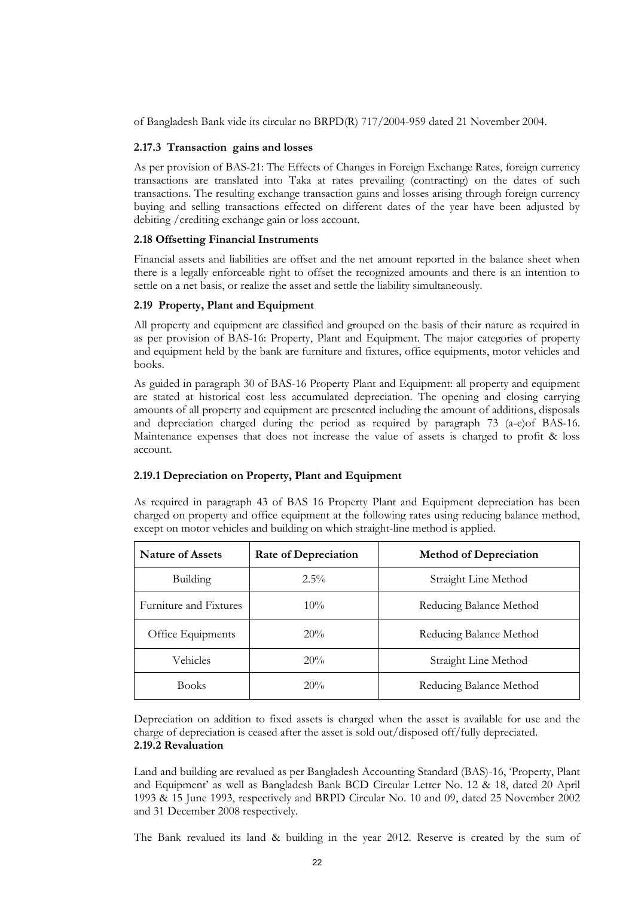of Bangladesh Bank vide its circular no BRPD(R) 717/2004-959 dated 21 November 2004.

# **2.17.3 Transaction gains and losses**

As per provision of BAS-21: The Effects of Changes in Foreign Exchange Rates, foreign currency transactions are translated into Taka at rates prevailing (contracting) on the dates of such transactions. The resulting exchange transaction gains and losses arising through foreign currency buying and selling transactions effected on different dates of the year have been adjusted by debiting /crediting exchange gain or loss account.

# **2.18 Offsetting Financial Instruments**

Financial assets and liabilities are offset and the net amount reported in the balance sheet when there is a legally enforceable right to offset the recognized amounts and there is an intention to settle on a net basis, or realize the asset and settle the liability simultaneously.

# **2.19 Property, Plant and Equipment**

All property and equipment are classified and grouped on the basis of their nature as required in as per provision of BAS-16: Property, Plant and Equipment. The major categories of property and equipment held by the bank are furniture and fixtures, office equipments, motor vehicles and books.

As guided in paragraph 30 of BAS-16 Property Plant and Equipment: all property and equipment are stated at historical cost less accumulated depreciation. The opening and closing carrying amounts of all property and equipment are presented including the amount of additions, disposals and depreciation charged during the period as required by paragraph 73 (a-e)of BAS-16. Maintenance expenses that does not increase the value of assets is charged to profit & loss account.

# **2.19.1 Depreciation on Property, Plant and Equipment**

As required in paragraph 43 of BAS 16 Property Plant and Equipment depreciation has been charged on property and office equipment at the following rates using reducing balance method, except on motor vehicles and building on which straight-line method is applied.

| <b>Nature of Assets</b> | <b>Rate of Depreciation</b>     | <b>Method of Depreciation</b> |  |
|-------------------------|---------------------------------|-------------------------------|--|
| Building                | $2.5\%$<br>Straight Line Method |                               |  |
| Furniture and Fixtures  | $10\%$                          | Reducing Balance Method       |  |
| Office Equipments       | 20%                             | Reducing Balance Method       |  |
| Vehicles                | 20%                             | Straight Line Method          |  |
| <b>Books</b>            | 20%                             | Reducing Balance Method       |  |

Depreciation on addition to fixed assets is charged when the asset is available for use and the charge of depreciation is ceased after the asset is sold out/disposed off/fully depreciated. **2.19.2 Revaluation** 

Land and building are revalued as per Bangladesh Accounting Standard (BAS)-16, "Property, Plant and Equipment' as well as Bangladesh Bank BCD Circular Letter No. 12 & 18, dated 20 April 1993 & 15 June 1993, respectively and BRPD Circular No. 10 and 09, dated 25 November 2002 and 31 December 2008 respectively.

The Bank revalued its land & building in the year 2012. Reserve is created by the sum of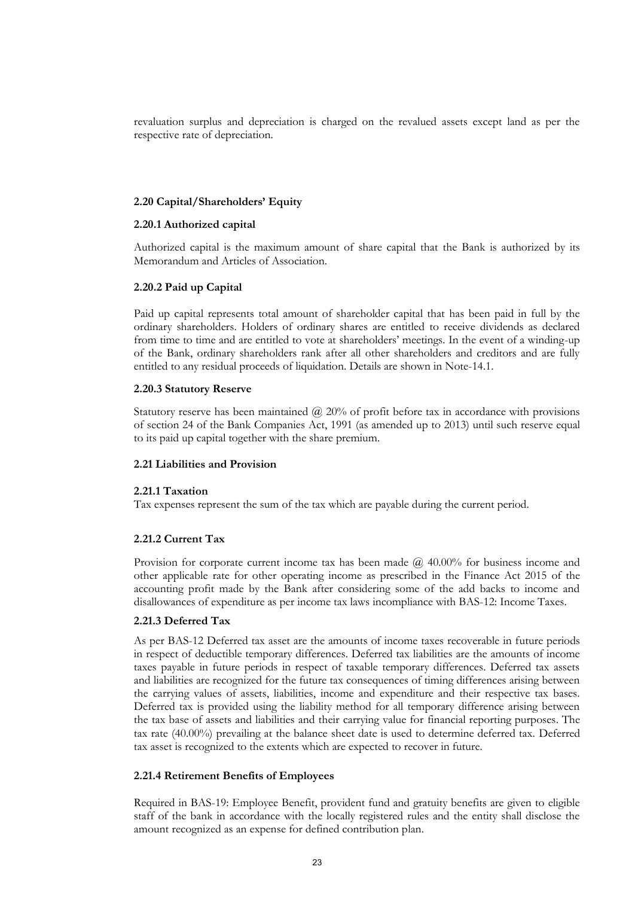revaluation surplus and depreciation is charged on the revalued assets except land as per the respective rate of depreciation.

# **2.20 Capital/Shareholders' Equity**

# **2.20.1 Authorized capital**

Authorized capital is the maximum amount of share capital that the Bank is authorized by its Memorandum and Articles of Association.

# **2.20.2 Paid up Capital**

Paid up capital represents total amount of shareholder capital that has been paid in full by the ordinary shareholders. Holders of ordinary shares are entitled to receive dividends as declared from time to time and are entitled to vote at shareholders" meetings. In the event of a winding-up of the Bank, ordinary shareholders rank after all other shareholders and creditors and are fully entitled to any residual proceeds of liquidation. Details are shown in Note-14.1.

# **2.20.3 Statutory Reserve**

Statutory reserve has been maintained  $\omega$  20% of profit before tax in accordance with provisions of section 24 of the Bank Companies Act, 1991 (as amended up to 2013) until such reserve equal to its paid up capital together with the share premium.

# **2.21 Liabilities and Provision**

# **2.21.1 Taxation**

Tax expenses represent the sum of the tax which are payable during the current period.

# **2.21.2 Current Tax**

Provision for corporate current income tax has been made  $\omega$  40.00% for business income and other applicable rate for other operating income as prescribed in the Finance Act 2015 of the accounting profit made by the Bank after considering some of the add backs to income and disallowances of expenditure as per income tax laws incompliance with BAS-12: Income Taxes.

# **2.21.3 Deferred Tax**

As per BAS-12 Deferred tax asset are the amounts of income taxes recoverable in future periods in respect of deductible temporary differences. Deferred tax liabilities are the amounts of income taxes payable in future periods in respect of taxable temporary differences. Deferred tax assets and liabilities are recognized for the future tax consequences of timing differences arising between the carrying values of assets, liabilities, income and expenditure and their respective tax bases. Deferred tax is provided using the liability method for all temporary difference arising between the tax base of assets and liabilities and their carrying value for financial reporting purposes. The tax rate (40.00%) prevailing at the balance sheet date is used to determine deferred tax. Deferred tax asset is recognized to the extents which are expected to recover in future.

# **2.21.4 Retirement Benefits of Employees**

Required in BAS-19: Employee Benefit, provident fund and gratuity benefits are given to eligible staff of the bank in accordance with the locally registered rules and the entity shall disclose the amount recognized as an expense for defined contribution plan.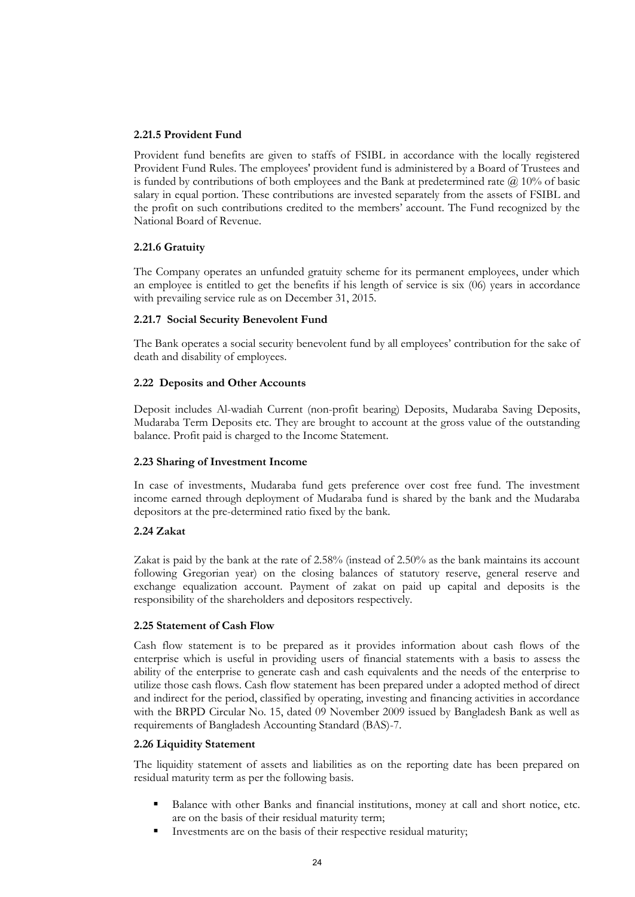# **2.21.5 Provident Fund**

Provident fund benefits are given to staffs of FSIBL in accordance with the locally registered Provident Fund Rules. The employees' provident fund is administered by a Board of Trustees and is funded by contributions of both employees and the Bank at predetermined rate  $\omega$  10% of basic salary in equal portion. These contributions are invested separately from the assets of FSIBL and the profit on such contributions credited to the members' account. The Fund recognized by the National Board of Revenue.

# **2.21.6 Gratuity**

The Company operates an unfunded gratuity scheme for its permanent employees, under which an employee is entitled to get the benefits if his length of service is six (06) years in accordance with prevailing service rule as on December 31, 2015.

# **2.21.7 Social Security Benevolent Fund**

The Bank operates a social security benevolent fund by all employees" contribution for the sake of death and disability of employees.

# **2.22 Deposits and Other Accounts**

Deposit includes Al-wadiah Current (non-profit bearing) Deposits, Mudaraba Saving Deposits, Mudaraba Term Deposits etc. They are brought to account at the gross value of the outstanding balance. Profit paid is charged to the Income Statement.

# **2.23 Sharing of Investment Income**

In case of investments, Mudaraba fund gets preference over cost free fund. The investment income earned through deployment of Mudaraba fund is shared by the bank and the Mudaraba depositors at the pre-determined ratio fixed by the bank.

# **2.24 Zakat**

Zakat is paid by the bank at the rate of 2.58% (instead of 2.50% as the bank maintains its account following Gregorian year) on the closing balances of statutory reserve, general reserve and exchange equalization account. Payment of zakat on paid up capital and deposits is the responsibility of the shareholders and depositors respectively.

# **2.25 Statement of Cash Flow**

Cash flow statement is to be prepared as it provides information about cash flows of the enterprise which is useful in providing users of financial statements with a basis to assess the ability of the enterprise to generate cash and cash equivalents and the needs of the enterprise to utilize those cash flows. Cash flow statement has been prepared under a adopted method of direct and indirect for the period, classified by operating, investing and financing activities in accordance with the BRPD Circular No. 15, dated 09 November 2009 issued by Bangladesh Bank as well as requirements of Bangladesh Accounting Standard (BAS)-7.

# **2.26 Liquidity Statement**

The liquidity statement of assets and liabilities as on the reporting date has been prepared on residual maturity term as per the following basis.

- Balance with other Banks and financial institutions, money at call and short notice, etc. are on the basis of their residual maturity term;
- Investments are on the basis of their respective residual maturity;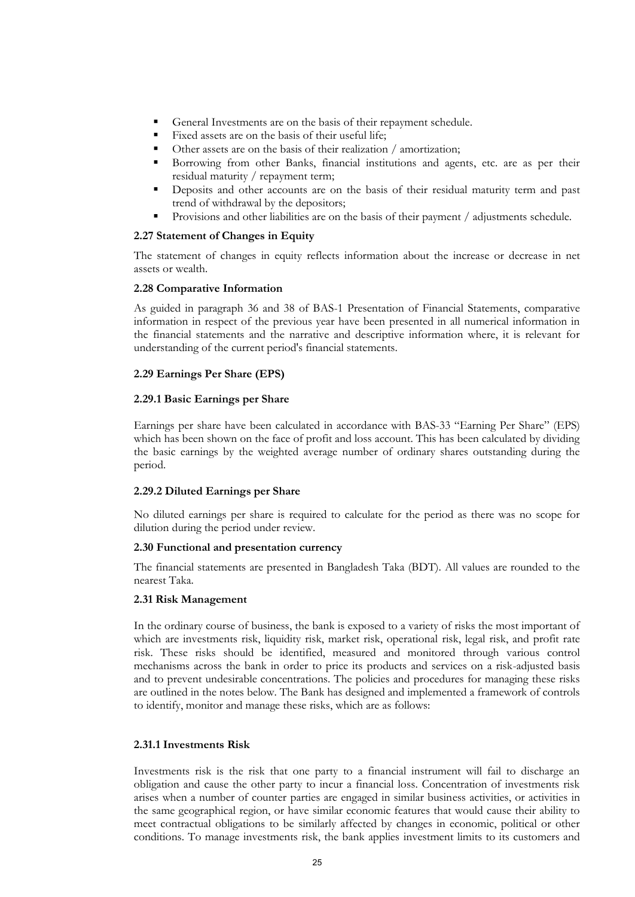- General Investments are on the basis of their repayment schedule.
- Fixed assets are on the basis of their useful life;
- Other assets are on the basis of their realization / amortization;
- Borrowing from other Banks, financial institutions and agents, etc. are as per their residual maturity / repayment term;
- Deposits and other accounts are on the basis of their residual maturity term and past trend of withdrawal by the depositors;
- Provisions and other liabilities are on the basis of their payment / adjustments schedule.

# **2.27 Statement of Changes in Equity**

The statement of changes in equity reflects information about the increase or decrease in net assets or wealth.

# **2.28 Comparative Information**

As guided in paragraph 36 and 38 of BAS-1 Presentation of Financial Statements, comparative information in respect of the previous year have been presented in all numerical information in the financial statements and the narrative and descriptive information where, it is relevant for understanding of the current period's financial statements.

# **2.29 Earnings Per Share (EPS)**

# **2.29.1 Basic Earnings per Share**

Earnings per share have been calculated in accordance with BAS-33 "Earning Per Share" (EPS) which has been shown on the face of profit and loss account. This has been calculated by dividing the basic earnings by the weighted average number of ordinary shares outstanding during the period.

# **2.29.2 Diluted Earnings per Share**

No diluted earnings per share is required to calculate for the period as there was no scope for dilution during the period under review.

# **2.30 Functional and presentation currency**

The financial statements are presented in Bangladesh Taka (BDT). All values are rounded to the nearest Taka.

# **2.31 Risk Management**

In the ordinary course of business, the bank is exposed to a variety of risks the most important of which are investments risk, liquidity risk, market risk, operational risk, legal risk, and profit rate risk. These risks should be identified, measured and monitored through various control mechanisms across the bank in order to price its products and services on a risk-adjusted basis and to prevent undesirable concentrations. The policies and procedures for managing these risks are outlined in the notes below. The Bank has designed and implemented a framework of controls to identify, monitor and manage these risks, which are as follows:

# **2.31.1 Investments Risk**

Investments risk is the risk that one party to a financial instrument will fail to discharge an obligation and cause the other party to incur a financial loss. Concentration of investments risk arises when a number of counter parties are engaged in similar business activities, or activities in the same geographical region, or have similar economic features that would cause their ability to meet contractual obligations to be similarly affected by changes in economic, political or other conditions. To manage investments risk, the bank applies investment limits to its customers and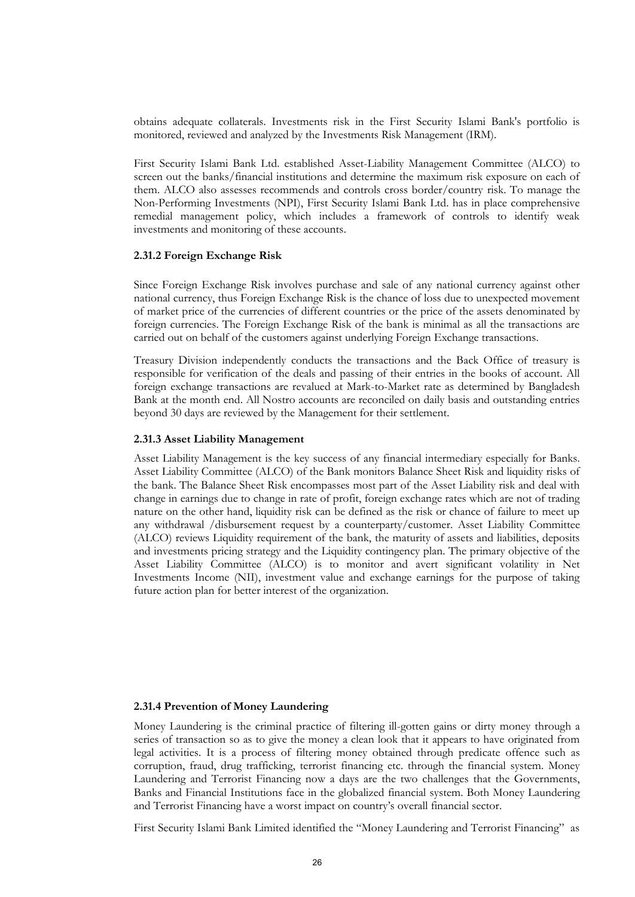obtains adequate collaterals. Investments risk in the First Security Islami Bank's portfolio is monitored, reviewed and analyzed by the Investments Risk Management (IRM).

First Security Islami Bank Ltd. established Asset-Liability Management Committee (ALCO) to screen out the banks/financial institutions and determine the maximum risk exposure on each of them. ALCO also assesses recommends and controls cross border/country risk. To manage the Non-Performing Investments (NPI), First Security Islami Bank Ltd. has in place comprehensive remedial management policy, which includes a framework of controls to identify weak investments and monitoring of these accounts.

#### **2.31.2 Foreign Exchange Risk**

Since Foreign Exchange Risk involves purchase and sale of any national currency against other national currency, thus Foreign Exchange Risk is the chance of loss due to unexpected movement of market price of the currencies of different countries or the price of the assets denominated by foreign currencies. The Foreign Exchange Risk of the bank is minimal as all the transactions are carried out on behalf of the customers against underlying Foreign Exchange transactions.

Treasury Division independently conducts the transactions and the Back Office of treasury is responsible for verification of the deals and passing of their entries in the books of account. All foreign exchange transactions are revalued at Mark-to-Market rate as determined by Bangladesh Bank at the month end. All Nostro accounts are reconciled on daily basis and outstanding entries beyond 30 days are reviewed by the Management for their settlement.

# **2.31.3 Asset Liability Management**

Asset Liability Management is the key success of any financial intermediary especially for Banks. Asset Liability Committee (ALCO) of the Bank monitors Balance Sheet Risk and liquidity risks of the bank. The Balance Sheet Risk encompasses most part of the Asset Liability risk and deal with change in earnings due to change in rate of profit, foreign exchange rates which are not of trading nature on the other hand, liquidity risk can be defined as the risk or chance of failure to meet up any withdrawal /disbursement request by a counterparty/customer. Asset Liability Committee (ALCO) reviews Liquidity requirement of the bank, the maturity of assets and liabilities, deposits and investments pricing strategy and the Liquidity contingency plan. The primary objective of the Asset Liability Committee (ALCO) is to monitor and avert significant volatility in Net Investments Income (NII), investment value and exchange earnings for the purpose of taking future action plan for better interest of the organization.

## **2.31.4 Prevention of Money Laundering**

Money Laundering is the criminal practice of filtering ill-gotten gains or dirty money through a series of transaction so as to give the money a clean look that it appears to have originated from legal activities. It is a process of filtering money obtained through predicate offence such as corruption, fraud, drug trafficking, terrorist financing etc. through the financial system. Money Laundering and Terrorist Financing now a days are the two challenges that the Governments, Banks and Financial Institutions face in the globalized financial system. Both Money Laundering and Terrorist Financing have a worst impact on country"s overall financial sector.

First Security Islami Bank Limited identified the "Money Laundering and Terrorist Financing" as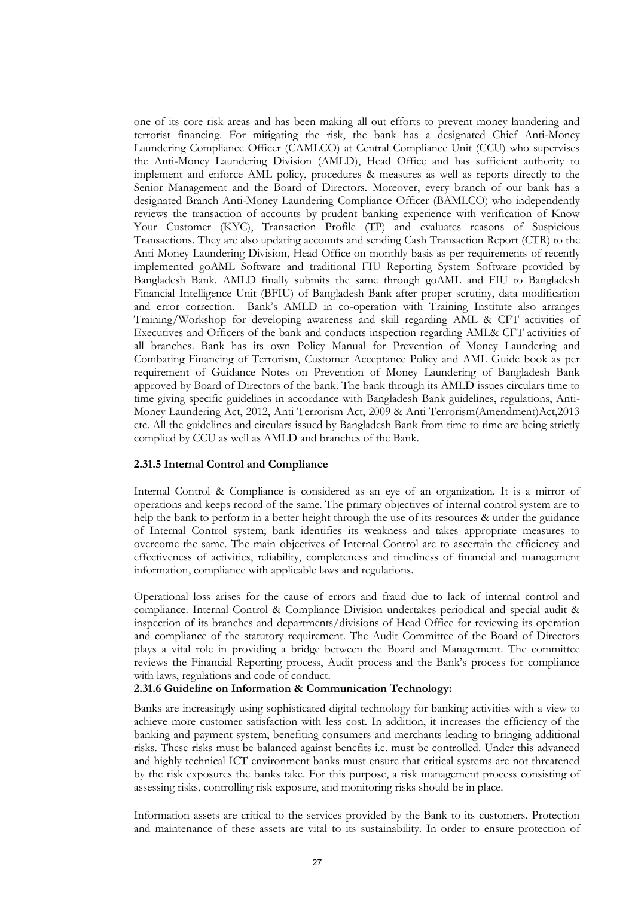one of its core risk areas and has been making all out efforts to prevent money laundering and terrorist financing. For mitigating the risk, the bank has a designated Chief Anti-Money Laundering Compliance Officer (CAMLCO) at Central Compliance Unit (CCU) who supervises the Anti-Money Laundering Division (AMLD), Head Office and has sufficient authority to implement and enforce AML policy, procedures & measures as well as reports directly to the Senior Management and the Board of Directors. Moreover, every branch of our bank has a designated Branch Anti-Money Laundering Compliance Officer (BAMLCO) who independently reviews the transaction of accounts by prudent banking experience with verification of Know Your Customer (KYC), Transaction Profile (TP) and evaluates reasons of Suspicious Transactions. They are also updating accounts and sending Cash Transaction Report (CTR) to the Anti Money Laundering Division, Head Office on monthly basis as per requirements of recently implemented goAML Software and traditional FIU Reporting System Software provided by Bangladesh Bank. AMLD finally submits the same through goAML and FIU to Bangladesh Financial Intelligence Unit (BFIU) of Bangladesh Bank after proper scrutiny, data modification and error correction. Bank"s AMLD in co-operation with Training Institute also arranges Training/Workshop for developing awareness and skill regarding AML & CFT activities of Executives and Officers of the bank and conducts inspection regarding AML& CFT activities of all branches. Bank has its own Policy Manual for Prevention of Money Laundering and Combating Financing of Terrorism, Customer Acceptance Policy and AML Guide book as per requirement of Guidance Notes on Prevention of Money Laundering of Bangladesh Bank approved by Board of Directors of the bank. The bank through its AMLD issues circulars time to time giving specific guidelines in accordance with Bangladesh Bank guidelines, regulations, Anti-Money Laundering Act, 2012, Anti Terrorism Act, 2009 & Anti Terrorism(Amendment)Act,2013 etc. All the guidelines and circulars issued by Bangladesh Bank from time to time are being strictly complied by CCU as well as AMLD and branches of the Bank.

# **2.31.5 Internal Control and Compliance**

Internal Control & Compliance is considered as an eye of an organization. It is a mirror of operations and keeps record of the same. The primary objectives of internal control system are to help the bank to perform in a better height through the use of its resources & under the guidance of Internal Control system; bank identifies its weakness and takes appropriate measures to overcome the same. The main objectives of Internal Control are to ascertain the efficiency and effectiveness of activities, reliability, completeness and timeliness of financial and management information, compliance with applicable laws and regulations.

Operational loss arises for the cause of errors and fraud due to lack of internal control and compliance. Internal Control & Compliance Division undertakes periodical and special audit & inspection of its branches and departments/divisions of Head Office for reviewing its operation and compliance of the statutory requirement. The Audit Committee of the Board of Directors plays a vital role in providing a bridge between the Board and Management. The committee reviews the Financial Reporting process, Audit process and the Bank"s process for compliance with laws, regulations and code of conduct.

# **2.31.6 Guideline on Information & Communication Technology:**

Banks are increasingly using sophisticated digital technology for banking activities with a view to achieve more customer satisfaction with less cost. In addition, it increases the efficiency of the banking and payment system, benefiting consumers and merchants leading to bringing additional risks. These risks must be balanced against benefits i.e. must be controlled. Under this advanced and highly technical ICT environment banks must ensure that critical systems are not threatened by the risk exposures the banks take. For this purpose, a risk management process consisting of assessing risks, controlling risk exposure, and monitoring risks should be in place.

Information assets are critical to the services provided by the Bank to its customers. Protection and maintenance of these assets are vital to its sustainability. In order to ensure protection of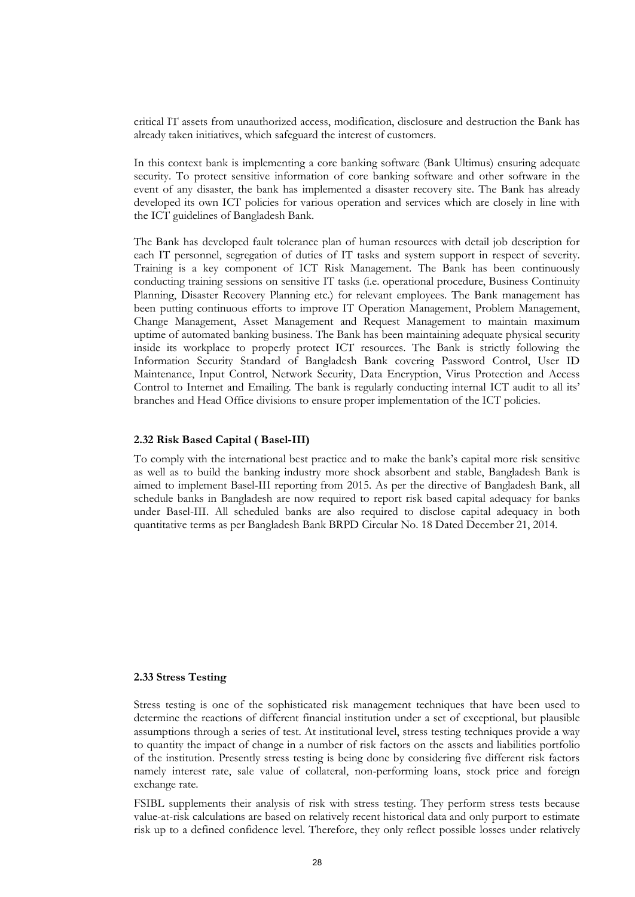critical IT assets from unauthorized access, modification, disclosure and destruction the Bank has already taken initiatives, which safeguard the interest of customers.

In this context bank is implementing a core banking software (Bank Ultimus) ensuring adequate security. To protect sensitive information of core banking software and other software in the event of any disaster, the bank has implemented a disaster recovery site. The Bank has already developed its own ICT policies for various operation and services which are closely in line with the ICT guidelines of Bangladesh Bank.

The Bank has developed fault tolerance plan of human resources with detail job description for each IT personnel, segregation of duties of IT tasks and system support in respect of severity. Training is a key component of ICT Risk Management. The Bank has been continuously conducting training sessions on sensitive IT tasks (i.e. operational procedure, Business Continuity Planning, Disaster Recovery Planning etc.) for relevant employees. The Bank management has been putting continuous efforts to improve IT Operation Management, Problem Management, Change Management, Asset Management and Request Management to maintain maximum uptime of automated banking business. The Bank has been maintaining adequate physical security inside its workplace to properly protect ICT resources. The Bank is strictly following the Information Security Standard of Bangladesh Bank covering Password Control, User ID Maintenance, Input Control, Network Security, Data Encryption, Virus Protection and Access Control to Internet and Emailing. The bank is regularly conducting internal ICT audit to all its' branches and Head Office divisions to ensure proper implementation of the ICT policies.

# **2.32 Risk Based Capital ( Basel-III)**

To comply with the international best practice and to make the bank"s capital more risk sensitive as well as to build the banking industry more shock absorbent and stable, Bangladesh Bank is aimed to implement Basel-III reporting from 2015. As per the directive of Bangladesh Bank, all schedule banks in Bangladesh are now required to report risk based capital adequacy for banks under Basel-III. All scheduled banks are also required to disclose capital adequacy in both quantitative terms as per Bangladesh Bank BRPD Circular No. 18 Dated December 21, 2014.

#### **2.33 Stress Testing**

Stress testing is one of the sophisticated risk management techniques that have been used to determine the reactions of different financial institution under a set of exceptional, but plausible assumptions through a series of test. At institutional level, stress testing techniques provide a way to quantity the impact of change in a number of risk factors on the assets and liabilities portfolio of the institution. Presently stress testing is being done by considering five different risk factors namely interest rate, sale value of collateral, non-performing loans, stock price and foreign exchange rate.

FSIBL supplements their analysis of risk with stress testing. They perform stress tests because value-at-risk calculations are based on relatively recent historical data and only purport to estimate risk up to a defined confidence level. Therefore, they only reflect possible losses under relatively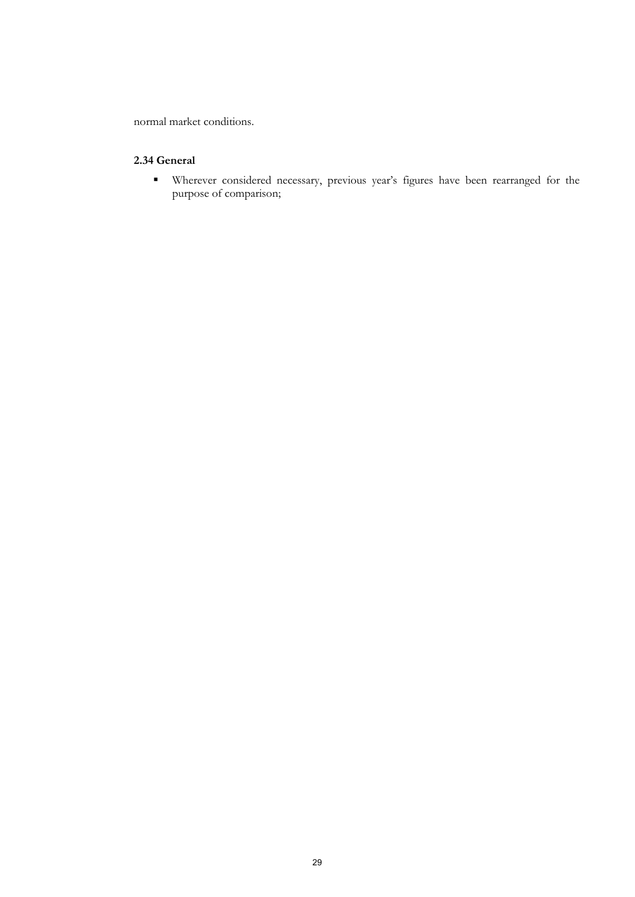normal market conditions.

# **2.34 General**

 Wherever considered necessary, previous year"s figures have been rearranged for the purpose of comparison;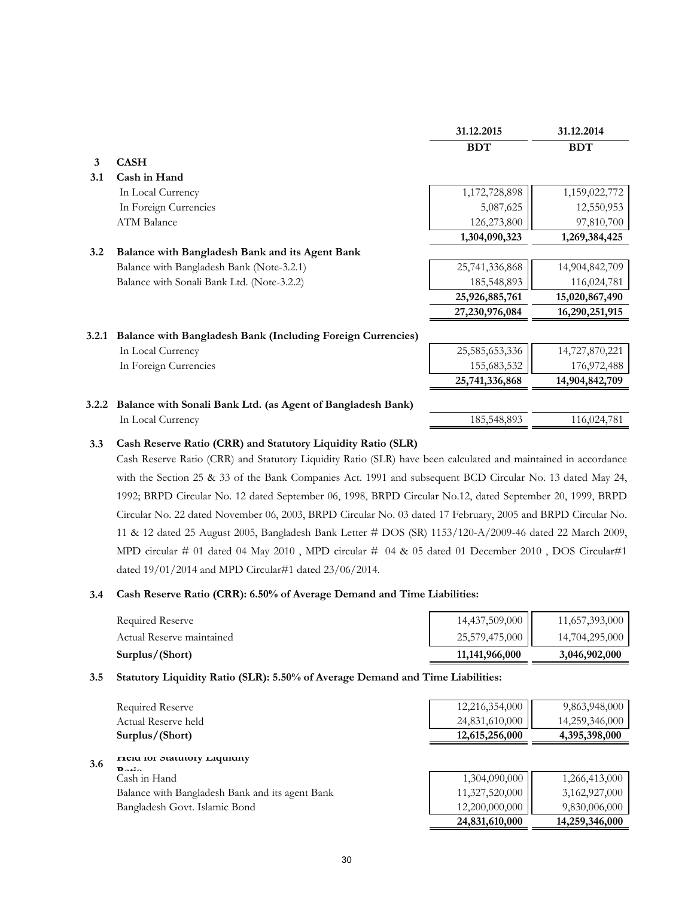|       |                                                                    | 31.12.2015     | 31.12.2014     |
|-------|--------------------------------------------------------------------|----------------|----------------|
|       |                                                                    | <b>BDT</b>     | <b>BDT</b>     |
| 3     | <b>CASH</b>                                                        |                |                |
| 3.1   | Cash in Hand                                                       |                |                |
|       | In Local Currency                                                  | 1,172,728,898  | 1,159,022,772  |
|       | In Foreign Currencies                                              | 5,087,625      | 12,550,953     |
|       | <b>ATM Balance</b>                                                 | 126,273,800    | 97,810,700     |
|       |                                                                    | 1,304,090,323  | 1,269,384,425  |
| 3.2   | Balance with Bangladesh Bank and its Agent Bank                    |                |                |
|       | Balance with Bangladesh Bank (Note-3.2.1)                          | 25,741,336,868 | 14,904,842,709 |
|       | Balance with Sonali Bank Ltd. (Note-3.2.2)                         | 185,548,893    | 116,024,781    |
|       |                                                                    | 25,926,885,761 | 15,020,867,490 |
|       |                                                                    | 27,230,976,084 | 16,290,251,915 |
| 3.2.1 | <b>Balance with Bangladesh Bank (Including Foreign Currencies)</b> |                |                |
|       | In Local Currency                                                  | 25,585,653,336 | 14,727,870,221 |
|       | In Foreign Currencies                                              | 155,683,532    | 176,972,488    |
|       |                                                                    | 25,741,336,868 | 14,904,842,709 |
|       | 3.2.2 Balance with Sonali Bank Ltd. (as Agent of Bangladesh Bank)  |                |                |
|       | In Local Currency                                                  | 185,548,893    | 116,024,781    |

#### **3.3 Cash Reserve Ratio (CRR) and Statutory Liquidity Ratio (SLR)**

Cash Reserve Ratio (CRR) and Statutory Liquidity Ratio (SLR) have been calculated and maintained in accordance with the Section 25 & 33 of the Bank Companies Act. 1991 and subsequent BCD Circular No. 13 dated May 24, 1992; BRPD Circular No. 12 dated September 06, 1998, BRPD Circular No.12, dated September 20, 1999, BRPD Circular No. 22 dated November 06, 2003, BRPD Circular No. 03 dated 17 February, 2005 and BRPD Circular No. 11 & 12 dated 25 August 2005, Bangladesh Bank Letter # DOS (SR) 1153/120-A/2009-46 dated 22 March 2009, MPD circular # 01 dated 04 May 2010, MPD circular # 04 & 05 dated 01 December 2010, DOS Circular#1 dated 19/01/2014 and MPD Circular#1 dated 23/06/2014.

#### **3.4 Cash Reserve Ratio (CRR): 6.50% of Average Demand and Time Liabilities:**

| Surplus/(Short)           | 11,141,966,000 | 3,046,902,000  |
|---------------------------|----------------|----------------|
| Actual Reserve maintained | 25,579,475,000 | 14,704,295,000 |
| Required Reserve          | 14,437,509,000 | 11,657,393,000 |
|                           |                |                |

# **3.5 Statutory Liquidity Ratio (SLR): 5.50% of Average Demand and Time Liabilities:**

|     | Required Reserve                                               | 12,216,354,000 | 9,863,948,000  |
|-----|----------------------------------------------------------------|----------------|----------------|
|     | Actual Reserve held                                            | 24,831,610,000 | 14,259,346,000 |
|     | Surplus/(Short)                                                | 12,615,256,000 | 4,395,398,000  |
| 3.6 | FICIU IOI JULIUIOI Y LIQUIUILY<br>$\mathbf{D}$ at $\mathbf{L}$ |                |                |
|     | Cash in Hand                                                   | 1,304,090,000  | 1,266,413,000  |
|     | Balance with Bangladesh Bank and its agent Bank                | 11,327,520,000 | 3,162,927,000  |
|     | Bangladesh Govt. Islamic Bond                                  | 12,200,000,000 | 9,830,006,000  |
|     |                                                                | 24,831,610,000 | 14,259,346,000 |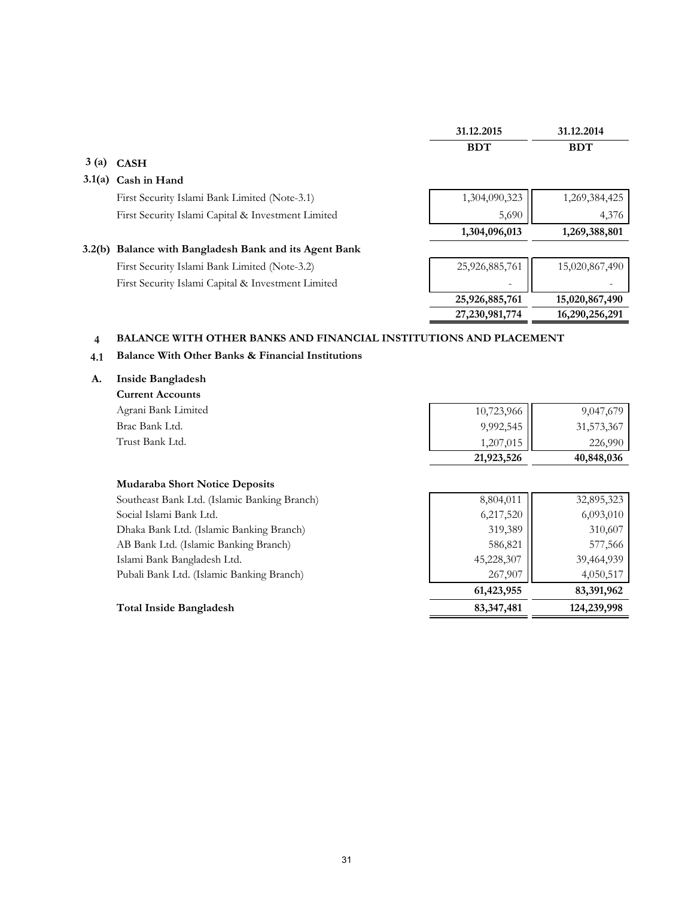|        |                                                        | 31.12.2015     | 31.12.2014     |
|--------|--------------------------------------------------------|----------------|----------------|
|        |                                                        | <b>BDT</b>     | <b>BDT</b>     |
| 3(a)   | <b>CASH</b>                                            |                |                |
| 3.1(a) | Cash in Hand                                           |                |                |
|        | First Security Islami Bank Limited (Note-3.1)          | 1,304,090,323  | 1,269,384,425  |
|        | First Security Islami Capital & Investment Limited     | 5,690          | 4,376          |
|        |                                                        |                |                |
|        |                                                        | 1,304,096,013  | 1,269,388,801  |
|        | 3.2(b) Balance with Bangladesh Bank and its Agent Bank |                |                |
|        | First Security Islami Bank Limited (Note-3.2)          | 25,926,885,761 | 15,020,867,490 |
|        | First Security Islami Capital & Investment Limited     |                |                |
|        |                                                        | 25,926,885,761 | 15,020,867,490 |

# **4 BALANCE WITH OTHER BANKS AND FINANCIAL INSTITUTIONS AND PLACEMENT**

# **4.1 Balance With Other Banks & Financial Institutions**

#### **A. Inside Bangladesh**

**Current Accounts** Agrani Bank Limited Brac Bank Ltd. Trust Bank Ltd.

|                                                        | 9,047,679  |
|--------------------------------------------------------|------------|
| $\begin{array}{c} 10,723,966 \\ 9,992,545 \end{array}$ | 31,573,367 |
| 1,207,015                                              | 226,990    |
| 21,923,526                                             | 40,848,036 |

# **Mudaraba Short Notice Deposits**

| Southeast Bank Ltd. (Islamic Banking Branch) | 8,804,011  | 32,895,323 |
|----------------------------------------------|------------|------------|
| Social Islami Bank Ltd.                      | 6,217,520  | 6,093,010  |
| Dhaka Bank Ltd. (Islamic Banking Branch)     | 319,389    | 310,607    |
| AB Bank Ltd. (Islamic Banking Branch)        | 586,821    | 577,566    |
| Islami Bank Bangladesh Ltd.                  | 45,228,307 | 39,464,939 |
| Pubali Bank Ltd. (Islamic Banking Branch)    | 267,907    | 4,050,517  |
|                                              | 61,423,955 | 83,391,962 |

# **Total Inside Bangladesh 83,347,481 124,239,998**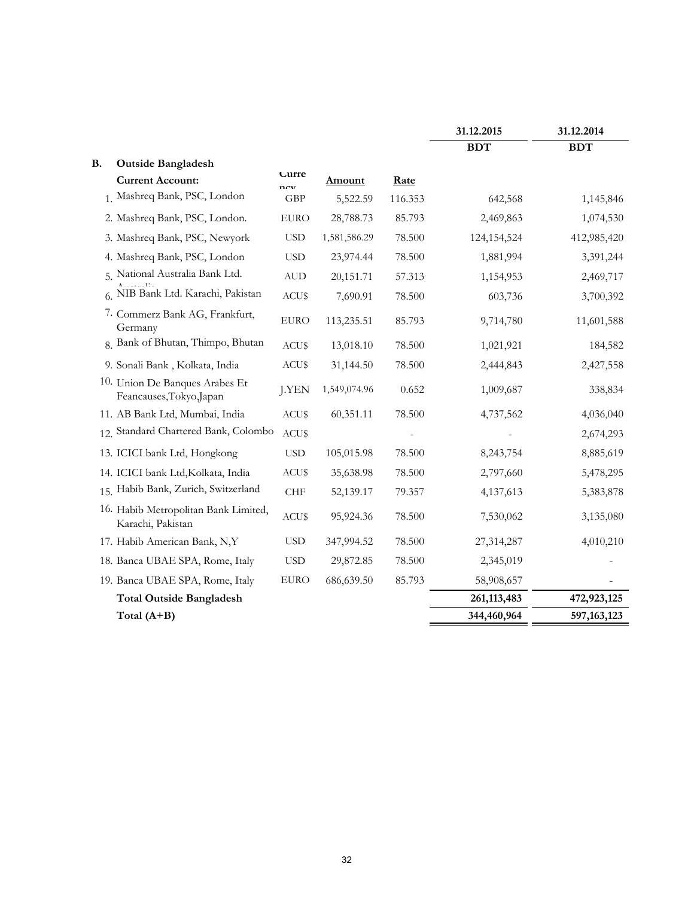|                                                            |              |               |         | 31.12.2015    | 31.12.2014    |
|------------------------------------------------------------|--------------|---------------|---------|---------------|---------------|
|                                                            |              |               |         | <b>BDT</b>    | <b>BDT</b>    |
| <b>B.</b><br><b>Outside Bangladesh</b>                     | Lurre        |               |         |               |               |
| <b>Current Account:</b>                                    | new          | <b>Amount</b> | Rate    |               |               |
| 1. Mashreq Bank, PSC, London                               | <b>GBP</b>   | 5,522.59      | 116.353 | 642,568       | 1,145,846     |
| 2. Mashreq Bank, PSC, London.                              | <b>EURO</b>  | 28,788.73     | 85.793  | 2,469,863     | 1,074,530     |
| 3. Mashreq Bank, PSC, Newyork                              | $_{\rm USD}$ | 1,581,586.29  | 78.500  | 124,154,524   | 412,985,420   |
| 4. Mashreq Bank, PSC, London                               | <b>USD</b>   | 23,974.44     | 78.500  | 1,881,994     | 3,391,244     |
| 5. National Australia Bank Ltd.                            | <b>AUD</b>   | 20,151.71     | 57.313  | 1,154,953     | 2,469,717     |
| 6. NIB Bank Ltd. Karachi, Pakistan                         | ACU\$        | 7,690.91      | 78.500  | 603,736       | 3,700,392     |
| 7. Commerz Bank AG, Frankfurt,<br>Germany                  | <b>EURO</b>  | 113,235.51    | 85.793  | 9,714,780     | 11,601,588    |
| 8. Bank of Bhutan, Thimpo, Bhutan                          | ACU\$        | 13,018.10     | 78.500  | 1,021,921     | 184,582       |
| 9. Sonali Bank, Kolkata, India                             | ACU\$        | 31,144.50     | 78.500  | 2,444,843     | 2,427,558     |
| 10. Union De Banques Arabes Et<br>Feancauses, Tokyo, Japan | J.YEN        | 1,549,074.96  | 0.652   | 1,009,687     | 338,834       |
| 11. AB Bank Ltd, Mumbai, India                             | ACU\$        | 60,351.11     | 78.500  | 4,737,562     | 4,036,040     |
| 12. Standard Chartered Bank, Colombo                       | ACU\$        |               |         |               | 2,674,293     |
| 13. ICICI bank Ltd, Hongkong                               | <b>USD</b>   | 105,015.98    | 78.500  | 8,243,754     | 8,885,619     |
| 14. ICICI bank Ltd, Kolkata, India                         | ACU\$        | 35,638.98     | 78.500  | 2,797,660     | 5,478,295     |
| 15. Habib Bank, Zurich, Switzerland                        | ${\rm CHF}$  | 52,139.17     | 79.357  | 4,137,613     | 5,383,878     |
| 16. Habib Metropolitan Bank Limited,<br>Karachi, Pakistan  | ACU\$        | 95,924.36     | 78.500  | 7,530,062     | 3,135,080     |
| 17. Habib American Bank, N,Y                               | <b>USD</b>   | 347,994.52    | 78.500  | 27,314,287    | 4,010,210     |
| 18. Banca UBAE SPA, Rome, Italy                            | $_{\rm USD}$ | 29,872.85     | 78.500  | 2,345,019     |               |
| 19. Banca UBAE SPA, Rome, Italy                            | <b>EURO</b>  | 686,639.50    | 85.793  | 58,908,657    |               |
| <b>Total Outside Bangladesh</b>                            |              |               |         | 261, 113, 483 | 472,923,125   |
| Total (A+B)                                                |              |               |         | 344,460,964   | 597, 163, 123 |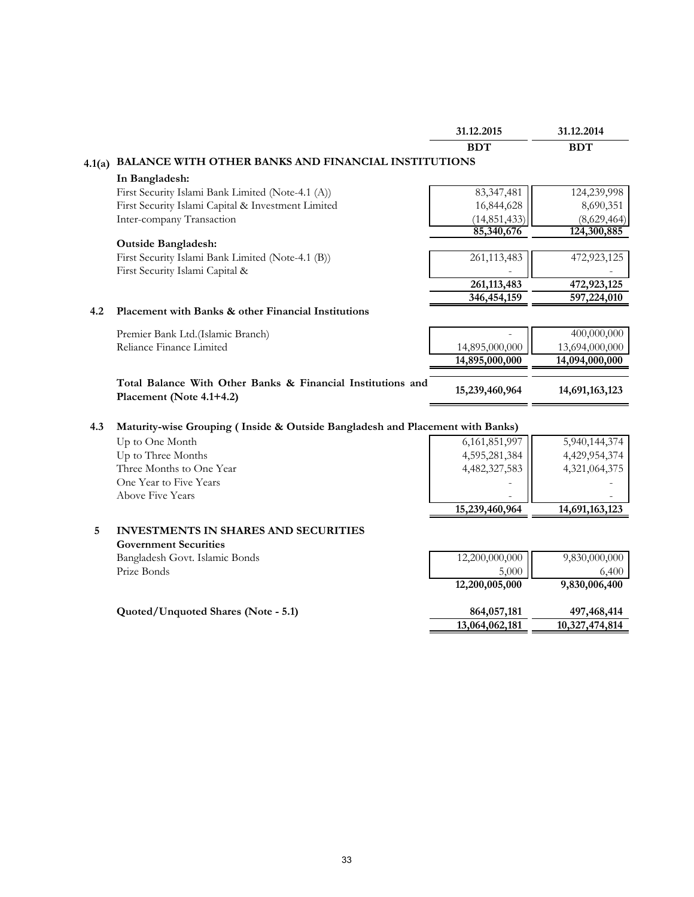|        |                                                                                         | 31.12.2015      | 31.12.2014     |
|--------|-----------------------------------------------------------------------------------------|-----------------|----------------|
|        |                                                                                         | <b>BDT</b>      | <b>BDT</b>     |
| 4.1(a) | BALANCE WITH OTHER BANKS AND FINANCIAL INSTITUTIONS                                     |                 |                |
|        | In Bangladesh:                                                                          |                 |                |
|        | First Security Islami Bank Limited (Note-4.1 (A))                                       | 83,347,481      | 124,239,998    |
|        | First Security Islami Capital & Investment Limited                                      | 16,844,628      | 8,690,351      |
|        | Inter-company Transaction                                                               | (14, 851, 433)  | (8,629,464)    |
|        |                                                                                         | 85,340,676      | 124,300,885    |
|        | <b>Outside Bangladesh:</b>                                                              |                 |                |
|        | First Security Islami Bank Limited (Note-4.1 (B))                                       | 261,113,483     | 472,923,125    |
|        | First Security Islami Capital &                                                         |                 |                |
|        |                                                                                         | 261,113,483     | 472,923,125    |
|        |                                                                                         | 346, 454, 159   | 597,224,010    |
| 4.2    | Placement with Banks & other Financial Institutions                                     |                 |                |
|        | Premier Bank Ltd.(Islamic Branch)                                                       |                 | 400,000,000    |
|        | Reliance Finance Limited                                                                | 14,895,000,000  | 13,694,000,000 |
|        |                                                                                         | 14,895,000,000  | 14,094,000,000 |
|        |                                                                                         |                 |                |
|        | Total Balance With Other Banks & Financial Institutions and<br>Placement (Note 4.1+4.2) | 15,239,460,964  | 14,691,163,123 |
|        |                                                                                         |                 |                |
| 4.3    | Maturity-wise Grouping (Inside & Outside Bangladesh and Placement with Banks)           |                 |                |
|        | Up to One Month                                                                         | 6, 161, 851, 97 | 5,940,144,374  |
|        | Up to Three Months                                                                      | 4,595,281,384   | 4,429,954,374  |
|        | Three Months to One Year                                                                | 4,482,327,583   | 4,321,064,375  |
|        | One Year to Five Years                                                                  |                 |                |
|        | <b>Above Five Years</b>                                                                 |                 |                |
|        |                                                                                         | 15,239,460,964  | 14,691,163,123 |
| 5      | <b>INVESTMENTS IN SHARES AND SECURITIES</b>                                             |                 |                |
|        | <b>Government Securities</b>                                                            |                 |                |
|        | Bangladesh Govt. Islamic Bonds                                                          | 12,200,000,000  | 9,830,000,000  |
|        | Prize Bonds                                                                             | 5,000           | 6,400          |
|        |                                                                                         | 12,200,005,000  | 9,830,006,400  |
|        |                                                                                         |                 |                |
|        | Quoted/Unquoted Shares (Note - 5.1)                                                     | 864,057,181     | 497,468,414    |
|        |                                                                                         | 13,064,062,181  | 10,327,474,814 |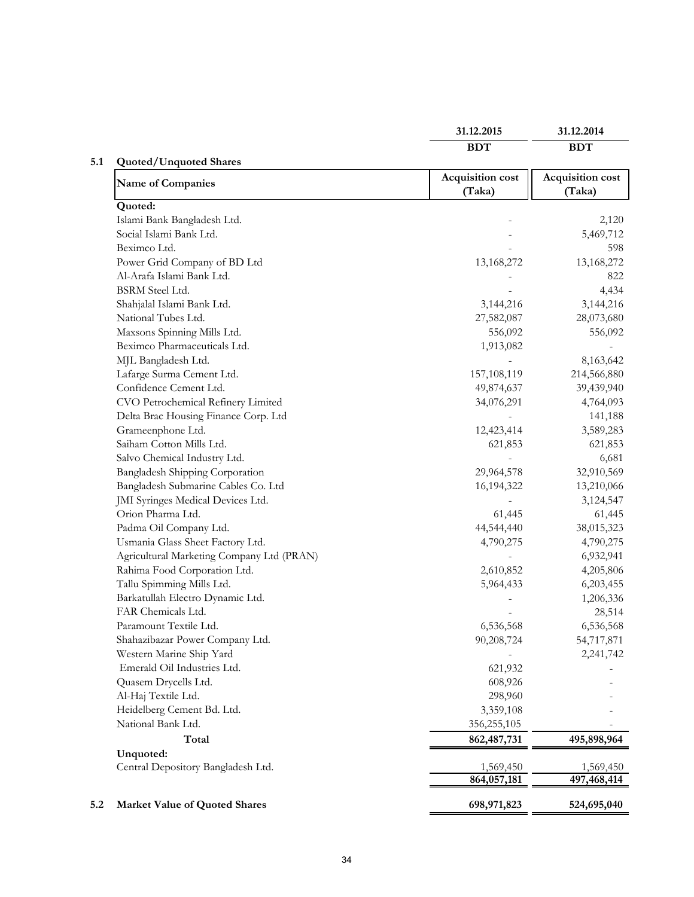|                                           | 31.12.2015                 | 31.12.2014                 |
|-------------------------------------------|----------------------------|----------------------------|
|                                           | <b>BDT</b>                 | <b>BDT</b>                 |
| <b>Quoted/Unquoted Shares</b>             |                            |                            |
| <b>Name of Companies</b>                  | Acquisition cost<br>(Taka) | Acquisition cost<br>(Taka) |
| Quoted:                                   |                            |                            |
| Islami Bank Bangladesh Ltd.               |                            | 2,120                      |
| Social Islami Bank Ltd.                   |                            | 5,469,712                  |
| Beximco Ltd.                              |                            | 598                        |
| Power Grid Company of BD Ltd              | 13,168,272                 | 13,168,272                 |
| Al-Arafa Islami Bank Ltd.                 |                            | 822                        |
| <b>BSRM</b> Steel Ltd.                    |                            | 4,434                      |
| Shahjalal Islami Bank Ltd.                | 3,144,216                  | 3,144,216                  |
| National Tubes Ltd.                       | 27,582,087                 | 28,073,680                 |
| Maxsons Spinning Mills Ltd.               | 556,092                    | 556,092                    |
| Beximco Pharmaceuticals Ltd.              | 1,913,082                  |                            |
| MJL Bangladesh Ltd.                       |                            | 8,163,642                  |
| Lafarge Surma Cement Ltd.                 | 157,108,119                | 214,566,880                |
| Confidence Cement Ltd.                    | 49,874,637                 | 39,439,940                 |
| CVO Petrochemical Refinery Limited        | 34,076,291                 | 4,764,093                  |
| Delta Brac Housing Finance Corp. Ltd      |                            | 141,188                    |
| Grameenphone Ltd.                         | 12,423,414                 | 3,589,283                  |
| Saiham Cotton Mills Ltd.                  | 621,853                    | 621,853                    |
| Salvo Chemical Industry Ltd.              |                            | 6,681                      |
| Bangladesh Shipping Corporation           | 29,964,578                 | 32,910,569                 |
| Bangladesh Submarine Cables Co. Ltd       | 16,194,322                 | 13,210,066                 |
| JMI Syringes Medical Devices Ltd.         |                            | 3,124,547                  |
| Orion Pharma Ltd.                         | 61,445                     | 61,445                     |
| Padma Oil Company Ltd.                    | 44,544,440                 | 38,015,323                 |
| Usmania Glass Sheet Factory Ltd.          | 4,790,275                  | 4,790,275                  |
| Agricultural Marketing Company Ltd (PRAN) |                            | 6,932,941                  |
| Rahima Food Corporation Ltd.              | 2,610,852                  | 4,205,806                  |
| Tallu Spimming Mills Ltd.                 | 5,964,433                  | 6,203,455                  |
| Barkatullah Electro Dynamic Ltd.          |                            | 1,206,336                  |
| FAR Chemicals Ltd.                        |                            | 28,514                     |
| Paramount Textile Ltd.                    | 6,536,568                  | 6,536,568                  |
| Shahazibazar Power Company Ltd.           | 90,208,724                 | 54,717,871                 |
| Western Marine Ship Yard                  |                            | 2,241,742                  |
| Emerald Oil Industries Ltd.               | 621,932                    |                            |
| Quasem Drycells Ltd.                      | 608,926                    |                            |
| Al-Haj Textile Ltd.                       | 298,960                    |                            |
| Heidelberg Cement Bd. Ltd.                | 3,359,108                  |                            |
| National Bank Ltd.                        | 356,255,105                |                            |
| Total                                     | 862, 487, 731              | 495,898,964                |
| Unquoted:                                 |                            |                            |
| Central Depository Bangladesh Ltd.        | 1,569,450                  | 1,569,450                  |
|                                           | 864,057,181                | 497,468,414                |
| Market Value of Quoted Shares             | 698,971,823                | 524,695,040                |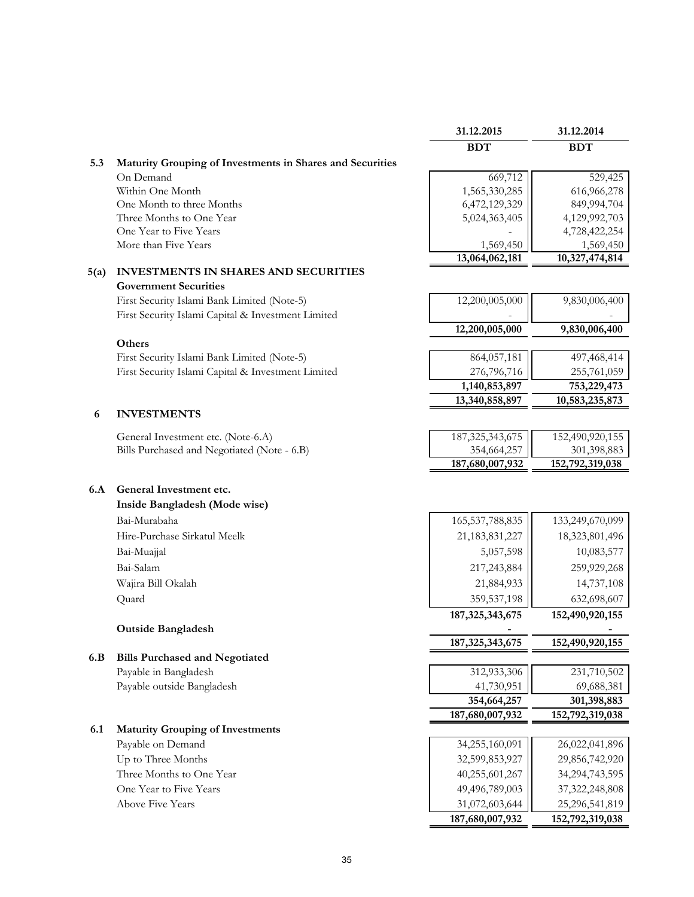|      |                                                           | 31.12.2015         | 31.12.2014        |
|------|-----------------------------------------------------------|--------------------|-------------------|
|      |                                                           | <b>BDT</b>         | <b>BDT</b>        |
| 5.3  | Maturity Grouping of Investments in Shares and Securities |                    |                   |
|      | On Demand                                                 | 669,712            | 529,425           |
|      | Within One Month                                          | 1,565,330,285      | 616,966,278       |
|      | One Month to three Months                                 | 6,472,129,329      | 849,994,704       |
|      | Three Months to One Year                                  | 5,024,363,405      | 4,129,992,703     |
|      | One Year to Five Years                                    |                    | 4,728,422,254     |
|      | More than Five Years                                      | 1,569,450          | 1,569,450         |
| 5(a) | <b>INVESTMENTS IN SHARES AND SECURITIES</b>               | 13,064,062,181     | 10,327,474,814    |
|      | <b>Government Securities</b>                              |                    |                   |
|      | First Security Islami Bank Limited (Note-5)               | 12,200,005,000     | 9,830,006,400     |
|      | First Security Islami Capital & Investment Limited        |                    |                   |
|      |                                                           | 12,200,005,000     | 9,830,006,400     |
|      | Others                                                    |                    |                   |
|      | First Security Islami Bank Limited (Note-5)               | 864,057,181        | 497,468,414       |
|      | First Security Islami Capital & Investment Limited        | 276,796,716        | 255,761,059       |
|      |                                                           | 1,140,853,897      | 753,229,473       |
|      |                                                           | 13,340,858,897     | 10,583,235,873    |
| 6    | <b>INVESTMENTS</b>                                        |                    |                   |
|      | General Investment etc. (Note-6.A)                        | 187, 325, 343, 675 | 152,490,920,155   |
|      | Bills Purchased and Negotiated (Note - 6.B)               | 354,664,257        | 301,398,883       |
|      |                                                           | 187,680,007,932    | 152,792,319,038   |
|      |                                                           |                    |                   |
| 6.A  | General Investment etc.                                   |                    |                   |
|      | Inside Bangladesh (Mode wise)                             |                    |                   |
|      | Bai-Murabaha                                              | 165, 537, 788, 835 | 133,249,670,099   |
|      | Hire-Purchase Sirkatul Meelk                              | 21, 183, 831, 227  | 18,323,801,496    |
|      | Bai-Muajjal                                               | 5,057,598          | 10,083,577        |
|      | Bai-Salam                                                 | 217,243,884        | 259,929,268       |
|      | Wajira Bill Okalah                                        | 21,884,933         | 14,737,108        |
|      | Quard                                                     | 359,537,198        | 632,698,607       |
|      |                                                           | 187, 325, 343, 675 | 152,490,920,155   |
|      | <b>Outside Bangladesh</b>                                 |                    |                   |
|      |                                                           | 187, 325, 343, 675 | 152,490,920,155   |
| 6.B  | <b>Bills Purchased and Negotiated</b>                     |                    |                   |
|      | Payable in Bangladesh                                     | 312,933,306        | 231,710,502       |
|      | Payable outside Bangladesh                                | 41,730,951         | 69,688,381        |
|      |                                                           | 354,664,257        | 301,398,883       |
|      |                                                           | 187,680,007,932    | 152,792,319,038   |
| 6.1  | <b>Maturity Grouping of Investments</b>                   |                    |                   |
|      | Payable on Demand                                         | 34,255,160,091     | 26,022,041,896    |
|      | Up to Three Months                                        | 32,599,853,927     | 29,856,742,920    |
|      | Three Months to One Year                                  | 40,255,601,267     | 34,294,743,595    |
|      | One Year to Five Years                                    | 49,496,789,003     | 37, 322, 248, 808 |
|      | <b>Above Five Years</b>                                   | 31,072,603,644     | 25,296,541,819    |
|      |                                                           | 187,680,007,932    | 152,792,319,038   |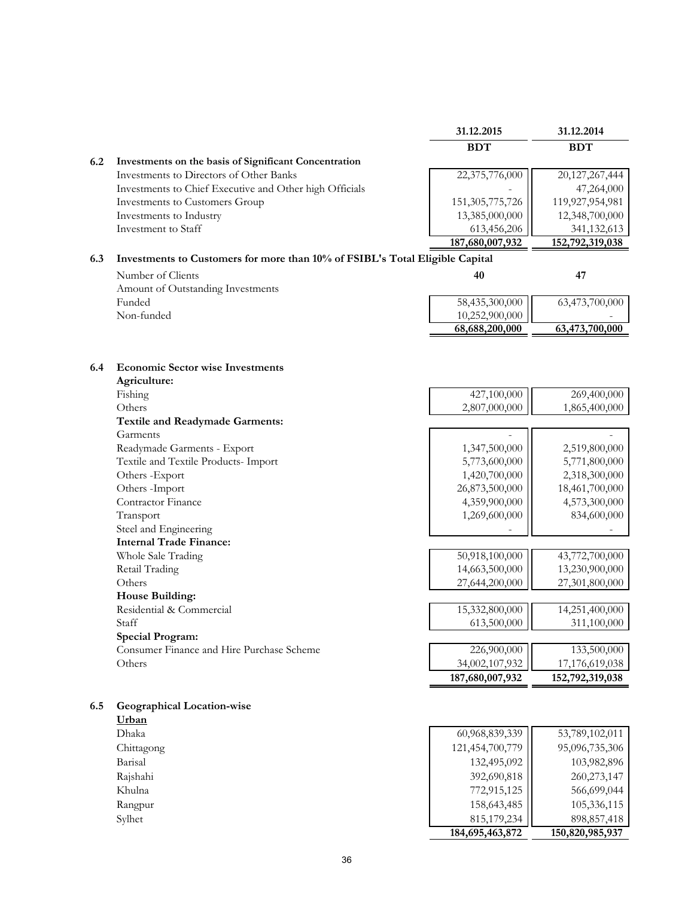|     |                                                                              | 31.12.2015         | 31.12.2014      |
|-----|------------------------------------------------------------------------------|--------------------|-----------------|
|     |                                                                              | <b>BDT</b>         | <b>BDT</b>      |
| 6.2 | Investments on the basis of Significant Concentration                        |                    |                 |
|     | Investments to Directors of Other Banks                                      | 22,375,776,000     | 20,127,267,444  |
|     | Investments to Chief Executive and Other high Officials                      |                    | 47,264,000      |
|     | Investments to Customers Group                                               | 151, 305, 775, 726 | 119,927,954,981 |
|     | Investments to Industry                                                      | 13,385,000,000     | 12,348,700,000  |
|     | Investment to Staff                                                          | 613,456,206        | 341, 132, 613   |
|     |                                                                              | 187,680,007,932    | 152,792,319,038 |
| 6.3 | Investments to Customers for more than 10% of FSIBL's Total Eligible Capital |                    |                 |
|     | Number of Clients                                                            | 40                 | 47              |
|     | Amount of Outstanding Investments                                            |                    |                 |

|                                     | 68,688,200,000 | 63,473,700,000 |
|-------------------------------------|----------------|----------------|
| Non-funded                          | 10,252,900,000 |                |
| Funded                              | 58,435,300,000 | 63,473,700,000 |
| Alliount of Outstanding Investments |                |                |

|  |  |  |  | 6.4 Economic Sector wise Investments |
|--|--|--|--|--------------------------------------|
|--|--|--|--|--------------------------------------|

| Agriculture:                              |                 |                 |
|-------------------------------------------|-----------------|-----------------|
| Fishing                                   | 427,100,000     | 269,400,000     |
| Others                                    | 2,807,000,000   | 1,865,400,000   |
| <b>Textile and Readymade Garments:</b>    |                 |                 |
| Garments                                  |                 |                 |
| Readymade Garments - Export               | 1,347,500,000   | 2,519,800,000   |
| Textile and Textile Products- Import      | 5,773,600,000   | 5,771,800,000   |
| Others -Export                            | 1,420,700,000   | 2,318,300,000   |
| Others - Import                           | 26,873,500,000  | 18,461,700,000  |
| Contractor Finance                        | 4,359,900,000   | 4,573,300,000   |
| Transport                                 | 1,269,600,000   | 834,600,000     |
| Steel and Engineering                     |                 |                 |
| <b>Internal Trade Finance:</b>            |                 |                 |
| Whole Sale Trading                        | 50,918,100,000  | 43,772,700,000  |
| Retail Trading                            | 14,663,500,000  | 13,230,900,000  |
| Others                                    | 27,644,200,000  | 27,301,800,000  |
| House Building:                           |                 |                 |
| Residential & Commercial                  | 15,332,800,000  | 14,251,400,000  |
| Staff                                     | 613,500,000     | 311,100,000     |
| <b>Special Program:</b>                   |                 |                 |
| Consumer Finance and Hire Purchase Scheme | 226,900,000     | 133,500,000     |
| Others                                    | 34,002,107,932  | 17,176,619,038  |
|                                           | 187,680,007,932 | 152,792,319,038 |

| <b>Geographical Location-wise</b><br>6.5 |  |
|------------------------------------------|--|
|------------------------------------------|--|

**Urban** Chittagong<br>Barisal

|              | 184,695,463,872 | 150,820,985,937 |
|--------------|-----------------|-----------------|
| Sylhet       | 815, 179, 234   | 898, 857, 418   |
| Rangpur      | 158,643,485     | 105,336,115     |
| Khulna       | 772,915,125     | 566,699,044     |
| Rajshahi     | 392,690,818     | 260, 273, 147   |
| Barisal      | 132,495,092     | 103,982,896     |
| Chittagong   | 121,454,700,779 | 95,096,735,306  |
| Dhaka        | 60,968,839,339  | 53,789,102,011  |
| <b>UIDan</b> |                 |                 |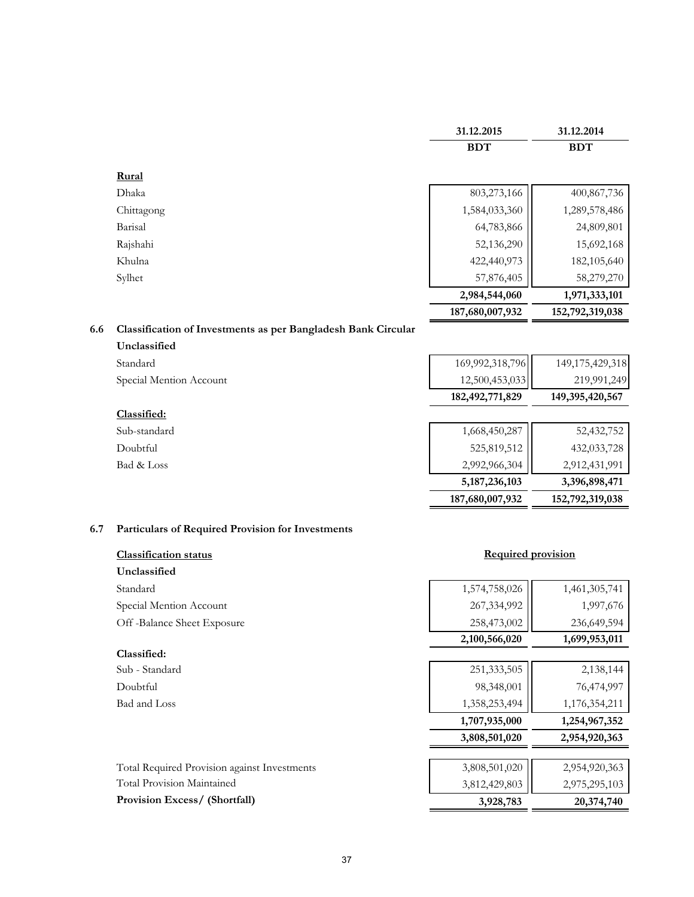|     |                                                               | 31.12.2015         | 31.12.2014      |
|-----|---------------------------------------------------------------|--------------------|-----------------|
|     |                                                               | <b>BDT</b>         | <b>BDT</b>      |
|     | Rural                                                         |                    |                 |
|     | Dhaka                                                         | 803,273,166        | 400,867,736     |
|     | Chittagong                                                    | 1,584,033,360      | 1,289,578,486   |
|     | Barisal                                                       | 64,783,866         | 24,809,801      |
|     | Rajshahi                                                      | 52,136,290         | 15,692,168      |
|     | Khulna                                                        | 422,440,973        | 182,105,640     |
|     | Sylhet                                                        | 57,876,405         | 58,279,270      |
|     |                                                               | 2,984,544,060      | 1,971,333,101   |
|     |                                                               | 187,680,007,932    | 152,792,319,038 |
| 6.6 | Classification of Investments as per Bangladesh Bank Circular |                    |                 |
|     | Unclassified                                                  |                    |                 |
|     | Standard                                                      | 169,992,318,796    | 149,175,429,318 |
|     | Special Mention Account                                       | 12,500,453,033     | 219,991,249     |
|     |                                                               | 182, 492, 771, 829 | 149,395,420,567 |
|     | Classified:                                                   |                    |                 |
|     | Sub-standard                                                  | 1,668,450,287      | 52,432,752      |
|     | Doubtful                                                      | 525,819,512        | 432,033,728     |
|     | Bad & Loss                                                    | 2,992,966,304      | 2,912,431,991   |
|     |                                                               | 5, 187, 236, 103   | 3,396,898,471   |
|     |                                                               | 187,680,007,932    | 152,792,319,038 |

# **6.7 Particulars of Required Provision for Investments**

| <b>Classification status</b> |
|------------------------------|
| Unclassified                 |
| Standard                     |
| Special Mention Account      |
| Off-Balance Sheet Exposure   |

# **Classified:**

| Sub - Standard |
|----------------|
| Doubtful       |
| Bad and Loss   |

# **Required provision**

| Unclassified                                        |               |               |
|-----------------------------------------------------|---------------|---------------|
| Standard                                            | 1,574,758,026 | 1,461,305,741 |
| Special Mention Account                             | 267,334,992   | 1,997,676     |
| Off-Balance Sheet Exposure                          | 258,473,002   | 236,649,594   |
|                                                     | 2,100,566,020 | 1,699,953,011 |
| Classified:                                         |               |               |
| Sub - Standard                                      | 251,333,505   | 2,138,144     |
| Doubtful                                            | 98,348,001    | 76,474,997    |
| Bad and Loss                                        | 1,358,253,494 | 1,176,354,211 |
|                                                     | 1,707,935,000 | 1,254,967,352 |
|                                                     | 3,808,501,020 | 2,954,920,363 |
| <b>Total Required Provision against Investments</b> | 3,808,501,020 | 2,954,920,363 |
| <b>Total Provision Maintained</b>                   | 3,812,429,803 | 2,975,295,103 |
| <b>Provision Excess/ (Shortfall)</b>                | 3,928,783     | 20,374,740    |
|                                                     |               |               |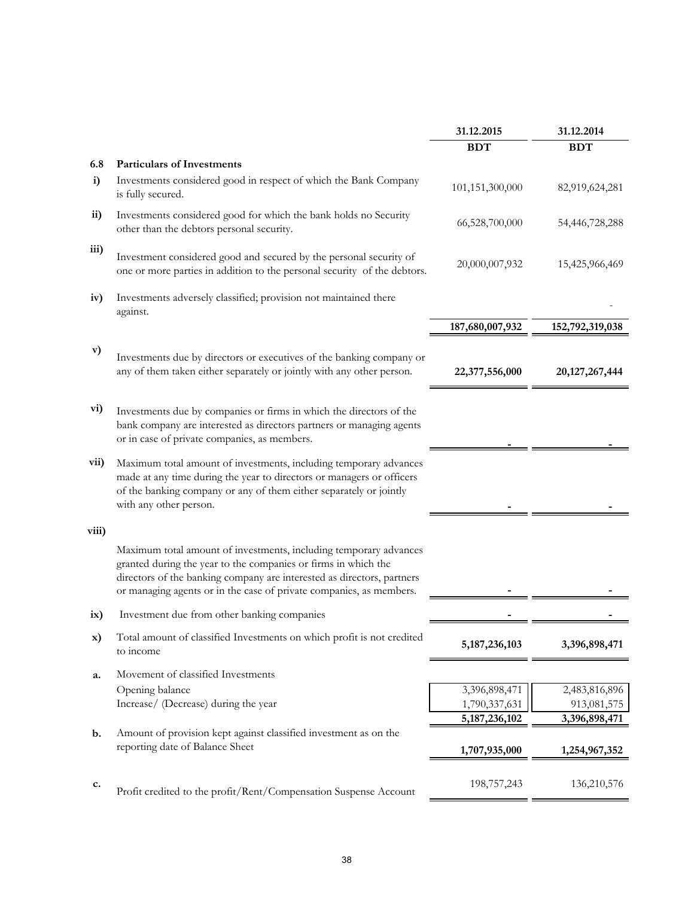|                                                                                                                                                                                                                                                                                      | 31.12.2015                                                       | 31.12.2014        |
|--------------------------------------------------------------------------------------------------------------------------------------------------------------------------------------------------------------------------------------------------------------------------------------|------------------------------------------------------------------|-------------------|
|                                                                                                                                                                                                                                                                                      | <b>BDT</b>                                                       | <b>BDT</b>        |
| <b>Particulars of Investments</b>                                                                                                                                                                                                                                                    |                                                                  |                   |
| Investments considered good in respect of which the Bank Company<br>is fully secured.                                                                                                                                                                                                | 101,151,300,000                                                  | 82,919,624,281    |
| Investments considered good for which the bank holds no Security<br>other than the debtors personal security.                                                                                                                                                                        | 66,528,700,000                                                   | 54,446,728,288    |
| Investment considered good and secured by the personal security of<br>one or more parties in addition to the personal security of the debtors.                                                                                                                                       | 20,000,007,932                                                   | 15,425,966,469    |
| Investments adversely classified; provision not maintained there<br>against.                                                                                                                                                                                                         |                                                                  |                   |
|                                                                                                                                                                                                                                                                                      | 187,680,007,932                                                  | 152,792,319,038   |
| Investments due by directors or executives of the banking company or<br>any of them taken either separately or jointly with any other person.                                                                                                                                        | 22,377,556,000                                                   | 20, 127, 267, 444 |
| Investments due by companies or firms in which the directors of the<br>bank company are interested as directors partners or managing agents<br>or in case of private companies, as members.                                                                                          |                                                                  |                   |
| Maximum total amount of investments, including temporary advances<br>made at any time during the year to directors or managers or officers<br>of the banking company or any of them either separately or jointly<br>with any other person.                                           |                                                                  |                   |
|                                                                                                                                                                                                                                                                                      |                                                                  |                   |
| Maximum total amount of investments, including temporary advances<br>granted during the year to the companies or firms in which the<br>directors of the banking company are interested as directors, partners<br>or managing agents or in the case of private companies, as members. |                                                                  |                   |
| Investment due from other banking companies                                                                                                                                                                                                                                          |                                                                  |                   |
| Total amount of classified Investments on which profit is not credited<br>to income                                                                                                                                                                                                  | 5, 187, 236, 103                                                 | 3,396,898,471     |
| Movement of classified Investments                                                                                                                                                                                                                                                   |                                                                  |                   |
| Opening balance                                                                                                                                                                                                                                                                      | 3,396,898,471                                                    | 2,483,816,896     |
| Increase/ (Decrease) during the year                                                                                                                                                                                                                                                 | 1,790,337,631                                                    | 913,081,575       |
|                                                                                                                                                                                                                                                                                      |                                                                  | 3,396,898,471     |
| reporting date of Balance Sheet                                                                                                                                                                                                                                                      | 1,707,935,000                                                    | 1,254,967,352     |
| Profit credited to the profit/Rent/Compensation Suspense Account                                                                                                                                                                                                                     | 198,757,243                                                      | 136,210,576       |
|                                                                                                                                                                                                                                                                                      | Amount of provision kept against classified investment as on the | 5, 187, 236, 102  |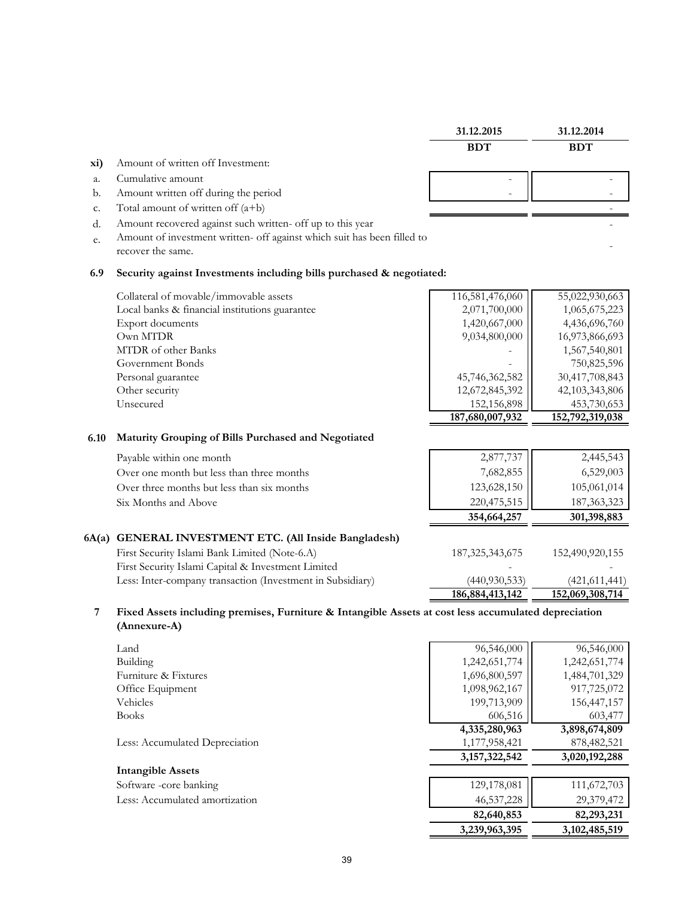|       |                                                                         | 31.12.2015         | 31.12.2014      |
|-------|-------------------------------------------------------------------------|--------------------|-----------------|
|       |                                                                         | <b>BDT</b>         | <b>BDT</b>      |
| xi)   | Amount of written off Investment:                                       |                    |                 |
| a.    | Cumulative amount                                                       |                    |                 |
| b.    | Amount written off during the period                                    |                    |                 |
| c.    | Total amount of written off $(a+b)$                                     |                    |                 |
| d.    | Amount recovered against such written- off up to this year              |                    |                 |
| e.    | Amount of investment written- off against which suit has been filled to |                    |                 |
|       | recover the same.                                                       |                    |                 |
| 6.9   | Security against Investments including bills purchased & negotiated:    |                    |                 |
|       | Collateral of movable/immovable assets                                  | 116,581,476,060    | 55,022,930,663  |
|       | Local banks & financial institutions guarantee                          | 2,071,700,000      | 1,065,675,223   |
|       | Export documents                                                        | 1,420,667,000      | 4,436,696,760   |
|       | Own MTDR                                                                | 9,034,800,000      | 16,973,866,693  |
|       | MTDR of other Banks                                                     |                    | 1,567,540,801   |
|       | Government Bonds                                                        |                    | 750,825,596     |
|       | Personal guarantee                                                      | 45,746,362,582     | 30,417,708,843  |
|       | Other security                                                          | 12,672,845,392     | 42,103,343,806  |
|       | Unsecured                                                               | 152,156,898        | 453,730,653     |
|       |                                                                         | 187,680,007,932    | 152,792,319,038 |
| 6.10  | Maturity Grouping of Bills Purchased and Negotiated                     |                    |                 |
|       | Payable within one month                                                | 2,877,737          | 2,445,543       |
|       | Over one month but less than three months                               | 7,682,855          | 6,529,003       |
|       | Over three months but less than six months                              | 123,628,150        | 105,061,014     |
|       | Six Months and Above                                                    | 220,475,515        | 187, 363, 323   |
|       |                                                                         | 354,664,257        | 301,398,883     |
| 6A(a) | <b>GENERAL INVESTMENT ETC. (All Inside Bangladesh)</b>                  |                    |                 |
|       | First Security Islami Bank Limited (Note-6.A)                           | 187, 325, 343, 675 | 152,490,920,155 |
|       | First Security Islami Capital & Investment Limited                      |                    |                 |
|       | Less: Inter-company transaction (Investment in Subsidiary)              | (440, 930, 533)    | (421, 611, 441) |
|       |                                                                         | 186, 884, 413, 142 | 152,069,308,714 |
|       |                                                                         |                    |                 |

#### **7 Fixed Assets including premises, Furniture & Intangible Assets at cost less accumulated depreciation (Annexure-A)**

| Land                           | 96,546,000       | 96,546,000       |
|--------------------------------|------------------|------------------|
| Building                       | 1,242,651,774    | 1,242,651,774    |
| Furniture & Fixtures           | 1,696,800,597    | 1,484,701,329    |
| Office Equipment               | 1,098,962,167    | 917,725,072      |
| Vehicles                       | 199,713,909      | 156, 447, 157    |
| <b>Books</b>                   | 606,516          | 603,477          |
|                                | 4,335,280,963    | 3,898,674,809    |
| Less: Accumulated Depreciation | 1,177,958,421    | 878, 482, 521    |
|                                | 3, 157, 322, 542 | 3,020,192,288    |
| <b>Intangible Assets</b>       |                  |                  |
| Software -core banking         | 129,178,081      | 111,672,703      |
| Less: Accumulated amortization | 46,537,228       | 29,379,472       |
|                                | 82,640,853       | 82,293,231       |
|                                | 3,239,963,395    | 3, 102, 485, 519 |
|                                |                  |                  |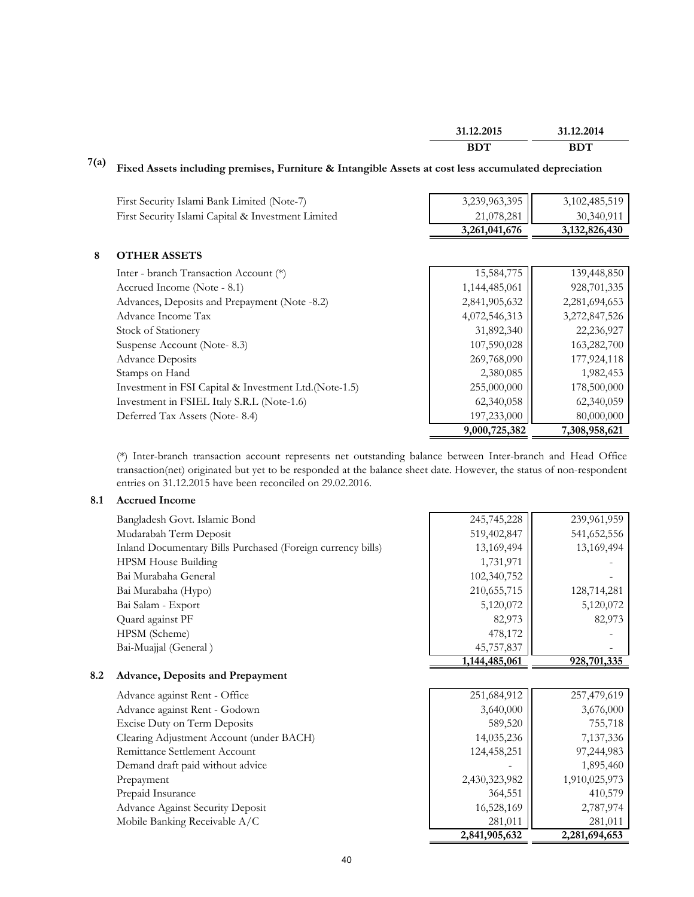| 31.12.2015 | 31.12.2014  |
|------------|-------------|
| RDT        | ANT<br>ו טט |

# **7(a) Fixed Assets including premises, Furniture & Intangible Assets at cost less accumulated depreciation**

|                                                        | 3,239,963,395 |                  |
|--------------------------------------------------------|---------------|------------------|
| First Security Islami Bank Limited (Note-7)            |               | 3,102,485,519    |
| First Security Islami Capital & Investment Limited     | 21,078,281    | 30,340,911       |
|                                                        | 3,261,041,676 | 3, 132, 826, 430 |
| 8<br><b>OTHER ASSETS</b>                               |               |                  |
| Inter - branch Transaction Account (*)                 | 15,584,775    | 139,448,850      |
| Accrued Income (Note - 8.1)                            | 1,144,485,061 | 928,701,335      |
| Advances, Deposits and Prepayment (Note -8.2)          | 2,841,905,632 | 2,281,694,653    |
| Advance Income Tax                                     | 4,072,546,313 | 3,272,847,526    |
| Stock of Stationery                                    | 31,892,340    | 22,236,927       |
| Suspense Account (Note-8.3)                            | 107,590,028   | 163,282,700      |
| <b>Advance Deposits</b>                                | 269,768,090   | 177,924,118      |
| Stamps on Hand                                         | 2,380,085     | 1,982,453        |
| Investment in FSI Capital & Investment Ltd. (Note-1.5) | 255,000,000   | 178,500,000      |
| Investment in FSIEL Italy S.R.L (Note-1.6)             | 62,340,058    | 62,340,059       |
| Deferred Tax Assets (Note-8.4)                         | 197,233,000   | 80,000,000       |
|                                                        | 9,000,725,382 | 7,308,958,621    |

(\*) Inter-branch transaction account represents net outstanding balance between Inter-branch and Head Office transaction(net) originated but yet to be responded at the balance sheet date. However, the status of non-respondent entries on 31.12.2015 have been reconciled on 29.02.2016.

#### **8.1 Accrued Income**

|     | Bangladesh Govt. Islamic Bond                               | 245,745,228   | 239,961,959 |
|-----|-------------------------------------------------------------|---------------|-------------|
|     | Mudarabah Term Deposit                                      | 519,402,847   | 541,652,556 |
|     | Inland Documentary Bills Purchased (Foreign currency bills) | 13,169,494    | 13,169,494  |
|     | <b>HPSM House Building</b>                                  | 1,731,971     |             |
|     | Bai Murabaha General                                        | 102,340,752   |             |
|     | Bai Murabaha (Hypo)                                         | 210,655,715   | 128,714,281 |
|     | Bai Salam - Export                                          | 5,120,072     | 5,120,072   |
|     | Quard against PF                                            | 82,973        | 82,973      |
|     | HPSM (Scheme)                                               | 478,172       |             |
|     | Bai-Muajjal (General)                                       | 45,757,837    |             |
|     |                                                             | 1,144,485,061 | 928,701,335 |
| 8.2 | <b>Advance, Deposits and Prepayment</b>                     |               |             |
|     | Advance expirat Dont Office                                 | 251604012     | 257.470.610 |

Advance against Rent - Office Advance against Rent - Godown Excise Duty on Term Deposits Clearing Adjustment Account (under BACH) Remittance Settlement Account Demand draft paid without advice Prepayment Prepaid Insurance Advance Against Security Deposit Mobile Banking Receivable A/C

| 251,684,912   | 257,479,619   |
|---------------|---------------|
| 3,640,000     | 3,676,000     |
| 589,520       | 755,718       |
| 14,035,236    | 7,137,336     |
| 124,458,251   | 97,244,983    |
|               | 1,895,460     |
| 2,430,323,982 | 1,910,025,973 |
| 364,551       | 410,579       |
| 16,528,169    | 2,787,974     |
| 281,011       | 281,011       |
| 2,841,905,632 | 2,281,694,653 |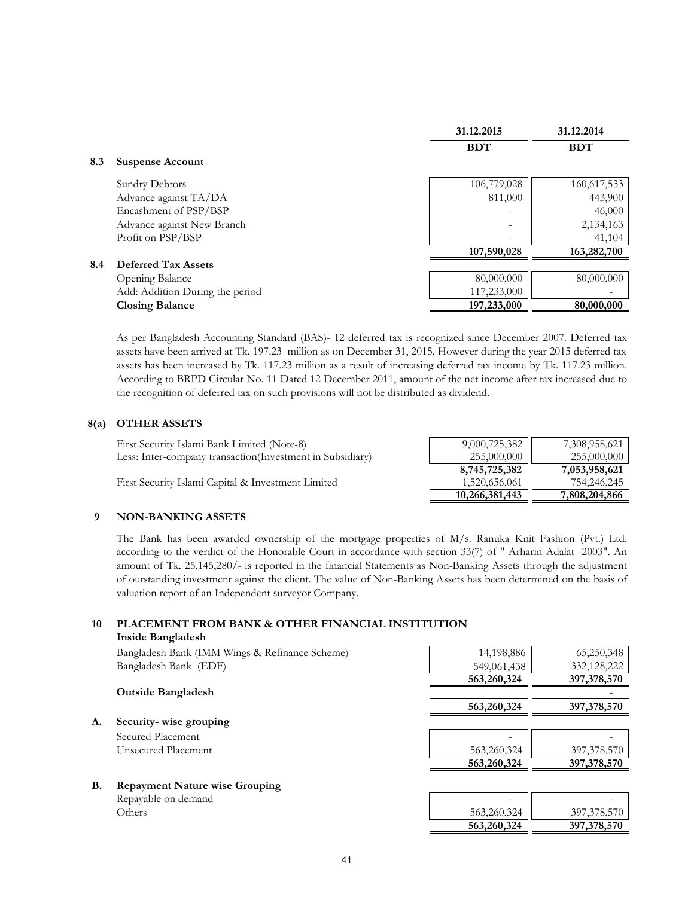|     |                                 | 31.12.2015               | 31.12.2014  |
|-----|---------------------------------|--------------------------|-------------|
|     |                                 | <b>BDT</b>               | <b>BDT</b>  |
| 8.3 | <b>Suspense Account</b>         |                          |             |
|     | Sundry Debtors                  | 106,779,028              | 160,617,533 |
|     | Advance against TA/DA           | 811,000                  | 443,900     |
|     | Encashment of PSP/BSP           | $\overline{\phantom{0}}$ | 46,000      |
|     | Advance against New Branch      | -                        | 2,134,163   |
|     | Profit on PSP/BSP               | $\overline{\phantom{a}}$ | 41,104      |
|     |                                 | 107,590,028              | 163,282,700 |
| 8.4 | <b>Deferred Tax Assets</b>      |                          |             |
|     | Opening Balance                 | 80,000,000               | 80,000,000  |
|     | Add: Addition During the period | 117,233,000              |             |
|     | <b>Closing Balance</b>          | 197,233,000              | 80,000,000  |

As per Bangladesh Accounting Standard (BAS)- 12 deferred tax is recognized since December 2007. Deferred tax assets have been arrived at Tk. 197.23 million as on December 31, 2015. However during the year 2015 deferred tax assets has been increased by Tk. 117.23 million as a result of increasing deferred tax income by Tk. 117.23 million. According to BRPD Circular No. 11 Dated 12 December 2011, amount of the net income after tax increased due to the recognition of deferred tax on such provisions will not be distributed as dividend.

#### **8(a) OTHER ASSETS**

| First Security Islami Bank Limited (Note-8)               | 9,000,725,382  | 7,308,958,621 |
|-----------------------------------------------------------|----------------|---------------|
| Less: Inter-company transaction(Investment in Subsidiary) | 255,000,000 II | 255,000,000   |
|                                                           | 8,745,725,382  | 7,053,958,621 |
| First Security Islami Capital & Investment Limited        | 1,520,656,061  | 754,246,245   |
|                                                           | 10,266,381,443 | 7,808,204,866 |

#### **9 NON-BANKING ASSETS**

The Bank has been awarded ownership of the mortgage properties of M/s. Ranuka Knit Fashion (Pvt.) Ltd. according to the verdict of the Honorable Court in accordance with section 33(7) of " Arharin Adalat -2003". An amount of Tk. 25,145,280/- is reported in the financial Statements as Non-Banking Assets through the adjustment of outstanding investment against the client. The value of Non-Banking Assets has been determined on the basis of valuation report of an Independent surveyor Company.

#### **10 PLACEMENT FROM BANK & OTHER FINANCIAL INSTITUTION Inside Bangladesh**

|    | Bangladesh Bank (IMM Wings & Refinance Scheme) | 14,198,886  | 65,250,348    |
|----|------------------------------------------------|-------------|---------------|
|    | Bangladesh Bank (EDF)                          | 549,061,438 | 332,128,222   |
|    |                                                | 563,260,324 | 397, 378, 570 |
|    | <b>Outside Bangladesh</b>                      |             |               |
|    |                                                | 563,260,324 | 397, 378, 570 |
| А. | Security-wise grouping                         |             |               |
|    | Secured Placement                              |             |               |
|    | Unsecured Placement                            | 563,260,324 | 397, 378, 570 |
|    |                                                | 563,260,324 | 397, 378, 570 |
| B. | <b>Repayment Nature wise Grouping</b>          |             |               |

Repayable on demand

| ິ<br>Repayable on demand | $\overline{\phantom{a}}$ |               |
|--------------------------|--------------------------|---------------|
| Others                   | 563,260,324              | 397,378,570   |
|                          | 563,260,324              | 397, 378, 570 |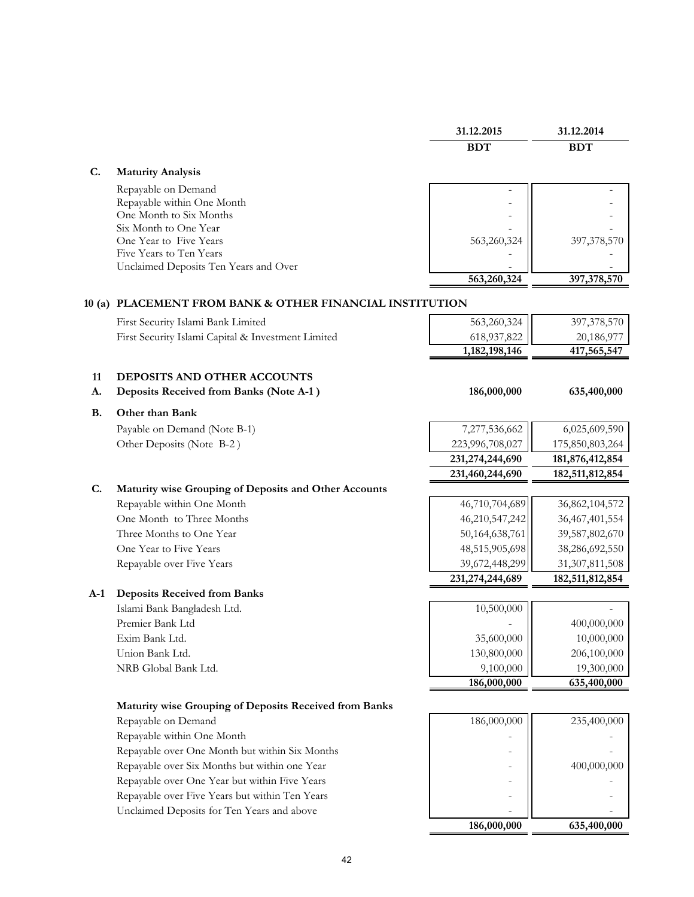|           |                                                          | 31.12.2015      | 31.12.2014      |
|-----------|----------------------------------------------------------|-----------------|-----------------|
|           |                                                          | <b>BDT</b>      | <b>BDT</b>      |
| C.        | <b>Maturity Analysis</b>                                 |                 |                 |
|           | Repayable on Demand                                      |                 |                 |
|           | Repayable within One Month                               |                 |                 |
|           | One Month to Six Months                                  |                 |                 |
|           | Six Month to One Year<br>One Year to Five Years          | 563,260,324     | 397,378,570     |
|           | Five Years to Ten Years                                  |                 |                 |
|           | Unclaimed Deposits Ten Years and Over                    |                 |                 |
|           |                                                          | 563,260,324     | 397,378,570     |
|           | 10 (a) PLACEMENT FROM BANK & OTHER FINANCIAL INSTITUTION |                 |                 |
|           | First Security Islami Bank Limited                       | 563,260,324     | 397,378,570     |
|           | First Security Islami Capital & Investment Limited       | 618,937,822     | 20,186,977      |
|           |                                                          | 1,182,198,146   | 417,565,547     |
|           |                                                          |                 |                 |
| 11        | DEPOSITS AND OTHER ACCOUNTS                              |                 |                 |
| A.        | Deposits Received from Banks (Note A-1)                  | 186,000,000     | 635,400,000     |
| <b>B.</b> | Other than Bank                                          |                 |                 |
|           | Payable on Demand (Note B-1)                             | 7,277,536,662   | 6,025,609,590   |
|           | Other Deposits (Note B-2)                                | 223,996,708,027 | 175,850,803,264 |
|           |                                                          | 231,274,244,690 | 181,876,412,854 |
|           |                                                          | 231,460,244,690 | 182,511,812,854 |
| C.        | Maturity wise Grouping of Deposits and Other Accounts    |                 |                 |
|           | Repayable within One Month                               | 46,710,704,689  | 36,862,104,572  |
|           | One Month to Three Months                                | 46,210,547,242  | 36,467,401,554  |
|           | Three Months to One Year                                 | 50,164,638,761  | 39,587,802,670  |
|           | One Year to Five Years                                   | 48,515,905,698  | 38,286,692,550  |
|           | Repayable over Five Years                                | 39,672,448,299  | 31,307,811,508  |
|           | <b>Deposits Received from Banks</b>                      | 231,274,244,689 | 182,511,812,854 |
| $A-1$     | Islami Bank Bangladesh Ltd.                              | 10,500,000      |                 |
|           | Premier Bank Ltd                                         |                 | 400,000,000     |
|           | Exim Bank Ltd.                                           | 35,600,000      | 10,000,000      |
|           | Union Bank Ltd.                                          | 130,800,000     | 206,100,000     |
|           | NRB Global Bank Ltd.                                     | 9,100,000       | 19,300,000      |
|           |                                                          | 186,000,000     | 635,400,000     |
|           | Maturity wise Grouping of Deposits Received from Banks   |                 |                 |
|           | Repayable on Demand                                      | 186,000,000     | 235,400,000     |
|           | Repayable within One Month                               |                 |                 |
|           | Repayable over One Month but within Six Months           |                 |                 |
|           | Repayable over Six Months but within one Year            |                 | 400,000,000     |

Repayable over One Year but within Five Years Repayable over Five Years but within Ten Years

Unclaimed Deposits for Ten Years and above - -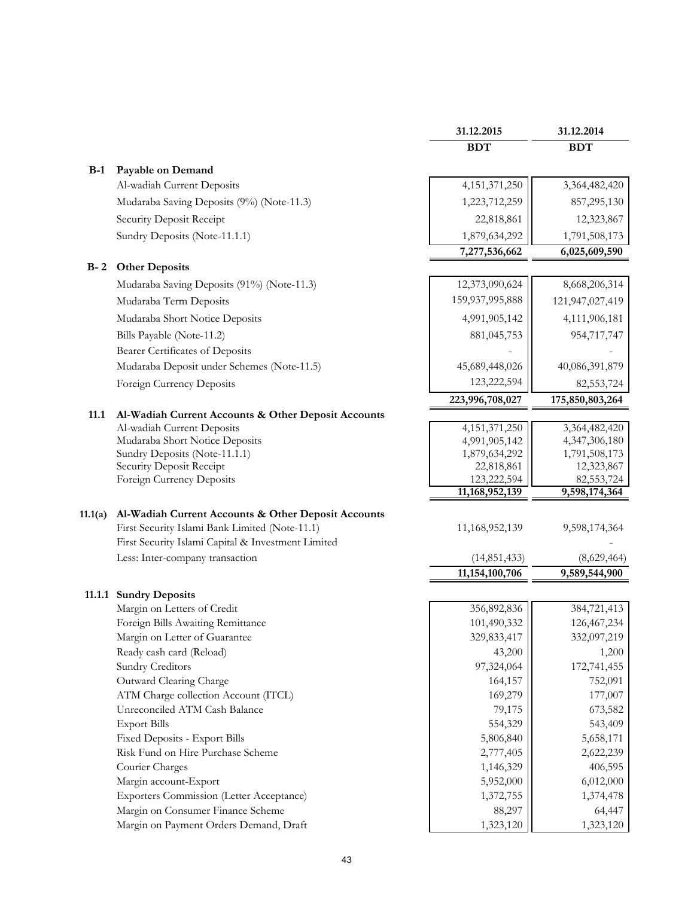|         |                                                     | 31.12.2015                  | 31.12.2014      |
|---------|-----------------------------------------------------|-----------------------------|-----------------|
|         |                                                     | <b>BDT</b>                  | <b>BDT</b>      |
|         |                                                     |                             |                 |
| $B-1$   | Payable on Demand<br>Al-wadiah Current Deposits     | 4, 151, 371, 250            | 3,364,482,420   |
|         |                                                     |                             |                 |
|         | Mudaraba Saving Deposits (9%) (Note-11.3)           | 1,223,712,259               | 857,295,130     |
|         | Security Deposit Receipt                            | 22,818,861                  | 12,323,867      |
|         | Sundry Deposits (Note-11.1.1)                       | 1,879,634,292               | 1,791,508,173   |
|         |                                                     | 7,277,536,662               | 6,025,609,590   |
| $B - 2$ | <b>Other Deposits</b>                               |                             |                 |
|         | Mudaraba Saving Deposits (91%) (Note-11.3)          | 12,373,090,624              | 8,668,206,314   |
|         | Mudaraba Term Deposits                              | 159,937,995,888             | 121,947,027,419 |
|         | Mudaraba Short Notice Deposits                      | 4,991,905,142               | 4,111,906,181   |
|         | Bills Payable (Note-11.2)                           | 881,045,753                 | 954,717,747     |
|         | <b>Bearer Certificates of Deposits</b>              |                             |                 |
|         | Mudaraba Deposit under Schemes (Note-11.5)          | 45,689,448,026              | 40,086,391,879  |
|         | Foreign Currency Deposits                           | 123,222,594                 | 82,553,724      |
|         |                                                     | 223,996,708,027             | 175,850,803,264 |
| 11.1    | Al-Wadiah Current Accounts & Other Deposit Accounts |                             |                 |
|         | Al-wadiah Current Deposits                          | 4, 151, 371, 250            | 3,364,482,420   |
|         | Mudaraba Short Notice Deposits                      | 4,991,905,142               | 4,347,306,180   |
|         | Sundry Deposits (Note-11.1.1)                       | 1,879,634,292               | 1,791,508,173   |
|         | Security Deposit Receipt                            | 22,818,861                  | 12,323,867      |
|         | Foreign Currency Deposits                           | 123,222,594                 | 82,553,724      |
|         |                                                     | $\overline{11,168,952,139}$ | 9,598,174,364   |
| 11.1(a) | Al-Wadiah Current Accounts & Other Deposit Accounts |                             |                 |
|         | First Security Islami Bank Limited (Note-11.1)      | 11,168,952,139              | 9,598,174,364   |
|         | First Security Islami Capital & Investment Limited  |                             |                 |
|         | Less: Inter-company transaction                     | (14, 851, 433)              | (8,629,464)     |
|         |                                                     | 11,154,100,706              | 9,589,544,900   |
|         | 11.1.1 Sundry Deposits                              |                             |                 |
|         | Margin on Letters of Credit                         | 356,892,836                 | 384,721,413     |
|         | Foreign Bills Awaiting Remittance                   | 101,490,332                 | 126,467,234     |
|         | Margin on Letter of Guarantee                       | 329,833,417                 | 332,097,219     |
|         | Ready cash card (Reload)                            | 43,200                      | 1,200           |
|         | Sundry Creditors                                    | 97,324,064                  | 172,741,455     |
|         | Outward Clearing Charge                             | 164,157                     | 752,091         |
|         | ATM Charge collection Account (ITCL)                | 169,279                     | 177,007         |
|         | Unreconciled ATM Cash Balance                       | 79,175                      | 673,582         |
|         | <b>Export Bills</b>                                 | 554,329                     | 543,409         |
|         | Fixed Deposits - Export Bills                       | 5,806,840                   | 5,658,171       |
|         | Risk Fund on Hire Purchase Scheme                   | 2,777,405                   | 2,622,239       |
|         | Courier Charges                                     | 1,146,329                   | 406,595         |
|         | Margin account-Export                               | 5,952,000                   | 6,012,000       |
|         | <b>Exporters Commission (Letter Acceptance)</b>     | 1,372,755                   | 1,374,478       |
|         | Margin on Consumer Finance Scheme                   | 88,297                      | 64,447          |
|         | Margin on Payment Orders Demand, Draft              | 1,323,120                   | 1,323,120       |
|         |                                                     |                             |                 |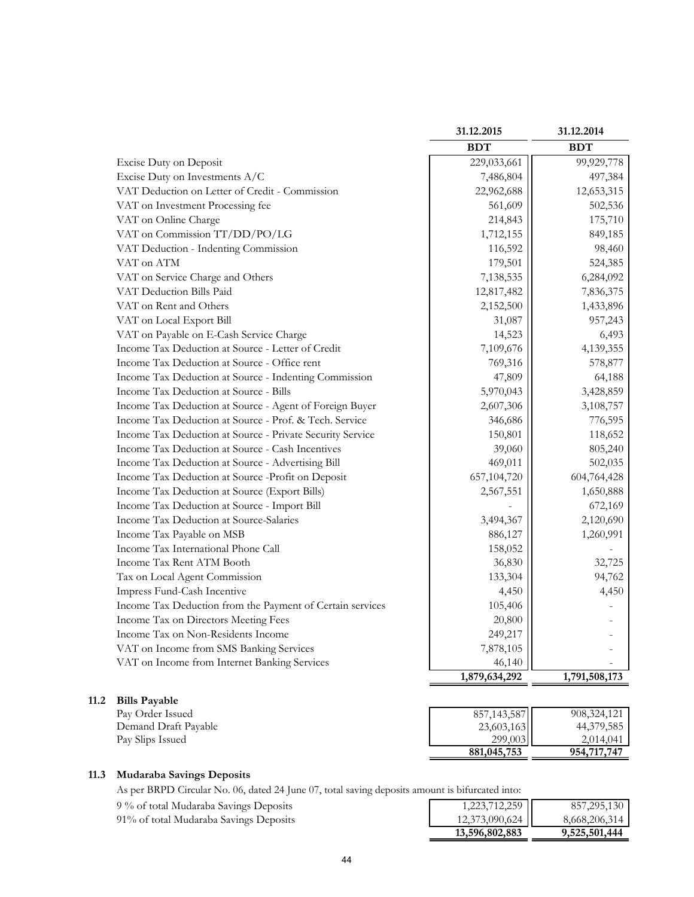|                                                           | 31.12.2015    | 31.12.2014    |
|-----------------------------------------------------------|---------------|---------------|
|                                                           | <b>BDT</b>    | <b>BDT</b>    |
| Excise Duty on Deposit                                    | 229,033,661   | 99,929,778    |
| Excise Duty on Investments A/C                            | 7,486,804     | 497,384       |
| VAT Deduction on Letter of Credit - Commission            | 22,962,688    | 12,653,315    |
| VAT on Investment Processing fee                          | 561,609       | 502,536       |
| VAT on Online Charge                                      | 214,843       | 175,710       |
| VAT on Commission TT/DD/PO/LG                             | 1,712,155     | 849,185       |
| VAT Deduction - Indenting Commission                      | 116,592       | 98,460        |
| VAT on ATM                                                | 179,501       | 524,385       |
| VAT on Service Charge and Others                          | 7,138,535     | 6,284,092     |
| VAT Deduction Bills Paid                                  | 12,817,482    | 7,836,375     |
| VAT on Rent and Others                                    | 2,152,500     | 1,433,896     |
| VAT on Local Export Bill                                  | 31,087        | 957,243       |
| VAT on Payable on E-Cash Service Charge                   | 14,523        | 6,493         |
| Income Tax Deduction at Source - Letter of Credit         | 7,109,676     | 4,139,355     |
| Income Tax Deduction at Source - Office rent              | 769,316       | 578,877       |
| Income Tax Deduction at Source - Indenting Commission     | 47,809        | 64,188        |
| Income Tax Deduction at Source - Bills                    | 5,970,043     | 3,428,859     |
| Income Tax Deduction at Source - Agent of Foreign Buyer   | 2,607,306     | 3,108,757     |
| Income Tax Deduction at Source - Prof. & Tech. Service    | 346,686       | 776,595       |
| Income Tax Deduction at Source - Private Security Service | 150,801       | 118,652       |
| Income Tax Deduction at Source - Cash Incentives          | 39,060        | 805,240       |
| Income Tax Deduction at Source - Advertising Bill         | 469,011       | 502,035       |
| Income Tax Deduction at Source -Profit on Deposit         | 657,104,720   | 604,764,428   |
| Income Tax Deduction at Source (Export Bills)             | 2,567,551     | 1,650,888     |
| Income Tax Deduction at Source - Import Bill              |               | 672,169       |
| Income Tax Deduction at Source-Salaries                   | 3,494,367     | 2,120,690     |
| Income Tax Payable on MSB                                 | 886,127       | 1,260,991     |
| Income Tax International Phone Call                       | 158,052       |               |
| Income Tax Rent ATM Booth                                 | 36,830        | 32,725        |
| Tax on Local Agent Commission                             | 133,304       | 94,762        |
| Impress Fund-Cash Incentive                               | 4,450         | 4,450         |
| Income Tax Deduction from the Payment of Certain services | 105,406       |               |
| Income Tax on Directors Meeting Fees                      | 20,800        |               |
| Income Tax on Non-Residents Income                        | 249,217       |               |
| VAT on Income from SMS Banking Services                   | 7,878,105     |               |
| VAT on Income from Internet Banking Services              | 46,140        |               |
|                                                           | 1,879,634,292 | 1,791,508,173 |

#### **11.2 Bills Payable**

| Pay Order Issued     | 857, 143, 587 | 908, 324, 121 |
|----------------------|---------------|---------------|
| Demand Draft Payable | 23,603,163    | 44,379,585    |
| Pay Slips Issued     | 299,003       | 2.014.041     |
|                      | 881,045,753   | 954,717,747   |

# **11.3 Mudaraba Savings Deposits**

As per BRPD Circular No. 06, dated 24 June 07, total saving deposits amo

9 % of total Mudaraba Savings Deposits

91% of total Mudaraba Savings Deposits

| ount is bifurcated into:                                               |                              |
|------------------------------------------------------------------------|------------------------------|
| $\begin{array}{ c c }\n 1,223,712,259 \\ 12,373,090,624\n \end{array}$ | 857,295,130<br>8,668,206,314 |
|                                                                        |                              |
| 13,596,802,883                                                         | 9,525,501,444                |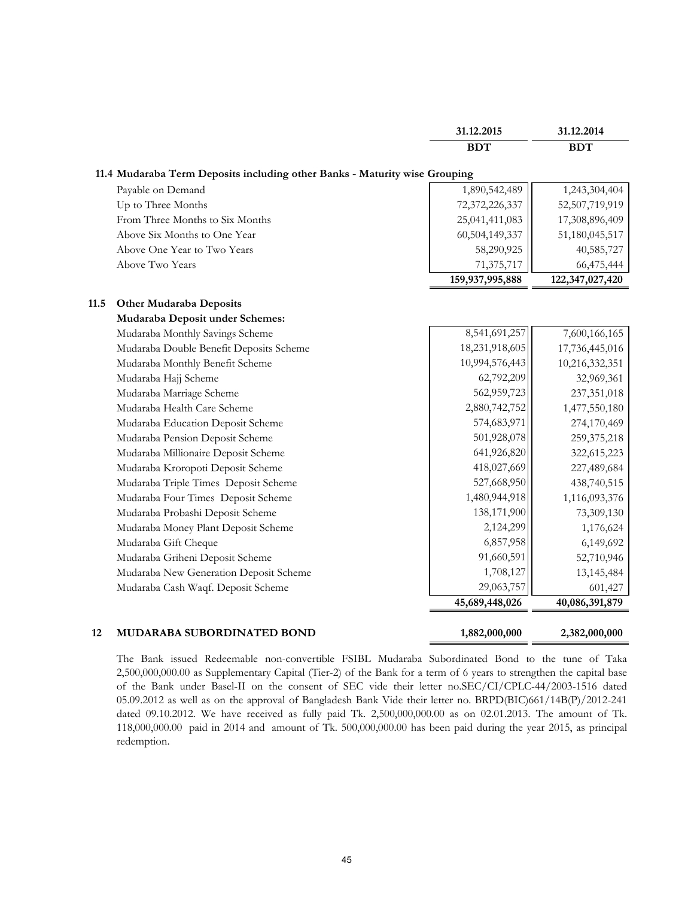|      |                                                                            | 31.12.2015      | 31.12.2014      |
|------|----------------------------------------------------------------------------|-----------------|-----------------|
|      |                                                                            | <b>BDT</b>      | <b>BDT</b>      |
|      | 11.4 Mudaraba Term Deposits including other Banks - Maturity wise Grouping |                 |                 |
|      | Payable on Demand                                                          | 1,890,542,489   | 1,243,304,404   |
|      | Up to Three Months                                                         | 72,372,226,337  | 52,507,719,919  |
|      | From Three Months to Six Months                                            | 25,041,411,083  | 17,308,896,409  |
|      | Above Six Months to One Year                                               | 60,504,149,337  | 51,180,045,517  |
|      | Above One Year to Two Years                                                | 58,290,925      | 40,585,727      |
|      | Above Two Years                                                            | 71,375,717      | 66,475,444      |
|      |                                                                            | 159,937,995,888 | 122,347,027,420 |
| 11.5 | <b>Other Mudaraba Deposits</b>                                             |                 |                 |
|      | Mudaraba Deposit under Schemes:                                            |                 |                 |
|      | Mudaraba Monthly Savings Scheme                                            | 8,541,691,257   | 7,600,166,165   |
|      | Mudaraba Double Benefit Deposits Scheme                                    | 18,231,918,605  | 17,736,445,016  |
|      | Mudaraba Monthly Benefit Scheme                                            | 10,994,576,443  | 10,216,332,351  |
|      | Mudaraba Hajj Scheme                                                       | 62,792,209      | 32,969,361      |
|      | Mudaraba Marriage Scheme                                                   | 562,959,723     | 237,351,018     |
|      | Mudaraba Health Care Scheme                                                | 2,880,742,752   | 1,477,550,180   |
|      | Mudaraba Education Deposit Scheme                                          | 574,683,971     | 274,170,469     |
|      | Mudaraba Pension Deposit Scheme                                            | 501,928,078     | 259,375,218     |
|      | Mudaraba Millionaire Deposit Scheme                                        | 641,926,820     | 322,615,223     |
|      | Mudaraba Kroropoti Deposit Scheme                                          | 418,027,669     | 227,489,684     |
|      | Mudaraba Triple Times Deposit Scheme                                       | 527,668,950     | 438,740,515     |
|      | Mudaraba Four Times Deposit Scheme                                         | 1,480,944,918   | 1,116,093,376   |
|      | Mudaraba Probashi Deposit Scheme                                           | 138,171,900     | 73,309,130      |
|      | Mudaraba Money Plant Deposit Scheme                                        | 2,124,299       | 1,176,624       |
|      | Mudaraba Gift Cheque                                                       | 6,857,958       | 6,149,692       |
|      | Mudaraba Griheni Deposit Scheme                                            | 91,660,591      | 52,710,946      |
|      | Mudaraba New Generation Deposit Scheme                                     | 1,708,127       | 13,145,484      |
|      | Mudaraba Cash Waqf. Deposit Scheme                                         | 29,063,757      | 601,427         |
|      |                                                                            | 45,689,448,026  | 40,086,391,879  |
| 12   | <b>MUDARABA SUBORDINATED BOND</b>                                          | 1,882,000,000   | 2,382,000,000   |

The Bank issued Redeemable non-convertible FSIBL Mudaraba Subordinated Bond to the tune of Taka 2,500,000,000.00 as Supplementary Capital (Tier-2) of the Bank for a term of 6 years to strengthen the capital base of the Bank under Basel-II on the consent of SEC vide their letter no.SEC/CI/CPLC-44/2003-1516 dated 05.09.2012 as well as on the approval of Bangladesh Bank Vide their letter no. BRPD(BIC)661/14B(P)/2012-241 dated 09.10.2012. We have received as fully paid Tk. 2,500,000,000.00 as on 02.01.2013. The amount of Tk. 118,000,000.00 paid in 2014 and amount of Tk. 500,000,000.00 has been paid during the year 2015, as principal redemption.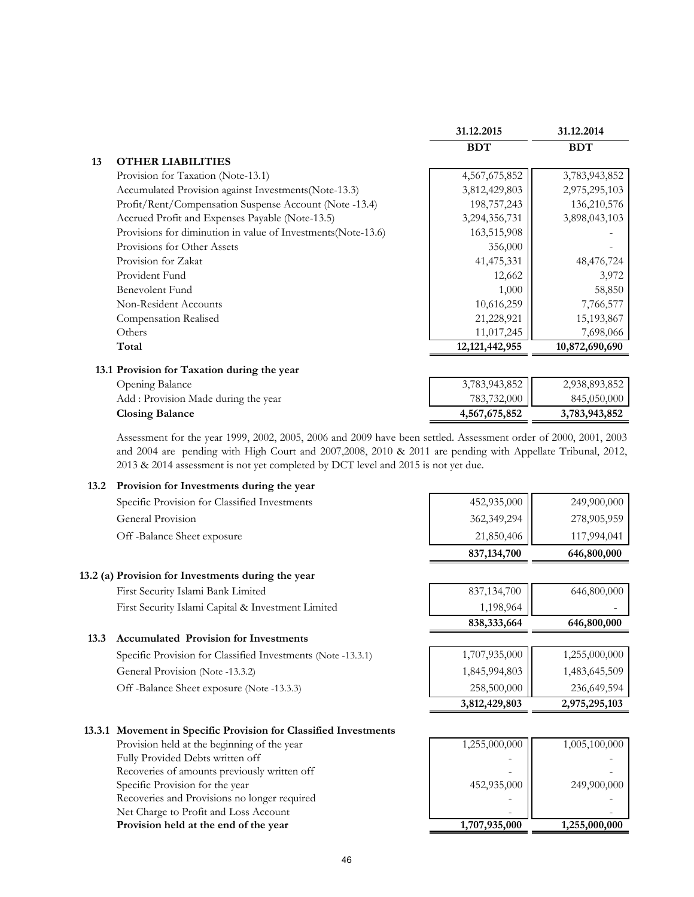|    |                                                              | 31.12.2015        | 31.12.2014     |
|----|--------------------------------------------------------------|-------------------|----------------|
|    |                                                              | <b>BDT</b>        | <b>BDT</b>     |
| 13 | <b>OTHER LIABILITIES</b>                                     |                   |                |
|    | Provision for Taxation (Note-13.1)                           | 4,567,675,852     | 3,783,943,852  |
|    | Accumulated Provision against Investments (Note-13.3)        | 3,812,429,803     | 2,975,295,103  |
|    | Profit/Rent/Compensation Suspense Account (Note -13.4)       | 198,757,243       | 136,210,576    |
|    | Accrued Profit and Expenses Payable (Note-13.5)              | 3,294,356,731     | 3,898,043,103  |
|    | Provisions for diminution in value of Investments(Note-13.6) | 163,515,908       |                |
|    | Provisions for Other Assets                                  | 356,000           |                |
|    | Provision for Zakat                                          | 41,475,331        | 48,476,724     |
|    | Provident Fund                                               | 12,662            | 3,972          |
|    | <b>Benevolent Fund</b>                                       | 1,000             | 58,850         |
|    | Non-Resident Accounts                                        | 10,616,259        | 7,766,577      |
|    | Compensation Realised                                        | 21,228,921        | 15,193,867     |
|    | Others                                                       | 11,017,245        | 7,698,066      |
|    | Total                                                        | 12, 121, 442, 955 | 10,872,690,690 |
|    | 13.1 Provision for Taxation during the year                  |                   |                |
|    | Opening Balance                                              | 3,783,943,852     | 2,938,893,852  |
|    | Add : Provision Made during the year                         | 783,732,000       | 845,050,000    |
|    | <b>Closing Balance</b>                                       | 4,567,675,852     | 3,783,943,852  |

Assessment for the year 1999, 2002, 2005, 2006 and 2009 have been settled. Assessment order of 2000, 2001, 2003 and 2004 are pending with High Court and 2007,2008, 2010 & 2011 are pending with Appellate Tribunal, 2012, 2013 & 2014 assessment is not yet completed by DCT level and 2015 is not yet due.

# **13.2 Provision for Investments during the year**

| Specific Provision for Classified Investments      | 452,935,000   | 249,900,000 |
|----------------------------------------------------|---------------|-------------|
| General Provision                                  | 362,349,294   | 278,905,959 |
| Off-Balance Sheet exposure                         | 21,850,406    | 117,994,041 |
|                                                    | 837, 134, 700 | 646,800,000 |
| 13.2 (a) Provision for Investments during the year |               |             |
| First Security Islami Bank Limited                 | 837, 134, 700 | 646,800,000 |
| First Security Islami Capital & Investment Limited | 1,198,964     |             |

#### **13.3 Accumulated Provision for Investments**

Specific Provision for Classified Investments (Note -13.3.1) General Provision (Note -13.3.2) Off -Balance Sheet exposure (Note -13.3.3)

| 838, 333, 664                                                                                             | 646,800,000   |
|-----------------------------------------------------------------------------------------------------------|---------------|
|                                                                                                           |               |
|                                                                                                           | 1,255,000,000 |
|                                                                                                           | 1,483,645,509 |
| $\left  \begin{array}{c} 1{,}707{,}935{,}000 \ 1{,}845{,}994{,}803 \ 258{,}500{,}000 \end{array} \right $ | 236,649,594   |
| 3,812,429,803                                                                                             | 2,975,295,103 |

#### **13.3.1 Movement in Specific Provision for Classified Investments**

Provision held at the beginning of the year Fully Provided Debts written off Recoveries of amounts previously written off Specific Provision for the year Recoveries and Provisions no longer required Net Charge to Profit and Loss Account **Provision held at the end of the year**  $=$ 

| 1,255,000,000 | 1,005,100,000 |
|---------------|---------------|
|               |               |
|               |               |
|               |               |
| 452,935,000   | 249,900,000   |
|               |               |
|               |               |
| 1,707,935,000 | 1,255,000,000 |
|               |               |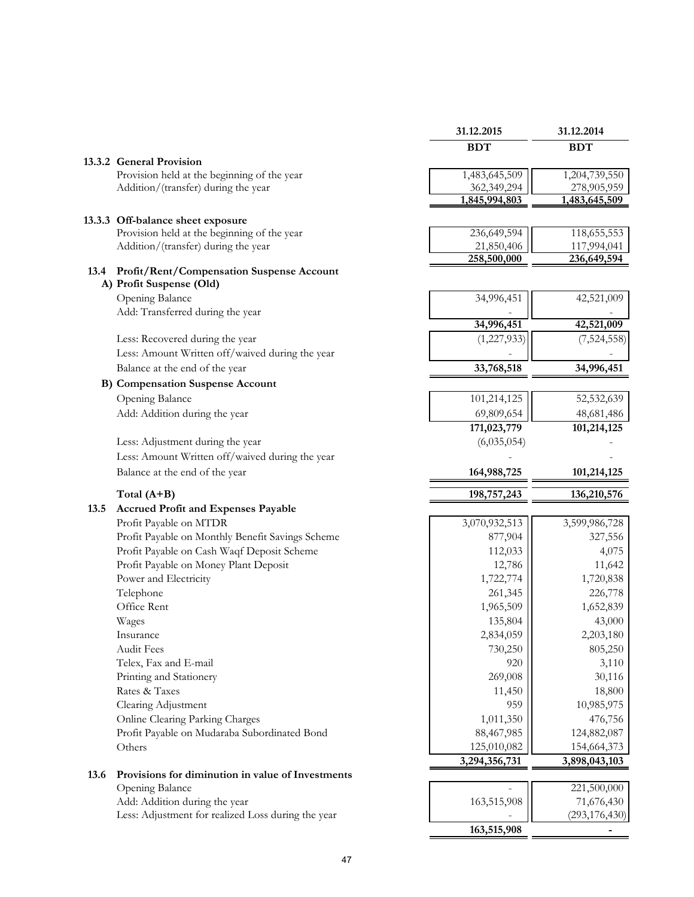|      |                                                                            | 31.12.2015                | 31.12.2014      |
|------|----------------------------------------------------------------------------|---------------------------|-----------------|
|      |                                                                            | <b>BDT</b>                | <b>BDT</b>      |
|      | 13.3.2 General Provision                                                   |                           |                 |
|      | Provision held at the beginning of the year                                | 1,483,645,509             | 1,204,739,550   |
|      | Addition/(transfer) during the year                                        | 362,349,294               | 278,905,959     |
|      |                                                                            | 1,845,994,803             | 1,483,645,509   |
|      | 13.3.3 Off-balance sheet exposure                                          |                           |                 |
|      | Provision held at the beginning of the year                                | 236,649,594               | 118,655,553     |
|      | Addition/(transfer) during the year                                        | 21,850,406                | 117,994,041     |
|      |                                                                            | 258,500,000               | 236,649,594     |
|      | 13.4 Profit/Rent/Compensation Suspense Account<br>A) Profit Suspense (Old) |                           |                 |
|      | Opening Balance                                                            | 34,996,451                | 42,521,009      |
|      | Add: Transferred during the year                                           |                           |                 |
|      |                                                                            | 34,996,451                | 42,521,009      |
|      | Less: Recovered during the year                                            | (1,227,933)               | (7,524,558)     |
|      | Less: Amount Written off/waived during the year                            |                           |                 |
|      | Balance at the end of the year                                             | 33,768,518                | 34,996,451      |
|      | <b>B)</b> Compensation Suspense Account                                    |                           |                 |
|      | Opening Balance                                                            | 101,214,125               |                 |
|      |                                                                            |                           | 52,532,639      |
|      | Add: Addition during the year                                              | 69,809,654<br>171,023,779 | 48,681,486      |
|      | Less: Adjustment during the year                                           | (6,035,054)               | 101,214,125     |
|      |                                                                            |                           |                 |
|      | Less: Amount Written off/waived during the year                            |                           |                 |
|      | Balance at the end of the year                                             | 164,988,725               | 101,214,125     |
|      | Total $(A+B)$                                                              |                           |                 |
|      |                                                                            | 198,757,243               | 136,210,576     |
| 13.5 | <b>Accrued Profit and Expenses Payable</b>                                 |                           |                 |
|      | Profit Payable on MTDR                                                     | 3,070,932,513             | 3,599,986,728   |
|      | Profit Payable on Monthly Benefit Savings Scheme                           | 877,904                   | 327,556         |
|      | Profit Payable on Cash Waqf Deposit Scheme                                 | 112,033                   | 4,075           |
|      | Profit Payable on Money Plant Deposit                                      | 12,786                    | 11,642          |
|      | Power and Electricity                                                      | 1,722,774                 | 1,720,838       |
|      | Telephone                                                                  | 261,345                   | 226,778         |
|      | Office Rent                                                                | 1,965,509                 | 1,652,839       |
|      | Wages                                                                      | 135,804                   | 43,000          |
|      | Insurance                                                                  | 2,834,059                 | 2,203,180       |
|      | <b>Audit Fees</b>                                                          | 730,250                   | 805,250         |
|      | Telex, Fax and E-mail                                                      | 920                       | 3,110           |
|      | Printing and Stationery                                                    | 269,008                   | 30,116          |
|      | Rates & Taxes                                                              | 11,450                    | 18,800          |
|      | Clearing Adjustment                                                        | 959                       | 10,985,975      |
|      | Online Clearing Parking Charges                                            | 1,011,350                 | 476,756         |
|      | Profit Payable on Mudaraba Subordinated Bond                               | 88,467,985                | 124,882,087     |
|      | Others                                                                     | 125,010,082               | 154,664,373     |
|      |                                                                            | 3,294,356,731             | 3,898,043,103   |
| 13.6 | Provisions for diminution in value of Investments                          |                           |                 |
|      | Opening Balance                                                            |                           | 221,500,000     |
|      | Add: Addition during the year                                              | 163,515,908               | 71,676,430      |
|      | Less: Adjustment for realized Loss during the year                         | 163,515,908               | (293, 176, 430) |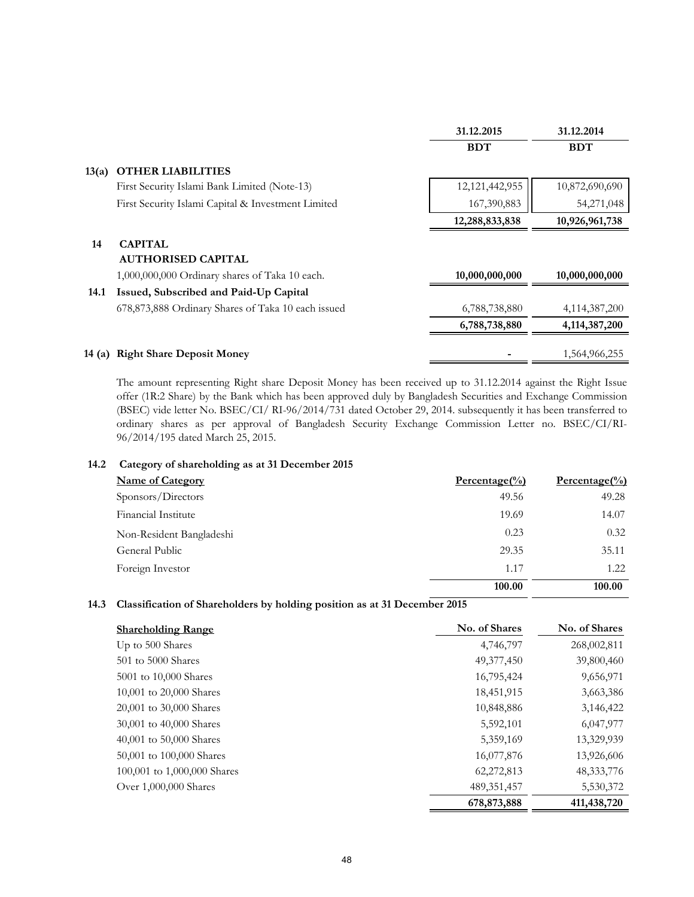|        |                                                    | 31.12.2015     | 31.12.2014       |
|--------|----------------------------------------------------|----------------|------------------|
|        |                                                    | <b>BDT</b>     | <b>BDT</b>       |
| 13(a)  | <b>OTHER LIABILITIES</b>                           |                |                  |
|        | First Security Islami Bank Limited (Note-13)       | 12,121,442,955 | 10,872,690,690   |
|        | First Security Islami Capital & Investment Limited | 167,390,883    | 54,271,048       |
|        |                                                    | 12,288,833,838 | 10,926,961,738   |
| 14     | <b>CAPITAL</b>                                     |                |                  |
|        | <b>AUTHORISED CAPITAL</b>                          |                |                  |
|        | 1,000,000,000 Ordinary shares of Taka 10 each.     | 10,000,000,000 | 10,000,000,000   |
| 14.1   | Issued, Subscribed and Paid-Up Capital             |                |                  |
|        | 678,873,888 Ordinary Shares of Taka 10 each issued | 6,788,738,880  | 4,114,387,200    |
|        |                                                    | 6,788,738,880  | 4, 114, 387, 200 |
| 14 (a) | <b>Right Share Deposit Money</b>                   |                | 1,564,966,255    |

The amount representing Right share Deposit Money has been received up to 31.12.2014 against the Right Issue offer (1R:2 Share) by the Bank which has been approved duly by Bangladesh Securities and Exchange Commission (BSEC) vide letter No. BSEC/CI/ RI-96/2014/731 dated October 29, 2014. subsequently it has been transferred to ordinary shares as per approval of Bangladesh Security Exchange Commission Letter no. BSEC/CI/RI-96/2014/195 dated March 25, 2015.

#### **14.2 Category of shareholding as at 31 December 2015**

| <b>Name of Category</b>  | $Percentage(\%)$ | $Percentage$ <sup>(%)</sup> |
|--------------------------|------------------|-----------------------------|
| Sponsors/Directors       | 49.56            | 49.28                       |
| Financial Institute      | 19.69            | 14.07                       |
| Non-Resident Bangladeshi | 0.23             | 0.32                        |
| General Public           | 29.35            | 35.11                       |
| Foreign Investor         | 1.17             | 1.22                        |
|                          | 100.00           | 100.00                      |

## **14.3 Classification of Shareholders by holding position as at 31 December 2015**

| <b>Shareholding Range</b>   | No. of Shares | No. of Shares |
|-----------------------------|---------------|---------------|
| Up to 500 Shares            | 4,746,797     | 268,002,811   |
| 501 to 5000 Shares          | 49,377,450    | 39,800,460    |
| 5001 to 10,000 Shares       | 16,795,424    | 9,656,971     |
| 10,001 to 20,000 Shares     | 18,451,915    | 3,663,386     |
| 20,001 to 30,000 Shares     | 10,848,886    | 3,146,422     |
| 30,001 to 40,000 Shares     | 5,592,101     | 6,047,977     |
| 40,001 to 50,000 Shares     | 5,359,169     | 13,329,939    |
| 50,001 to 100,000 Shares    | 16,077,876    | 13,926,606    |
| 100,001 to 1,000,000 Shares | 62,272,813    | 48, 333, 776  |
| Over 1,000,000 Shares       | 489, 351, 457 | 5,530,372     |
|                             | 678,873,888   | 411,438,720   |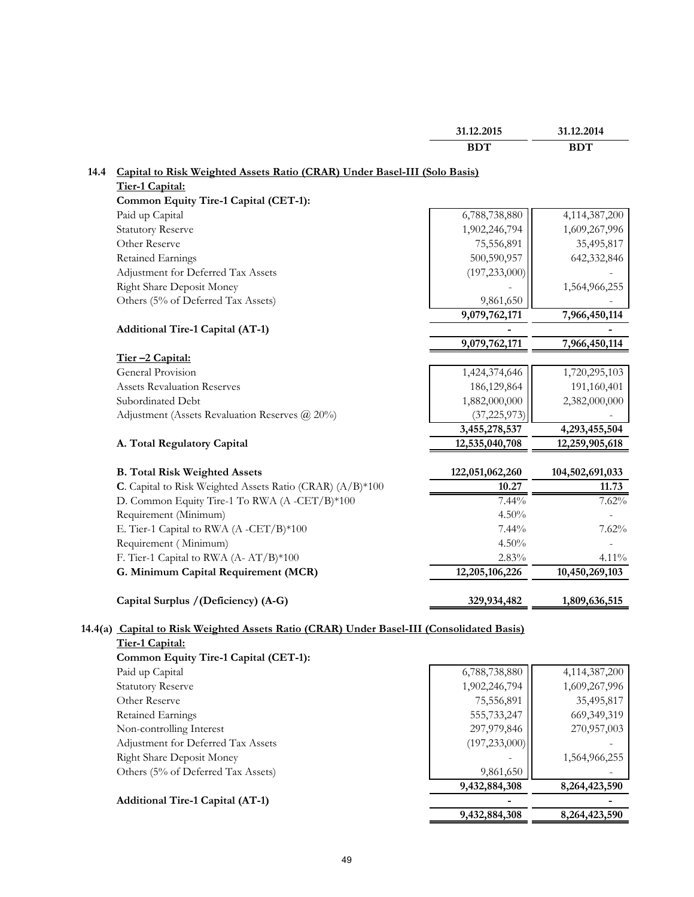|                                                                           | <b>BDT</b>      | <b>BDT</b>      |
|---------------------------------------------------------------------------|-----------------|-----------------|
| Capital to Risk Weighted Assets Ratio (CRAR) Under Basel-III (Solo Basis) |                 |                 |
| Tier-1 Capital:                                                           |                 |                 |
| Common Equity Tire-1 Capital (CET-1):                                     |                 |                 |
| Paid up Capital                                                           | 6,788,738,880   | 4,114,387,200   |
| <b>Statutory Reserve</b>                                                  | 1,902,246,794   | 1,609,267,996   |
| Other Reserve                                                             | 75,556,891      | 35,495,817      |
| Retained Earnings                                                         | 500,590,957     | 642,332,846     |
| Adjustment for Deferred Tax Assets                                        | (197, 233, 000) |                 |
| Right Share Deposit Money                                                 |                 | 1,564,966,255   |
| Others (5% of Deferred Tax Assets)                                        | 9,861,650       |                 |
|                                                                           | 9,079,762,171   | 7,966,450,114   |
| Additional Tire-1 Capital (AT-1)                                          |                 |                 |
|                                                                           | 9,079,762,171   | 7,966,450,114   |
| Tier-2 Capital:                                                           |                 |                 |
| General Provision                                                         | 1,424,374,646   | 1,720,295,103   |
| <b>Assets Revaluation Reserves</b>                                        | 186,129,864     | 191,160,401     |
| Subordinated Debt                                                         | 1,882,000,000   | 2,382,000,000   |
| Adjustment (Assets Revaluation Reserves @ 20%)                            | (37, 225, 973)  |                 |
|                                                                           | 3,455,278,537   | 4,293,455,504   |
| A. Total Regulatory Capital                                               | 12,535,040,708  | 12,259,905,618  |
| <b>B. Total Risk Weighted Assets</b>                                      | 122,051,062,260 | 104,502,691,033 |
| C. Capital to Risk Weighted Assets Ratio (CRAR) (A/B)*100                 | 10.27           | 11.73           |
| D. Common Equity Tire-1 To RWA (A-CET/B)*100                              | 7.44%           | 7.62%           |
| Requirement (Minimum)                                                     | 4.50%           |                 |
| E. Tier-1 Capital to RWA (A -CET/B)*100                                   | 7.44%           | 7.62%           |
| Requirement (Minimum)                                                     | 4.50%           |                 |
| F. Tier-1 Capital to RWA (A- AT/B)*100                                    | 2.83%           | 4.11%           |
| G. Minimum Capital Requirement (MCR)                                      | 12,205,106,226  | 10,450,269,103  |
| Capital Surplus / (Deficiency) (A-G)                                      | 329,934,482     | 1,809,636,515   |

**31.12.2015 31.12.2014**

# **14.4(a) Capital to Risk Weighted Assets Ratio (CRAR) Under Basel-III (Consolidated Basis) Tier-1 Capital:**

| -- - --------                           |                 |               |
|-----------------------------------------|-----------------|---------------|
| Common Equity Tire-1 Capital (CET-1):   |                 |               |
| Paid up Capital                         | 6,788,738,880   | 4,114,387,200 |
| <b>Statutory Reserve</b>                | 1,902,246,794   | 1,609,267,996 |
| Other Reserve                           | 75,556,891      | 35,495,817    |
| Retained Earnings                       | 555,733,247     | 669, 349, 319 |
| Non-controlling Interest                | 297,979,846     | 270,957,003   |
| Adjustment for Deferred Tax Assets      | (197, 233, 000) |               |
| <b>Right Share Deposit Money</b>        |                 | 1,564,966,255 |
| Others (5% of Deferred Tax Assets)      | 9,861,650       |               |
|                                         | 9,432,884,308   | 8,264,423,590 |
| <b>Additional Tire-1 Capital (AT-1)</b> |                 |               |
|                                         | 9,432,884,308   | 8,264,423,590 |
|                                         |                 |               |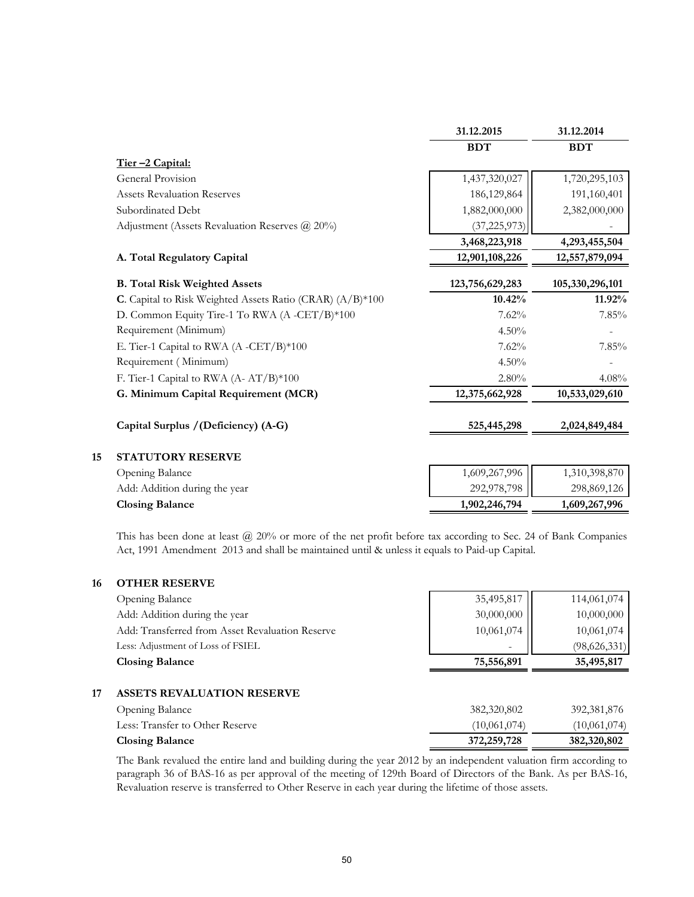|                                                           | 31.12.2015      | 31.12.2014      |
|-----------------------------------------------------------|-----------------|-----------------|
|                                                           | <b>BDT</b>      | <b>BDT</b>      |
| Tier-2 Capital:                                           |                 |                 |
| <b>General Provision</b>                                  | 1,437,320,027   | 1,720,295,103   |
| <b>Assets Revaluation Reserves</b>                        | 186, 129, 864   | 191,160,401     |
| Subordinated Debt                                         | 1,882,000,000   | 2,382,000,000   |
| Adjustment (Assets Revaluation Reserves @ 20%)            | (37, 225, 973)  |                 |
|                                                           | 3,468,223,918   | 4,293,455,504   |
| A. Total Regulatory Capital                               | 12,901,108,226  | 12,557,879,094  |
| <b>B. Total Risk Weighted Assets</b>                      | 123,756,629,283 | 105,330,296,101 |
| C. Capital to Risk Weighted Assets Ratio (CRAR) (A/B)*100 | 10.42%          | 11.92%          |
| D. Common Equity Tire-1 To RWA (A -CET/B)*100             | 7.62%           | 7.85%           |
| Requirement (Minimum)                                     | 4.50%           |                 |
| E. Tier-1 Capital to RWA (A -CET/B)*100                   | 7.62%           | 7.85%           |
| Requirement (Minimum)                                     | 4.50%           |                 |
| F. Tier-1 Capital to RWA (A-AT/B)*100                     | 2.80%           | 4.08%           |
| G. Minimum Capital Requirement (MCR)                      | 12,375,662,928  | 10,533,029,610  |
| Capital Surplus / (Deficiency) (A-G)                      | 525,445,298     | 2,024,849,484   |
| <b>STATUTORY RESERVE</b>                                  |                 |                 |
| Opening Balance                                           | 1,609,267,996   | 1,310,398,870   |
| Add: Addition during the year                             | 292,978,798     | 298,869,126     |
| <b>Closing Balance</b>                                    | 1,902,246,794   | 1,609,267,996   |

This has been done at least @ 20% or more of the net profit before tax according to Sec. 24 of Bank Companies Act, 1991 Amendment 2013 and shall be maintained until & unless it equals to Paid-up Capital.

#### **16 OTHER RESERVE**

| <b>Opening Balance</b>                          | 35,495,817 | 114,061,074  |
|-------------------------------------------------|------------|--------------|
| Add: Addition during the year                   | 30,000,000 | 10,000,000   |
| Add: Transferred from Asset Revaluation Reserve | 10,061,074 | 10,061,074   |
| Less: Adjustment of Loss of FSIEL               | -          | (98,626,331) |
| <b>Closing Balance</b>                          | 75,556,891 | 35,495,817   |

#### **17 ASSETS REVALUATION RESERVE**

| Opening Balance                 | 382,320,802   | 392,381,876  |
|---------------------------------|---------------|--------------|
| Less: Transfer to Other Reserve | (10,061,074)  | (10,061,074) |
| <b>Closing Balance</b>          | 372, 259, 728 | 382,320,802  |

The Bank revalued the entire land and building during the year 2012 by an independent valuation firm according to paragraph 36 of BAS-16 as per approval of the meeting of 129th Board of Directors of the Bank. As per BAS-16, Revaluation reserve is transferred to Other Reserve in each year during the lifetime of those assets.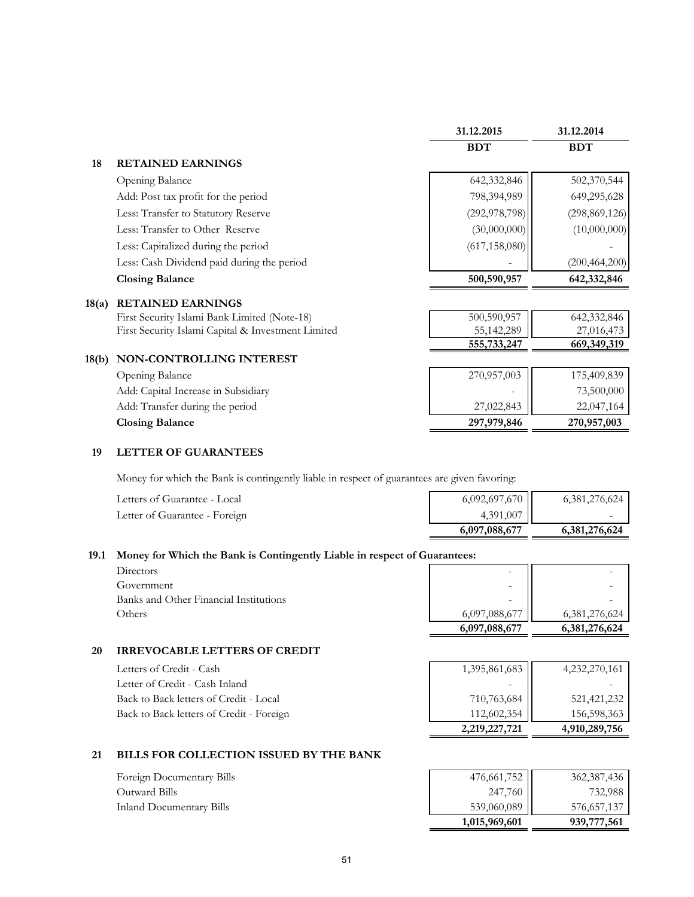|       |                                                    | 31.12.2015      | 31.12.2014      |
|-------|----------------------------------------------------|-----------------|-----------------|
|       |                                                    | <b>BDT</b>      | <b>BDT</b>      |
| 18    | <b>RETAINED EARNINGS</b>                           |                 |                 |
|       | Opening Balance                                    | 642,332,846     | 502,370,544     |
|       | Add: Post tax profit for the period                | 798,394,989     | 649,295,628     |
|       | Less: Transfer to Statutory Reserve                | (292, 978, 798) | (298, 869, 126) |
|       | Less: Transfer to Other Reserve                    | (30,000,000)    | (10,000,000)    |
|       | Less: Capitalized during the period                | (617, 158, 080) |                 |
|       | Less: Cash Dividend paid during the period         |                 | (200, 464, 200) |
|       | <b>Closing Balance</b>                             | 500,590,957     | 642,332,846     |
| 18(a) | <b>RETAINED EARNINGS</b>                           |                 |                 |
|       | First Security Islami Bank Limited (Note-18)       | 500,590,957     | 642,332,846     |
|       | First Security Islami Capital & Investment Limited | 55,142,289      | 27,016,473      |
|       |                                                    | 555,733,247     | 669,349,319     |
| 18(b) | NON-CONTROLLING INTEREST                           |                 |                 |

| <b>Opening Balance</b>              | 270,957,003 | 175,409,839 |
|-------------------------------------|-------------|-------------|
| Add: Capital Increase in Subsidiary |             | 73,500,000  |
| Add: Transfer during the period     | 27,022,843  | 22,047,164  |
| <b>Closing Balance</b>              | 297,979,846 | 270,957,003 |
|                                     |             |             |

#### **19 LETTER OF GUARANTEES**

Money for which the Bank is contingently liable in respect of guarantees are given favoring:

| Letters of Guarantee - Local  | 6,092,697,670 | 6,381,276,624 |
|-------------------------------|---------------|---------------|
| Letter of Guarantee - Foreign | 4,391,007     |               |
|                               | 6,097,088,677 | 6,381,276,624 |

# **19.1 Money for Which the Bank is Contingently Liable in respect of Guarantees:**

| Directors                             |
|---------------------------------------|
| Government                            |
| Banks and Other Financial Institution |
| Others                                |

| Directors                              |  |               |               |
|----------------------------------------|--|---------------|---------------|
| Government                             |  | ۰             |               |
| Banks and Other Financial Institutions |  | -             |               |
| Others                                 |  | 6,097,088,677 | 6.381.276.624 |
|                                        |  | 6,097,088,677 | 6,381,276,624 |

# **20 IRREVOCABLE LETTERS OF CREDIT**

| Letters of Credit - Cash                 | 1,395,861,683 | 4,232,270,161 |
|------------------------------------------|---------------|---------------|
| Letter of Credit - Cash Inland           |               |               |
| Back to Back letters of Credit - Local   | 710,763,684   | 521,421,232   |
| Back to Back letters of Credit - Foreign | 112,602,354   | 156,598,363   |
|                                          | 2,219,227,721 | 4,910,289,756 |

# **21 BILLS FOR COLLECTION ISSUED BY THE BANK**

| Foreign Documentary Bills | 476,661,752   | 362,387,436 |
|---------------------------|---------------|-------------|
| Outward Bills             | 247,760 II    | 732,988     |
| Inland Documentary Bills  | 539,060,089   | 576,657,137 |
|                           | 1,015,969,601 | 939,777,561 |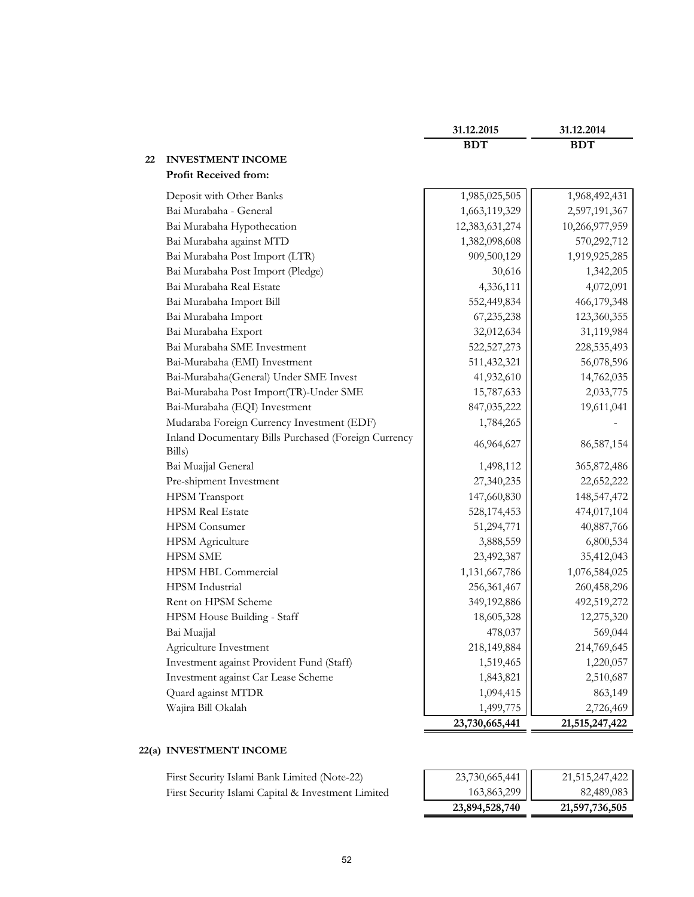|    |                                                                | 31.12.2015     | 31.12.2014     |
|----|----------------------------------------------------------------|----------------|----------------|
|    |                                                                | <b>BDT</b>     | <b>BDT</b>     |
| 22 | <b>INVESTMENT INCOME</b>                                       |                |                |
|    | <b>Profit Received from:</b>                                   |                |                |
|    | Deposit with Other Banks                                       | 1,985,025,505  | 1,968,492,431  |
|    | Bai Murabaha - General                                         | 1,663,119,329  | 2,597,191,367  |
|    | Bai Murabaha Hypothecation                                     | 12,383,631,274 | 10,266,977,959 |
|    | Bai Murabaha against MTD                                       | 1,382,098,608  | 570,292,712    |
|    | Bai Murabaha Post Import (LTR)                                 | 909,500,129    | 1,919,925,285  |
|    | Bai Murabaha Post Import (Pledge)                              | 30,616         | 1,342,205      |
|    | Bai Murabaha Real Estate                                       | 4,336,111      | 4,072,091      |
|    | Bai Murabaha Import Bill                                       | 552,449,834    | 466,179,348    |
|    | Bai Murabaha Import                                            | 67,235,238     | 123,360,355    |
|    | Bai Murabaha Export                                            | 32,012,634     | 31,119,984     |
|    | Bai Murabaha SME Investment                                    | 522,527,273    | 228,535,493    |
|    | Bai-Murabaha (EMI) Investment                                  | 511,432,321    | 56,078,596     |
|    | Bai-Murabaha(General) Under SME Invest                         | 41,932,610     | 14,762,035     |
|    | Bai-Murabaha Post Import(TR)-Under SME                         | 15,787,633     | 2,033,775      |
|    | Bai-Murabaha (EQI) Investment                                  | 847,035,222    | 19,611,041     |
|    | Mudaraba Foreign Currency Investment (EDF)                     | 1,784,265      |                |
|    | Inland Documentary Bills Purchased (Foreign Currency<br>Bills) | 46,964,627     | 86,587,154     |
|    | Bai Muajjal General                                            | 1,498,112      | 365,872,486    |
|    | Pre-shipment Investment                                        | 27,340,235     | 22,652,222     |
|    | HPSM Transport                                                 | 147,660,830    | 148,547,472    |
|    | <b>HPSM Real Estate</b>                                        | 528,174,453    | 474,017,104    |
|    | <b>HPSM</b> Consumer                                           | 51,294,771     | 40,887,766     |
|    | <b>HPSM</b> Agriculture                                        | 3,888,559      | 6,800,534      |
|    | <b>HPSM SME</b>                                                | 23,492,387     | 35,412,043     |
|    | HPSM HBL Commercial                                            | 1,131,667,786  | 1,076,584,025  |
|    | HPSM Industrial                                                | 256,361,467    | 260,458,296    |
|    | Rent on HPSM Scheme                                            | 349,192,886    | 492,519,272    |
|    | HPSM House Building - Staff                                    | 18,605,328     | 12,275,320     |
|    | Bai Muajjal                                                    | 478,037        | 569,044        |
|    | Agriculture Investment                                         | 218,149,884    | 214,769,645    |
|    | Investment against Provident Fund (Staff)                      | 1,519,465      | 1,220,057      |
|    | Investment against Car Lease Scheme                            | 1,843,821      | 2,510,687      |
|    | Quard against MTDR                                             | 1,094,415      | 863,149        |
|    | Wajira Bill Okalah                                             | 1,499,775      | 2,726,469      |
|    |                                                                | 23,730,665,441 | 21,515,247,422 |

# **22(a) INVESTMENT INCOME**

| First Security Islami Bank Limited (Note-22)       | 23,730,665,441 | 21,515,247,422 |
|----------------------------------------------------|----------------|----------------|
| First Security Islami Capital & Investment Limited | 163,863,299    | 82,489,083     |

| 23,894,528,740 | 21,597,736,505 |
|----------------|----------------|
| 163,863,299    | 82,489,083     |
| 23,730,665,441 | 21,515,247,422 |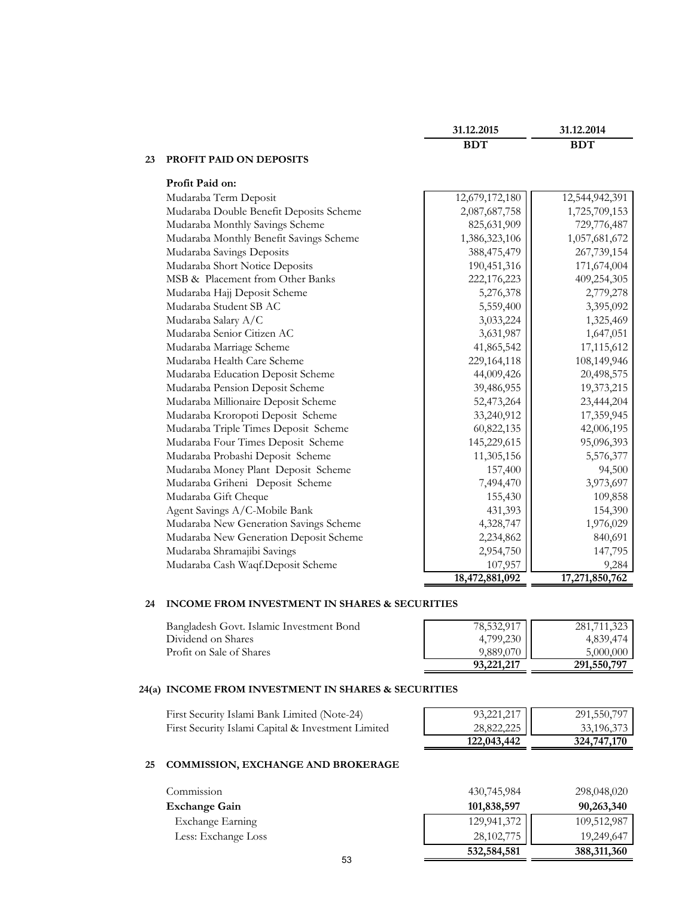|    |                                         | <b>BDT</b>     | <b>BDT</b>     |
|----|-----------------------------------------|----------------|----------------|
| 23 | PROFIT PAID ON DEPOSITS                 |                |                |
|    | Profit Paid on:                         |                |                |
|    | Mudaraba Term Deposit                   | 12,679,172,180 | 12,544,942,391 |
|    | Mudaraba Double Benefit Deposits Scheme | 2,087,687,758  | 1,725,709,153  |
|    | Mudaraba Monthly Savings Scheme         | 825,631,909    | 729,776,487    |
|    | Mudaraba Monthly Benefit Savings Scheme | 1,386,323,106  | 1,057,681,672  |
|    | Mudaraba Savings Deposits               | 388,475,479    | 267,739,154    |
|    | Mudaraba Short Notice Deposits          | 190,451,316    | 171,674,004    |
|    | MSB & Placement from Other Banks        | 222,176,223    | 409,254,305    |
|    | Mudaraba Hajj Deposit Scheme            | 5,276,378      | 2,779,278      |
|    | Mudaraba Student SB AC                  | 5,559,400      | 3,395,092      |
|    | Mudaraba Salary A/C                     | 3,033,224      | 1,325,469      |
|    | Mudaraba Senior Citizen AC              | 3,631,987      | 1,647,051      |
|    | Mudaraba Marriage Scheme                | 41,865,542     | 17,115,612     |
|    | Mudaraba Health Care Scheme             | 229, 164, 118  | 108,149,946    |
|    | Mudaraba Education Deposit Scheme       | 44,009,426     | 20,498,575     |
|    | Mudaraba Pension Deposit Scheme         | 39,486,955     | 19,373,215     |
|    | Mudaraba Millionaire Deposit Scheme     | 52,473,264     | 23,444,204     |
|    | Mudaraba Kroropoti Deposit Scheme       | 33,240,912     | 17,359,945     |
|    | Mudaraba Triple Times Deposit Scheme    | 60,822,135     | 42,006,195     |
|    | Mudaraba Four Times Deposit Scheme      | 145,229,615    | 95,096,393     |
|    | Mudaraba Probashi Deposit Scheme        | 11,305,156     | 5,576,377      |
|    | Mudaraba Money Plant Deposit Scheme     | 157,400        | 94,500         |
|    | Mudaraba Griheni Deposit Scheme         | 7,494,470      | 3,973,697      |
|    | Mudaraba Gift Cheque                    | 155,430        | 109,858        |
|    | Agent Savings A/C-Mobile Bank           | 431,393        | 154,390        |

**31.12.2015 31.12.2014**

Mudaraba Shramajibi Savings 2,954,750 | 2,954,750 | 147,795 Mudaraba Cash Waqf.Deposit Scheme 107,957 | 9,284  **18,472,881,092 17,271,850,762**

# **24 INCOME FROM INVESTMENT IN SHARES & SECURITIES**

| Bangladesh Govt. Islamic Investment Bond | 78,532,917 | 281,711,323 |
|------------------------------------------|------------|-------------|
| Dividend on Shares                       | 4,799,230  | 4,839,474   |
| Profit on Sale of Shares                 | 9.889.070  | 5,000,000   |
|                                          | 93,221,217 | 291,550,797 |

#### **24(a) INCOME FROM INVESTMENT IN SHARES & SECURITIES**

| First Security Islami Bank Limited (Note-24)       | 93,221,217  | 291,550,797 |
|----------------------------------------------------|-------------|-------------|
| First Security Islami Capital & Investment Limited | 28,822,225  | 33,196,373  |
|                                                    | 122,043,442 | 324,747,170 |

Mudaraba New Generation Savings Scheme 4,328,747 | 1,976,029 Mudaraba New Generation Deposit Scheme 2,234,862 | 840,691

#### **25 COMMISSION, EXCHANGE AND BROKERAGE**

| Commission          | 430,745,984  | 298,048,020 |
|---------------------|--------------|-------------|
| Exchange Gain       | 101,838,597  | 90,263,340  |
| Exchange Earning    | 129,941,372  | 109,512,987 |
| Less: Exchange Loss | 28, 102, 775 | 19,249,647  |
| --                  | 532,584,581  | 388,311,360 |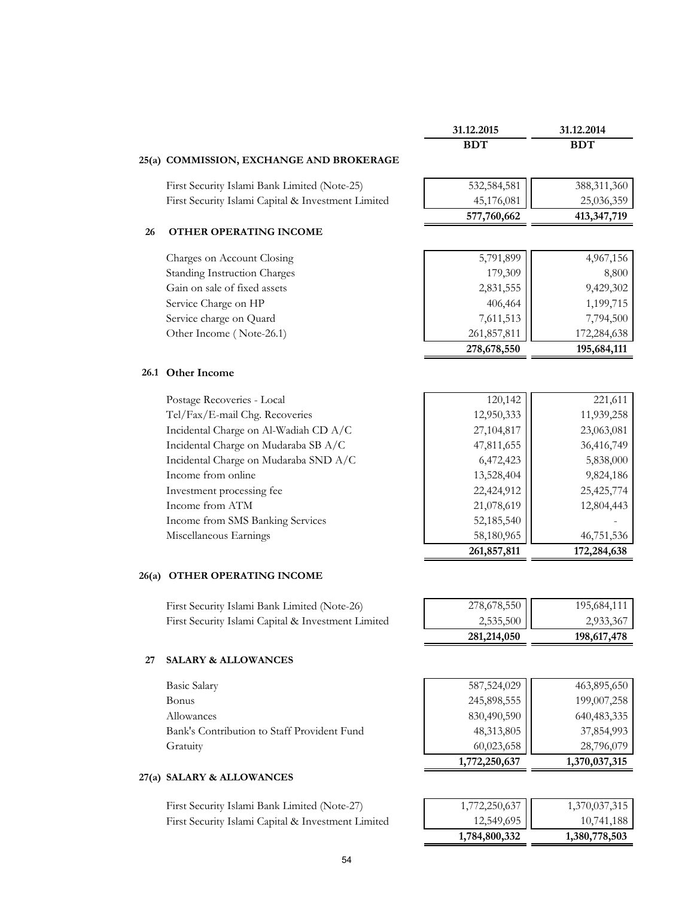|    |                                                    | 31.12.2015    | 31.12.2014    |
|----|----------------------------------------------------|---------------|---------------|
|    |                                                    | <b>BDT</b>    | <b>BDT</b>    |
|    | 25(a) COMMISSION, EXCHANGE AND BROKERAGE           |               |               |
|    | First Security Islami Bank Limited (Note-25)       | 532,584,581   | 388,311,360   |
|    | First Security Islami Capital & Investment Limited | 45,176,081    | 25,036,359    |
|    |                                                    | 577,760,662   | 413, 347, 719 |
| 26 | OTHER OPERATING INCOME                             |               |               |
|    | Charges on Account Closing                         | 5,791,899     | 4,967,156     |
|    | <b>Standing Instruction Charges</b>                | 179,309       | 8,800         |
|    | Gain on sale of fixed assets                       | 2,831,555     | 9,429,302     |
|    | Service Charge on HP                               | 406,464       | 1,199,715     |
|    | Service charge on Quard                            | 7,611,513     | 7,794,500     |
|    | Other Income (Note-26.1)                           | 261,857,811   | 172,284,638   |
|    |                                                    | 278,678,550   | 195,684,111   |
|    | 26.1 Other Income                                  |               |               |
|    | Postage Recoveries - Local                         | 120,142       | 221,611       |
|    | Tel/Fax/E-mail Chg. Recoveries                     | 12,950,333    | 11,939,258    |
|    | Incidental Charge on Al-Wadiah CD A/C              | 27,104,817    | 23,063,081    |
|    | Incidental Charge on Mudaraba SB A/C               | 47,811,655    | 36,416,749    |
|    | Incidental Charge on Mudaraba SND A/C              | 6,472,423     | 5,838,000     |
|    | Income from online                                 | 13,528,404    | 9,824,186     |
|    | Investment processing fee                          | 22,424,912    | 25,425,774    |
|    | Income from ATM                                    | 21,078,619    | 12,804,443    |
|    | Income from SMS Banking Services                   | 52,185,540    |               |
|    | Miscellaneous Earnings                             | 58,180,965    | 46,751,536    |
|    |                                                    | 261,857,811   | 172,284,638   |
|    | 26(a) OTHER OPERATING INCOME                       |               |               |
|    | First Security Islami Bank Limited (Note-26)       | 278,678,550   | 195,684,111   |
|    | First Security Islami Capital & Investment Limited | 2,535,500     | 2,933,367     |
|    |                                                    | 281,214,050   | 198,617,478   |
| 27 | <b>SALARY &amp; ALLOWANCES</b>                     |               |               |
|    | <b>Basic Salary</b>                                | 587,524,029   | 463,895,650   |
|    | Bonus                                              | 245,898,555   | 199,007,258   |
|    | Allowances                                         | 830,490,590   | 640,483,335   |
|    | Bank's Contribution to Staff Provident Fund        | 48,313,805    | 37,854,993    |
|    | Gratuity                                           | 60,023,658    | 28,796,079    |
|    |                                                    | 1,772,250,637 | 1,370,037,315 |
|    | 27(a) SALARY & ALLOWANCES                          |               |               |
|    | First Security Islami Bank Limited (Note-27)       | 1,772,250,637 | 1,370,037,315 |
|    | First Security Islami Capital & Investment Limited | 12,549,695    | 10,741,188    |

# 54

 **1,784,800,332 1,380,778,503**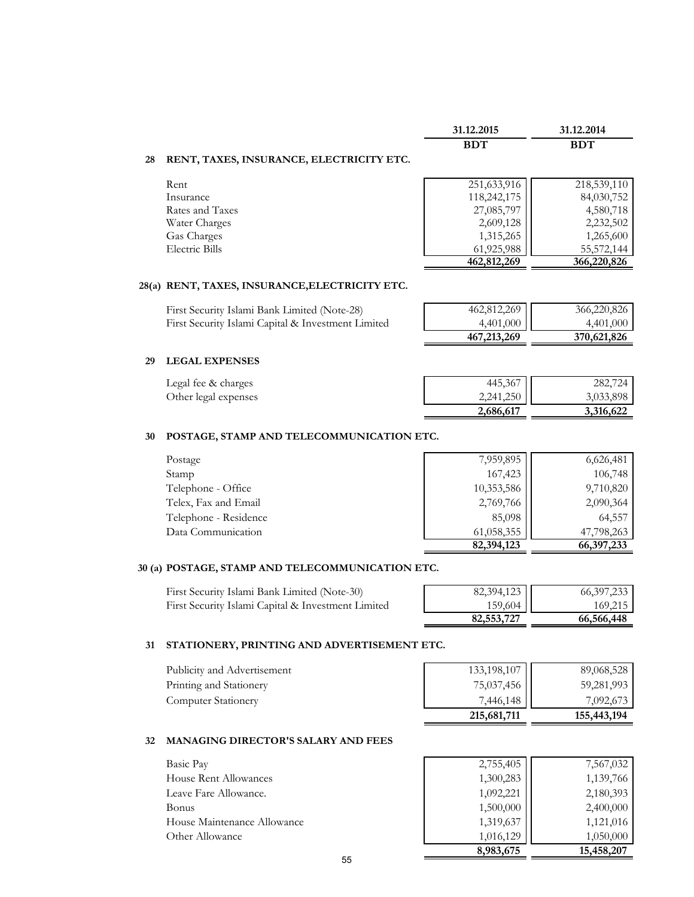|                                                | 31.12.2015  | 31.12.2014   |
|------------------------------------------------|-------------|--------------|
|                                                | <b>BDT</b>  | <b>BDT</b>   |
| RENT, TAXES, INSURANCE, ELECTRICITY ETC.<br>28 |             |              |
| Rent                                           | 251,633,916 | 218,539,110  |
| Insurance                                      | 118,242,175 | 84,030,752   |
| Rates and Taxes                                | 27,085,797  | 4,580,718    |
| Water Charges                                  | 2,609,128   | 2,232,502    |
| Gas Charges                                    | 1,315,265   | 1,265,600    |
| Electric Bills                                 | 61,925,988  | 55, 572, 144 |
|                                                | 462,812,269 | 366,220,826  |

#### **28(a) RENT, TAXES, INSURANCE,ELECTRICITY ETC.**

| First Security Islami Bank Limited (Note-28)       | 462,812,269   | 366,220,826 |
|----------------------------------------------------|---------------|-------------|
| First Security Islami Capital & Investment Limited | 4,401,000     | 4,401,000   |
|                                                    | 467, 213, 269 | 370,621,826 |

#### **29 LEGAL EXPENSES**

| Legal fee & charges  | 445,367   | 282,724   |
|----------------------|-----------|-----------|
| Other legal expenses | 2,241,250 | 3,033,898 |
|                      | 2,686,617 | 3,316,622 |

#### **30 POSTAGE, STAMP AND TELECOMMUNICATION ETC.**

| Postage               | 7,959,895  | 6,626,481    |
|-----------------------|------------|--------------|
| Stamp                 | 167,423    | 106,748      |
| Telephone - Office    | 10,353,586 | 9,710,820    |
| Telex, Fax and Email  | 2,769,766  | 2,090,364    |
| Telephone - Residence | 85,098     | 64,557       |
| Data Communication    | 61,058,355 | 47,798,263   |
|                       | 82,394,123 | 66, 397, 233 |

#### **30 (a) POSTAGE, STAMP AND TELECOMMUNICATION ETC.**

| First Security Islami Bank Limited (Note-30)       | 82,394,123 | 66, 397, 233 |
|----------------------------------------------------|------------|--------------|
| First Security Islami Capital & Investment Limited | $159,604$  | 169.215      |
|                                                    | 82,553,727 | 66,566,448   |

#### **31 STATIONERY, PRINTING AND ADVERTISEMENT ETC.**

|                             | 215,681,711 | 155,443,194 |
|-----------------------------|-------------|-------------|
| Computer Stationery         | 7,446,148   | 7,092,673   |
| Printing and Stationery     | 75,037,456  | 59,281,993  |
| Publicity and Advertisement | 133,198,107 | 89,068,528  |

## **32 MANAGING DIRECTOR'S SALARY AND FEES**

|                              | 8,983,675 | 15,458,207 |
|------------------------------|-----------|------------|
| Other Allowance              | 1,016,129 | 1,050,000  |
| House Maintenance Allowance  | 1,319,637 | 1,121,016  |
| Bonus                        | 1,500,000 | 2,400,000  |
| Leave Fare Allowance.        | 1,092,221 | 2,180,393  |
| <b>House Rent Allowances</b> | 1,300,283 | 1,139,766  |
| Basic Pay                    | 2,755,405 | 7,567,032  |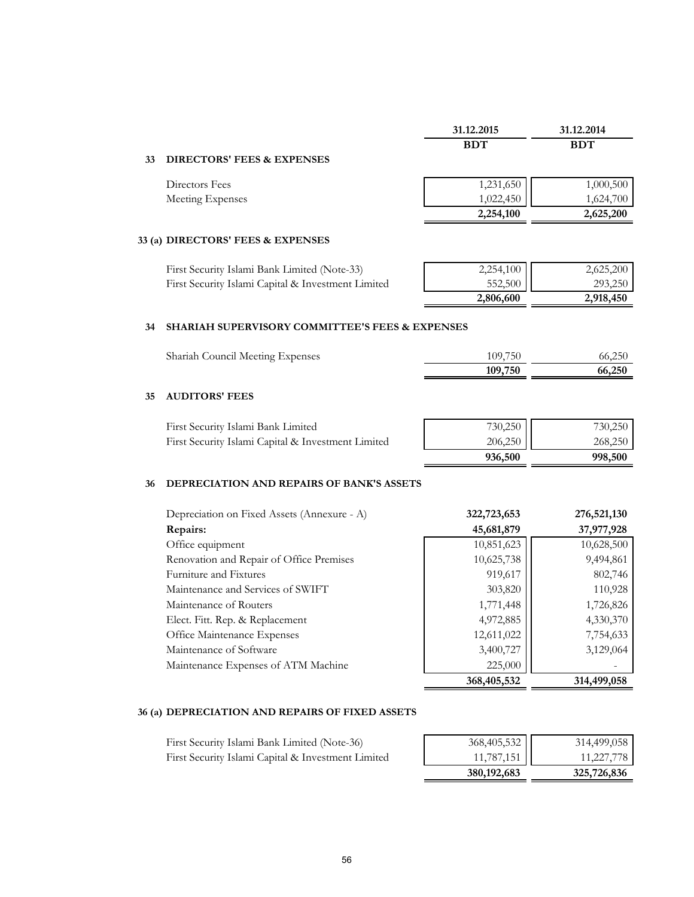|    |                                                            | 31.12.2015 | 31.12.2014 |
|----|------------------------------------------------------------|------------|------------|
|    |                                                            | <b>BDT</b> | <b>BDT</b> |
| 33 | <b>DIRECTORS' FEES &amp; EXPENSES</b>                      |            |            |
|    | Directors Fees                                             | 1,231,650  | 1,000,500  |
|    | Meeting Expenses                                           | 1,022,450  | 1,624,700  |
|    |                                                            | 2,254,100  | 2,625,200  |
|    | 33 (a) DIRECTORS' FEES & EXPENSES                          |            |            |
|    | First Security Islami Bank Limited (Note-33)               | 2,254,100  | 2,625,200  |
|    | First Security Islami Capital & Investment Limited         | 552,500    | 293,250    |
|    |                                                            | 2,806,600  | 2,918,450  |
| 34 | <b>SHARIAH SUPERVISORY COMMITTEE'S FEES &amp; EXPENSES</b> |            |            |

| Shariah Council Meeting Expenses | 109,750 | 66,250 |
|----------------------------------|---------|--------|
|                                  | 109,750 | 66,250 |

# **35 AUDITORS' FEES**

| First Security Islami Bank Limited                 | 730,250   | 730,250 |
|----------------------------------------------------|-----------|---------|
| First Security Islami Capital & Investment Limited | $206,250$ | 268,250 |
|                                                    | 936,500   | 998,500 |

#### **36 DEPRECIATION AND REPAIRS OF BANK'S ASSETS**

| Depreciation on Fixed Assets (Annexure - A) | 322,723,653 | 276,521,130 |
|---------------------------------------------|-------------|-------------|
| Repairs:                                    | 45,681,879  | 37,977,928  |
| Office equipment                            | 10,851,623  | 10,628,500  |
| Renovation and Repair of Office Premises    | 10,625,738  | 9,494,861   |
| Furniture and Fixtures                      | 919,617     | 802,746     |
| Maintenance and Services of SWIFT           | 303,820     | 110,928     |
| Maintenance of Routers                      | 1,771,448   | 1,726,826   |
| Elect. Fitt. Rep. & Replacement             | 4,972,885   | 4,330,370   |
| Office Maintenance Expenses                 | 12,611,022  | 7,754,633   |
| Maintenance of Software                     | 3,400,727   | 3,129,064   |
| Maintenance Expenses of ATM Machine         | 225,000     |             |
|                                             | 368,405,532 | 314,499,058 |

# **36 (a) DEPRECIATION AND REPAIRS OF FIXED ASSETS**

|                                                    | 380, 192, 683 | 325,726,836 |
|----------------------------------------------------|---------------|-------------|
| First Security Islami Capital & Investment Limited | $11,787,151$  | 11,227,778  |
| First Security Islami Bank Limited (Note-36)       | 368,405,532   | 314,499,058 |
|                                                    |               |             |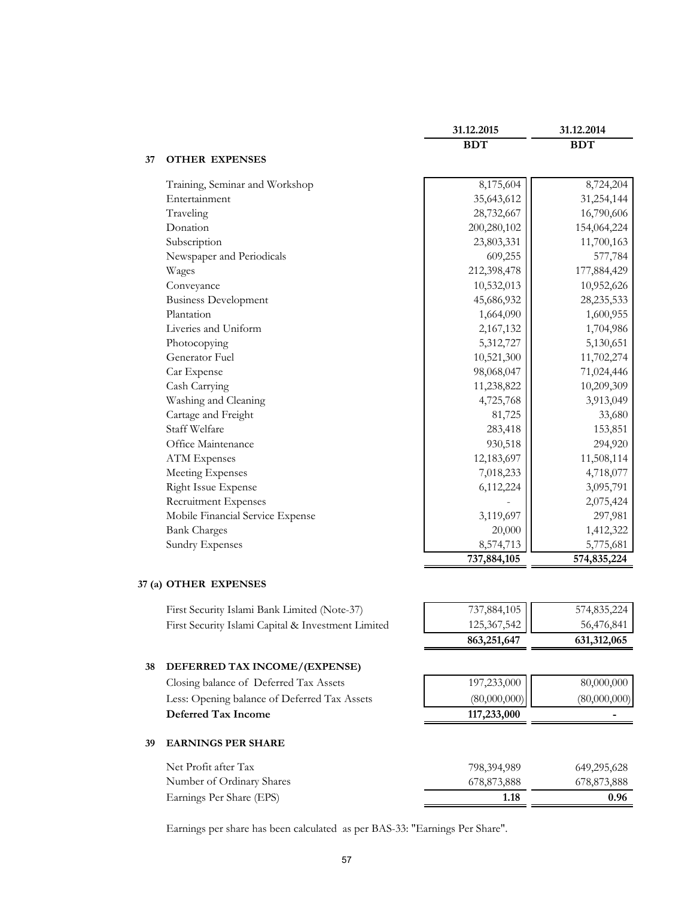|    |                                  | 31.12.2015  | 31.12.2014   |
|----|----------------------------------|-------------|--------------|
|    |                                  | <b>BDT</b>  | <b>BDT</b>   |
| 37 | <b>OTHER EXPENSES</b>            |             |              |
|    | Training, Seminar and Workshop   | 8,175,604   | 8,724,204    |
|    | Entertainment                    | 35,643,612  | 31,254,144   |
|    | Traveling                        | 28,732,667  | 16,790,606   |
|    | Donation                         | 200,280,102 | 154,064,224  |
|    | Subscription                     | 23,803,331  | 11,700,163   |
|    | Newspaper and Periodicals        | 609,255     | 577,784      |
|    | Wages                            | 212,398,478 | 177,884,429  |
|    | Conveyance                       | 10,532,013  | 10,952,626   |
|    | <b>Business Development</b>      | 45,686,932  | 28, 235, 533 |
|    | Plantation                       | 1,664,090   | 1,600,955    |
|    | Liveries and Uniform             | 2,167,132   | 1,704,986    |
|    | Photocopying                     | 5,312,727   | 5,130,651    |
|    | Generator Fuel                   | 10,521,300  | 11,702,274   |
|    | Car Expense                      | 98,068,047  | 71,024,446   |
|    | Cash Carrying                    | 11,238,822  | 10,209,309   |
|    | Washing and Cleaning             | 4,725,768   | 3,913,049    |
|    | Cartage and Freight              | 81,725      | 33,680       |
|    | Staff Welfare                    | 283,418     | 153,851      |
|    | Office Maintenance               | 930,518     | 294,920      |
|    | <b>ATM</b> Expenses              | 12,183,697  | 11,508,114   |
|    | Meeting Expenses                 | 7,018,233   | 4,718,077    |
|    | Right Issue Expense              | 6,112,224   | 3,095,791    |
|    | Recruitment Expenses             |             | 2,075,424    |
|    | Mobile Financial Service Expense | 3,119,697   | 297,981      |
|    | <b>Bank Charges</b>              | 20,000      | 1,412,322    |
|    | <b>Sundry Expenses</b>           | 8,574,713   | 5,775,681    |
|    |                                  | 737,884,105 | 574,835,224  |

# **37 (a) OTHER EXPENSES**

|    | First Security Islami Bank Limited (Note-37)       | 737,884,105   | 574,835,224  |
|----|----------------------------------------------------|---------------|--------------|
|    | First Security Islami Capital & Investment Limited | 125, 367, 542 | 56,476,841   |
|    |                                                    | 863,251,647   | 631,312,065  |
| 38 | DEFERRED TAX INCOME/(EXPENSE)                      |               |              |
|    | Closing balance of Deferred Tax Assets             | 197,233,000   | 80,000,000   |
|    | Less: Opening balance of Deferred Tax Assets       | (80,000,000)  | (80,000,000) |
|    | Deferred Tax Income                                | 117,233,000   |              |
| 39 | <b>EARNINGS PER SHARE</b>                          |               |              |
|    | Net Profit after Tax                               | 798,394,989   | 649,295,628  |
|    | Number of Ordinary Shares                          | 678,873,888   | 678,873,888  |
|    | Earnings Per Share (EPS)                           | 1.18          | 0.96         |
|    |                                                    |               |              |

Earnings per share has been calculated as per BAS-33: "Earnings Per Share".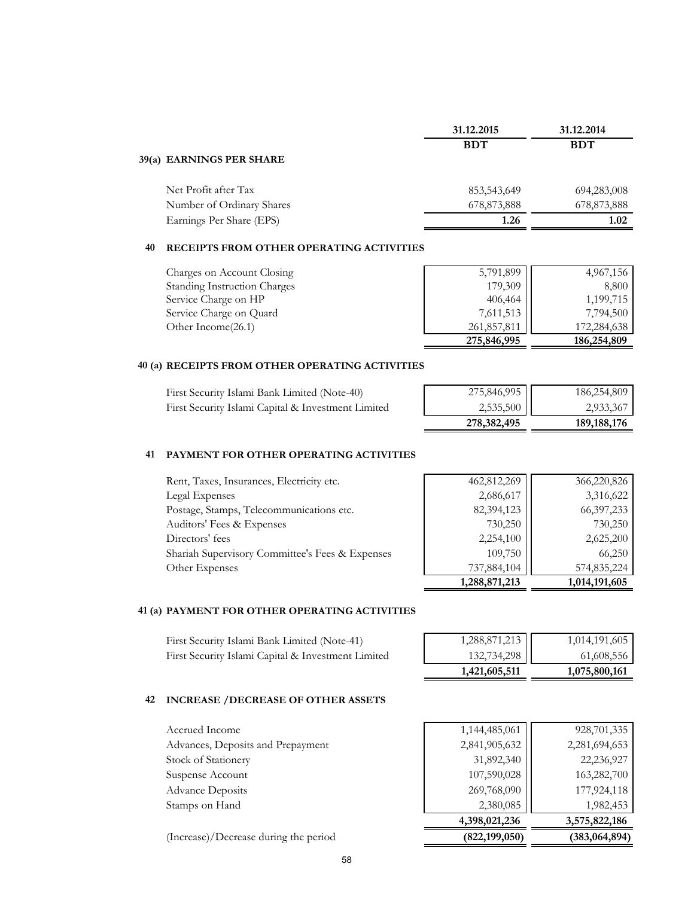| 31.12.2015  | 31.12.2014  |
|-------------|-------------|
| <b>BDT</b>  | <b>BDT</b>  |
|             |             |
| 853,543,649 | 694,283,008 |
| 678,873,888 | 678,873,888 |
| 1.26        | 1.02        |
|             |             |

#### **40 RECEIPTS FROM OTHER OPERATING ACTIVITIES**

| Charges on Account Closing          | 5,791,899   | 4,967,156   |
|-------------------------------------|-------------|-------------|
| <b>Standing Instruction Charges</b> | 179,309     | 8,800       |
| Service Charge on HP                | 406,464     | 1,199,715   |
| Service Charge on Quard             | 7,611,513   | 7,794,500   |
| Other Income(26.1)                  | 261,857,811 | 172,284,638 |
|                                     | 275,846,995 | 186,254,809 |

#### **40 (a) RECEIPTS FROM OTHER OPERATING ACTIVITIES**

| First Security Islami Bank Limited (Note-40)       | 275,846,995 | 186,254,809   |
|----------------------------------------------------|-------------|---------------|
| First Security Islami Capital & Investment Limited | $2,535,500$ | 2,933,367     |
|                                                    | 278,382,495 | 189, 188, 176 |

# **41 PAYMENT FOR OTHER OPERATING ACTIVITIES**

|                                                 | 1,288,871,213 | 1,014,191,605 |
|-------------------------------------------------|---------------|---------------|
| Other Expenses                                  | 737,884,104   | 574,835,224   |
| Shariah Supervisory Committee's Fees & Expenses | 109,750       | 66,250        |
| Directors' fees                                 | 2,254,100     | 2,625,200     |
| Auditors' Fees & Expenses                       | 730,250       | 730,250       |
| Postage, Stamps, Telecommunications etc.        | 82,394,123    | 66,397,233    |
| Legal Expenses                                  | 2,686,617     | 3,316,622     |
| Rent, Taxes, Insurances, Electricity etc.       | 462,812,269   | 366,220,826   |

# **41 (a) PAYMENT FOR OTHER OPERATING ACTIVITIES**

First Security Islami Bank Limited (Note-41) First Security Islami Capital & Investment Limited

|                                                                              | 1,014,191,605 |
|------------------------------------------------------------------------------|---------------|
| $\begin{array}{ c c }\n 1,288,871,213 \\ \hline\n 132,734,298\n \end{array}$ | 61,608,556    |
| 1,421,605,511                                                                | 1,075,800,161 |

## **42 INCREASE /DECREASE OF OTHER ASSETS**

| 4,398,021,236 | 3,575,822,186 |
|---------------|---------------|
| 2,380,085     | 1,982,453     |
| 269,768,090   | 177,924,118   |
| 107,590,028   | 163,282,700   |
| 31,892,340    | 22,236,927    |
| 2,841,905,632 | 2,281,694,653 |
| 1,144,485,061 | 928,701,335   |
|               |               |

(Increase)/Decrease during the period **(822,199,050) (383,064,894)**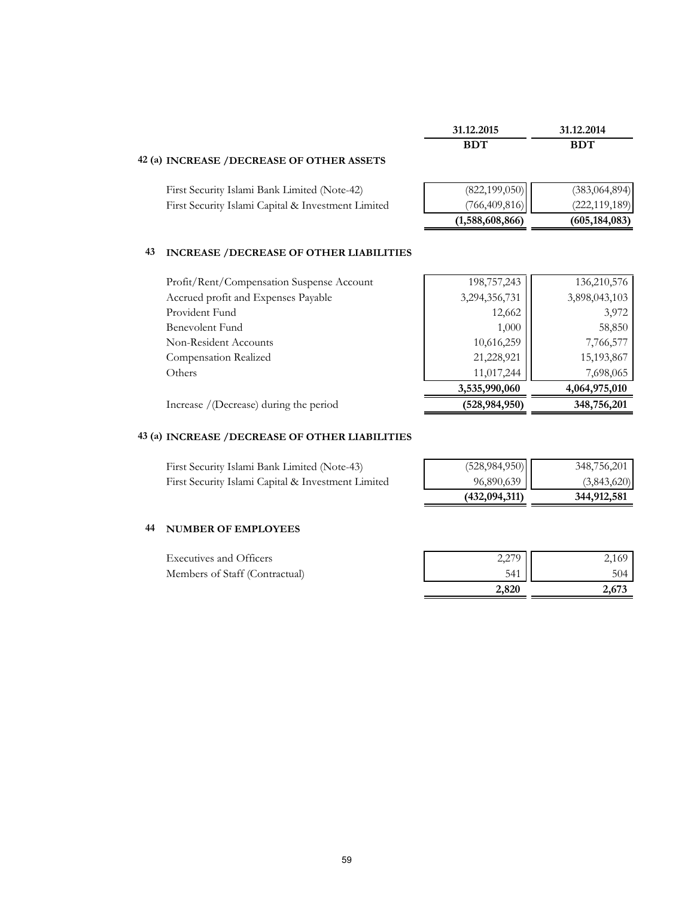|                                                      | 31.12.2015      | 31.12.2014      |
|------------------------------------------------------|-----------------|-----------------|
|                                                      | <b>BDT</b>      | <b>BDT</b>      |
| 42 (a) INCREASE / DECREASE OF OTHER ASSETS           |                 |                 |
| First Security Islami Bank Limited (Note-42)         | (822, 199, 050) | (383, 064, 894) |
| First Security Islami Capital & Investment Limited   | (766, 409, 816) | (222, 119, 189) |
|                                                      | (1,588,608,866) | (605, 184, 083) |
| 43<br><b>INCREASE /DECREASE OF OTHER LIABILITIES</b> |                 |                 |
| Profit/Rent/Compensation Suspense Account            | 198,757,243     | 136, 210, 576   |
| Accrued profit and Expenses Payable                  | 3,294,356,731   | 3,898,043,103   |
| Provident Fund                                       | 12,662          | 3,972           |
| Benevolent Fund                                      | 1,000           | 58,850          |
| Non-Resident Accounts                                | 10,616,259      | 7,766,577       |
| Compensation Realized                                | 21,228,921      | 15,193,867      |
| Others                                               | 11,017,244      | 7,698,065       |
|                                                      | 3,535,990,060   | 4,064,975,010   |

Increase /(Decrease) during the period **(528,984,950) 348,756,201**

# **43 (a) INCREASE /DECREASE OF OTHER LIABILITIES**

| First Security Islami Bank Limited (Note-43)       | (528, 984, 950) | 348,756,201 |
|----------------------------------------------------|-----------------|-------------|
| First Security Islami Capital & Investment Limited | 96,890,639      | (3,843,620) |
|                                                    | (432, 094, 311) | 344,912,581 |

# **44 NUMBER OF EMPLOYEES**

| <b>Executives and Officers</b> | 2.270 | 2,169 |
|--------------------------------|-------|-------|
| Members of Staff (Contractual) | 541   | 504   |
|                                | 2,820 | 2.673 |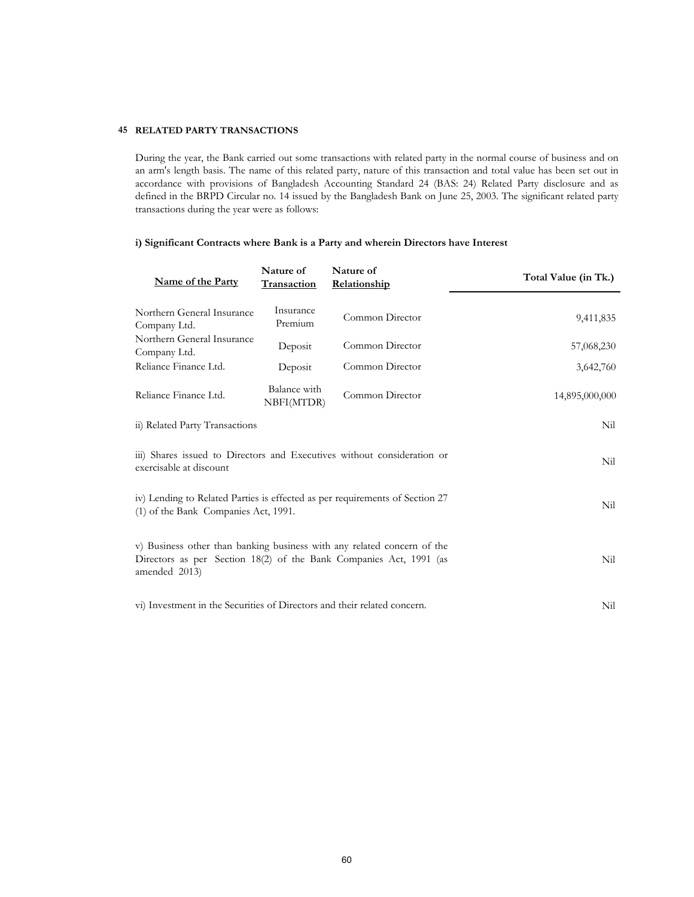#### **45 RELATED PARTY TRANSACTIONS**

During the year, the Bank carried out some transactions with related party in the normal course of business and on an arm's length basis. The name of this related party, nature of this transaction and total value has been set out in accordance with provisions of Bangladesh Accounting Standard 24 (BAS: 24) Related Party disclosure and as defined in the BRPD Circular no. 14 issued by the Bangladesh Bank on June 25, 2003. The significant related party transactions during the year were as follows:

## **i) Significant Contracts where Bank is a Party and wherein Directors have Interest**

| <b>Name of the Party</b>                                                                                                                                       | Nature of<br><b>Transaction</b> | Nature of<br>Relationship | Total Value (in Tk.) |
|----------------------------------------------------------------------------------------------------------------------------------------------------------------|---------------------------------|---------------------------|----------------------|
| Northern General Insurance<br>Company Ltd.                                                                                                                     | Insurance<br>Premium            | Common Director           | 9,411,835            |
| Northern General Insurance<br>Company Ltd.                                                                                                                     | Deposit                         | Common Director           | 57,068,230           |
| Reliance Finance Ltd.                                                                                                                                          | Deposit                         | Common Director           | 3,642,760            |
| Reliance Finance Ltd.                                                                                                                                          | Balance with<br>NBFI(MTDR)      | Common Director           | 14,895,000,000       |
| ii) Related Party Transactions                                                                                                                                 |                                 |                           | Nil                  |
| iii) Shares issued to Directors and Executives without consideration or<br>exercisable at discount                                                             |                                 |                           | Nil                  |
| iv) Lending to Related Parties is effected as per requirements of Section 27<br>(1) of the Bank Companies Act, 1991.                                           |                                 |                           | Nil                  |
| v) Business other than banking business with any related concern of the<br>Directors as per Section 18(2) of the Bank Companies Act, 1991 (as<br>amended 2013) | Nil                             |                           |                      |
| vi) Investment in the Securities of Directors and their related concern.                                                                                       |                                 |                           | Nil                  |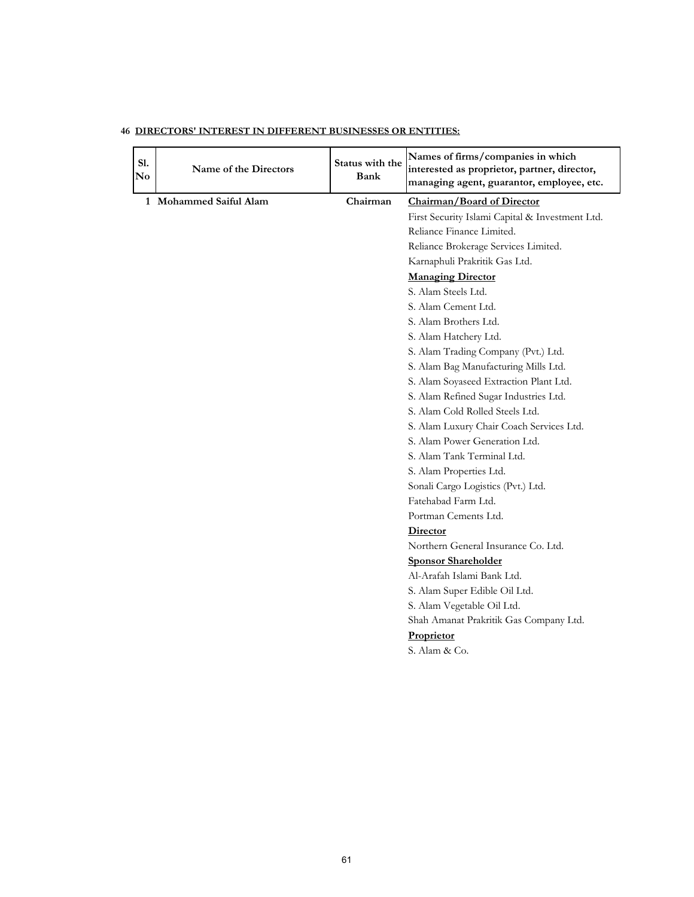| S1.<br>No | Name of the Directors  | Status with the<br>Bank | Names of firms/companies in which<br>interested as proprietor, partner, director,<br>managing agent, guarantor, employee, etc. |
|-----------|------------------------|-------------------------|--------------------------------------------------------------------------------------------------------------------------------|
|           | 1 Mohammed Saiful Alam | Chairman                | Chairman/Board of Director                                                                                                     |
|           |                        |                         | First Security Islami Capital & Investment Ltd.                                                                                |
|           |                        |                         | Reliance Finance Limited.                                                                                                      |
|           |                        |                         | Reliance Brokerage Services Limited.                                                                                           |
|           |                        |                         | Karnaphuli Prakritik Gas Ltd.                                                                                                  |
|           |                        |                         | <b>Managing Director</b>                                                                                                       |
|           |                        |                         | S. Alam Steels Ltd.                                                                                                            |
|           |                        |                         | S. Alam Cement Ltd.                                                                                                            |
|           |                        |                         | S. Alam Brothers Ltd.                                                                                                          |
|           |                        |                         | S. Alam Hatchery Ltd.                                                                                                          |
|           |                        |                         | S. Alam Trading Company (Pvt.) Ltd.                                                                                            |
|           |                        |                         | S. Alam Bag Manufacturing Mills Ltd.                                                                                           |
|           |                        |                         | S. Alam Soyaseed Extraction Plant Ltd.                                                                                         |
|           |                        |                         | S. Alam Refined Sugar Industries Ltd.                                                                                          |
|           |                        |                         | S. Alam Cold Rolled Steels Ltd.                                                                                                |
|           |                        |                         | S. Alam Luxury Chair Coach Services Ltd.                                                                                       |
|           |                        |                         | S. Alam Power Generation Ltd.                                                                                                  |
|           |                        |                         | S. Alam Tank Terminal Ltd.                                                                                                     |
|           |                        |                         | S. Alam Properties Ltd.                                                                                                        |
|           |                        |                         | Sonali Cargo Logistics (Pvt.) Ltd.                                                                                             |
|           |                        |                         | Fatehabad Farm Ltd.                                                                                                            |
|           |                        |                         | Portman Cements Ltd.                                                                                                           |
|           |                        |                         | Director                                                                                                                       |
|           |                        |                         | Northern General Insurance Co. Ltd.                                                                                            |
|           |                        |                         | <b>Sponsor Shareholder</b>                                                                                                     |
|           |                        |                         | Al-Arafah Islami Bank Ltd.                                                                                                     |
|           |                        |                         | S. Alam Super Edible Oil Ltd.                                                                                                  |
|           |                        |                         | S. Alam Vegetable Oil Ltd.                                                                                                     |
|           |                        |                         | Shah Amanat Prakritik Gas Company Ltd.                                                                                         |
|           |                        |                         | Proprietor                                                                                                                     |
|           |                        |                         | S. Alam & Co.                                                                                                                  |

# **46 DIRECTORS' INTEREST IN DIFFERENT BUSINESSES OR ENTITIES:**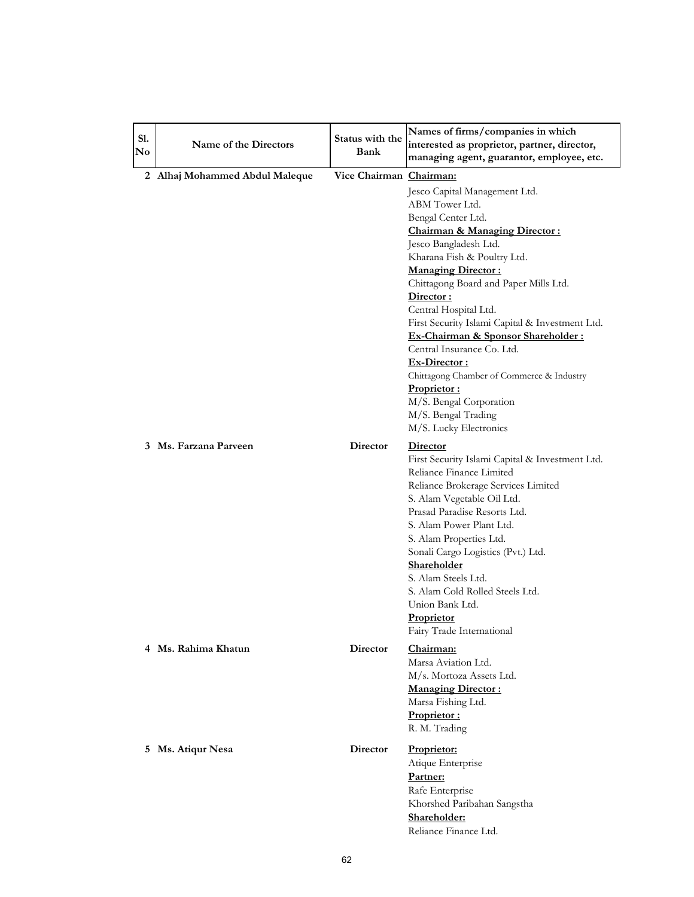| S1.<br>$\mathbf{N}\mathbf{o}$ | Name of the Directors          | Status with the<br>Bank | Names of firms/companies in which<br>interested as proprietor, partner, director,<br>managing agent, guarantor, employee, etc.                                                                                                                                                                                                                                                                                                                                                                                                              |
|-------------------------------|--------------------------------|-------------------------|---------------------------------------------------------------------------------------------------------------------------------------------------------------------------------------------------------------------------------------------------------------------------------------------------------------------------------------------------------------------------------------------------------------------------------------------------------------------------------------------------------------------------------------------|
|                               | 2 Alhaj Mohammed Abdul Maleque | Vice Chairman Chairman: | Jesco Capital Management Ltd.<br>ABM Tower Ltd.<br>Bengal Center Ltd.<br><b>Chairman &amp; Managing Director:</b><br>Jesco Bangladesh Ltd.<br>Kharana Fish & Poultry Ltd.<br><b>Managing Director:</b><br>Chittagong Board and Paper Mills Ltd.<br>Director:<br>Central Hospital Ltd.<br>First Security Islami Capital & Investment Ltd.<br>Ex-Chairman & Sponsor Shareholder :<br>Central Insurance Co. Ltd.<br>Ex-Director:<br>Chittagong Chamber of Commerce & Industry<br>Proprietor:<br>M/S. Bengal Corporation<br>M/S. Bengal Trading |
|                               | 3 Ms. Farzana Parveen          | Director                | M/S. Lucky Electronics<br><b>Director</b><br>First Security Islami Capital & Investment Ltd.<br>Reliance Finance Limited<br>Reliance Brokerage Services Limited<br>S. Alam Vegetable Oil Ltd.<br>Prasad Paradise Resorts Ltd.<br>S. Alam Power Plant Ltd.<br>S. Alam Properties Ltd.<br>Sonali Cargo Logistics (Pvt.) Ltd.<br>Shareholder<br>S. Alam Steels Ltd.<br>S. Alam Cold Rolled Steels Ltd.<br>Union Bank Ltd.<br><b>Proprietor</b><br>Fairy Trade International                                                                    |
|                               | 4 Ms. Rahima Khatun            | Director                | <u> Chairman:</u><br>Marsa Aviation Ltd.<br>M/s. Mortoza Assets Ltd.<br><b>Managing Director:</b><br>Marsa Fishing Ltd.<br>Proprietor:<br>R. M. Trading                                                                                                                                                                                                                                                                                                                                                                                     |
|                               | 5 Ms. Atiqur Nesa              | Director                | Proprietor:<br>Atique Enterprise<br>Partner:<br>Rafe Enterprise<br>Khorshed Paribahan Sangstha<br>Shareholder:<br>Reliance Finance Ltd.                                                                                                                                                                                                                                                                                                                                                                                                     |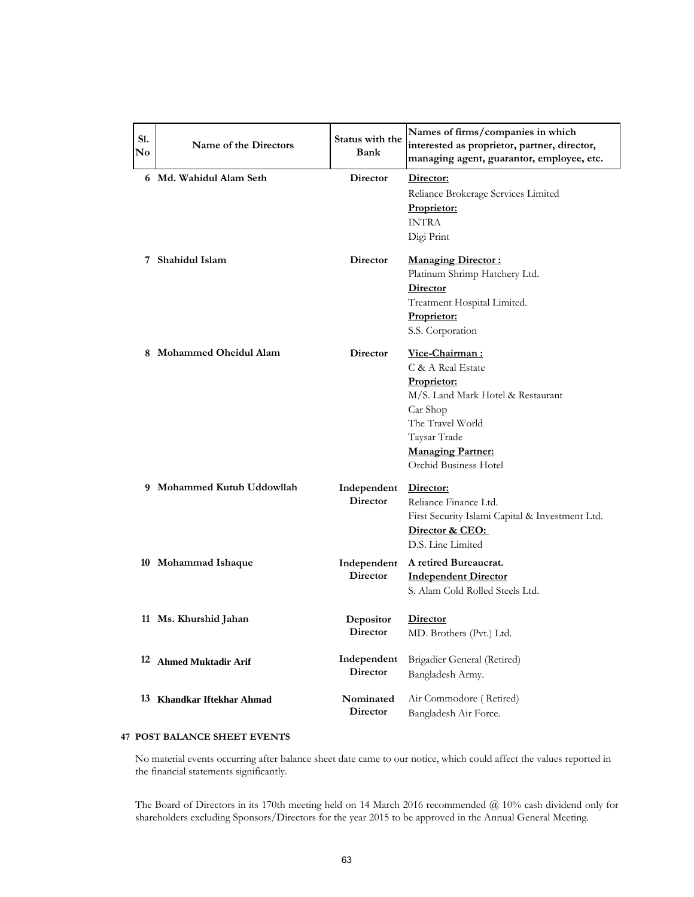| S1.<br>No | Name of the Directors      | Status with the<br>Bank        | Names of firms/companies in which<br>interested as proprietor, partner, director,<br>managing agent, guarantor, employee, etc.                                                               |
|-----------|----------------------------|--------------------------------|----------------------------------------------------------------------------------------------------------------------------------------------------------------------------------------------|
|           | 6 Md. Wahidul Alam Seth    | Director                       | Director:<br>Reliance Brokerage Services Limited<br>Proprietor:<br><b>INTRA</b><br>Digi Print                                                                                                |
|           | 7 Shahidul Islam           | Director                       | <b>Managing Director:</b><br>Platinum Shrimp Hatchery Ltd.<br>Director<br>Treatment Hospital Limited.<br>Proprietor:<br>S.S. Corporation                                                     |
|           | 8 Mohammed Oheidul Alam    | <b>Director</b>                | Vice-Chairman:<br>C & A Real Estate<br>Proprietor:<br>M/S. Land Mark Hotel & Restaurant<br>Car Shop<br>The Travel World<br>Taysar Trade<br><b>Managing Partner:</b><br>Orchid Business Hotel |
|           | 9 Mohammed Kutub Uddowllah | Independent<br><b>Director</b> | Director:<br>Reliance Finance Ltd.<br>First Security Islami Capital & Investment Ltd.<br>Director & CEO:<br>D.S. Line Limited                                                                |
|           | 10 Mohammad Ishaque        | Independent<br><b>Director</b> | A retired Bureaucrat.<br><b>Independent Director</b><br>S. Alam Cold Rolled Steels Ltd.                                                                                                      |
|           | 11 Ms. Khurshid Jahan      | Depositor<br>Director          | <b>Director</b><br>MD. Brothers (Pvt.) Ltd.                                                                                                                                                  |
|           | 12 Ahmed Muktadir Arif     | Independent<br>Director        | Brigadier General (Retired)<br>Bangladesh Army.                                                                                                                                              |
|           | 13 Khandkar Iftekhar Ahmad | Nominated<br>Director          | Air Commodore (Retired)<br>Bangladesh Air Force.                                                                                                                                             |

# **47 POST BALANCE SHEET EVENTS**

No material events occurring after balance sheet date came to our notice, which could affect the values reported in the financial statements significantly.

The Board of Directors in its 170th meeting held on 14 March 2016 recommended @ 10% cash dividend only for shareholders excluding Sponsors/Directors for the year 2015 to be approved in the Annual General Meeting.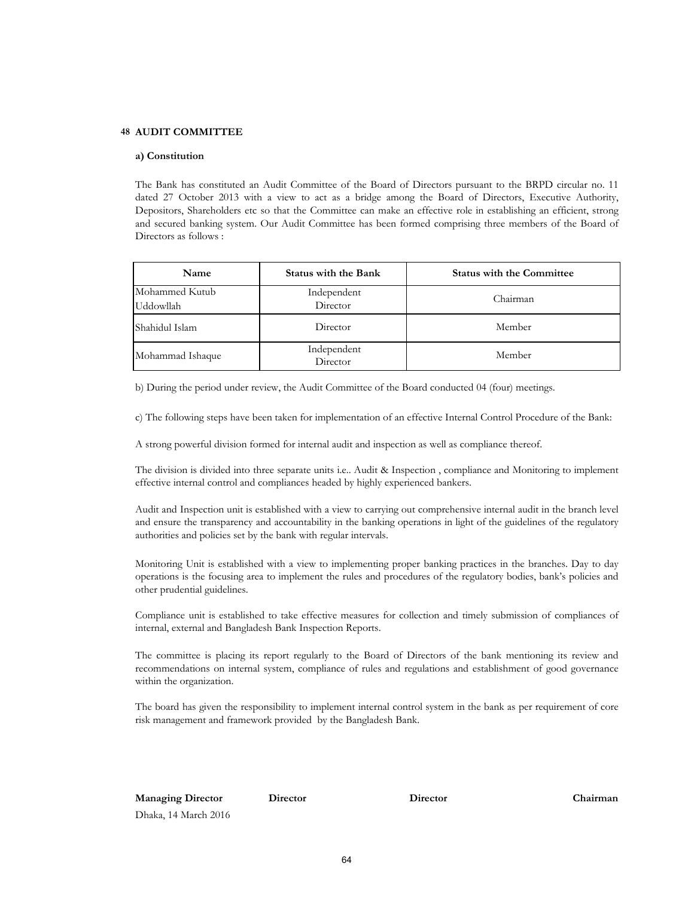#### **48 AUDIT COMMITTEE**

#### **a) Constitution**

The Bank has constituted an Audit Committee of the Board of Directors pursuant to the BRPD circular no. 11 dated 27 October 2013 with a view to act as a bridge among the Board of Directors, Executive Authority, Depositors, Shareholders etc so that the Committee can make an effective role in establishing an efficient, strong and secured banking system. Our Audit Committee has been formed comprising three members of the Board of Directors as follows :

| Name                        | <b>Status with the Bank</b> | <b>Status with the Committee</b> |  |  |
|-----------------------------|-----------------------------|----------------------------------|--|--|
| Mohammed Kutub<br>Uddowllah | Independent<br>Director     | Chairman                         |  |  |
| Shahidul Islam              | Director                    | Member                           |  |  |
| Mohammad Ishaque            | Independent<br>Director     | Member                           |  |  |

b) During the period under review, the Audit Committee of the Board conducted 04 (four) meetings.

c) The following steps have been taken for implementation of an effective Internal Control Procedure of the Bank:

A strong powerful division formed for internal audit and inspection as well as compliance thereof.

The division is divided into three separate units i.e.. Audit & Inspection , compliance and Monitoring to implement effective internal control and compliances headed by highly experienced bankers.

Audit and Inspection unit is established with a view to carrying out comprehensive internal audit in the branch level and ensure the transparency and accountability in the banking operations in light of the guidelines of the regulatory authorities and policies set by the bank with regular intervals.

Monitoring Unit is established with a view to implementing proper banking practices in the branches. Day to day operations is the focusing area to implement the rules and procedures of the regulatory bodies, bank's policies and other prudential guidelines.

Compliance unit is established to take effective measures for collection and timely submission of compliances of internal, external and Bangladesh Bank Inspection Reports.

The committee is placing its report regularly to the Board of Directors of the bank mentioning its review and recommendations on internal system, compliance of rules and regulations and establishment of good governance within the organization.

The board has given the responsibility to implement internal control system in the bank as per requirement of core risk management and framework provided by the Bangladesh Bank.

**Managing Director Director Chairman** Dhaka, 14 March 2016

**Director**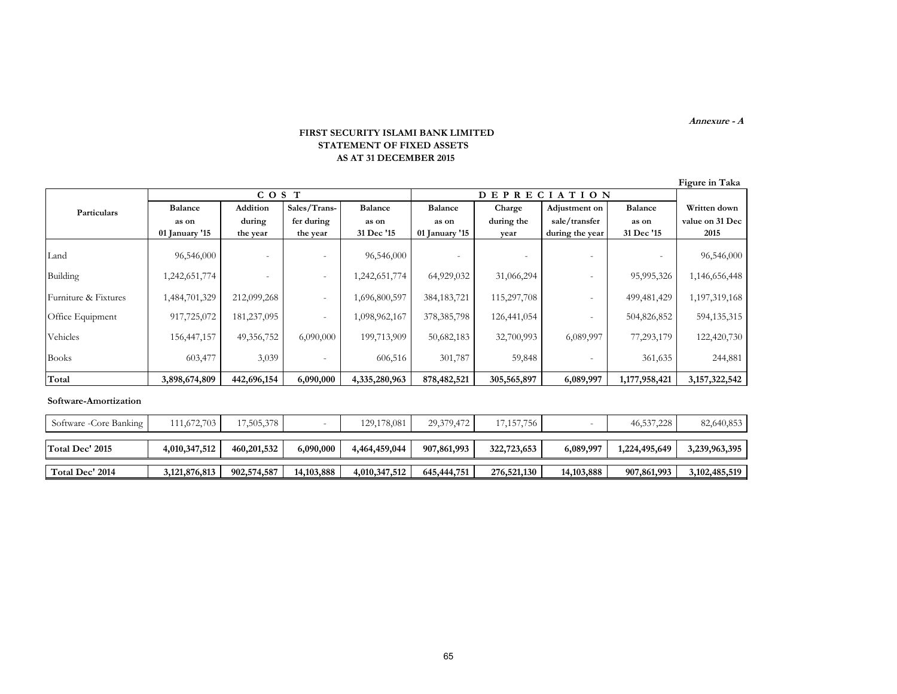**Annexure - A**

#### **FIRST SECURITY ISLAMI BANK LIMITED STATEMENT OF FIXED ASSETS AS AT 31 DECEMBER 2015**

|                      |                |                          |                          |                |                  |             |                          |                | Figure in Taka   |
|----------------------|----------------|--------------------------|--------------------------|----------------|------------------|-------------|--------------------------|----------------|------------------|
|                      | COS T          |                          |                          |                | DEPRECI<br>ATION |             |                          |                |                  |
| <b>Particulars</b>   | <b>Balance</b> | Addition                 | Sales/Trans-             | <b>Balance</b> | <b>Balance</b>   | Charge      | Adjustment on            | <b>Balance</b> | Written down     |
|                      | as on          | during                   | fer during               | as on          | as on            | during the  | sale/transfer            | as on          | value on 31 Dec  |
|                      | 01 January '15 | the year                 | the year                 | 31 Dec '15     | 01 January '15   | year        | during the year          | 31 Dec '15     | 2015             |
| Land                 | 96,546,000     | $\overline{\phantom{a}}$ |                          | 96,546,000     |                  |             |                          |                | 96,546,000       |
| Building             | 1,242,651,774  |                          |                          | 1,242,651,774  | 64,929,032       | 31,066,294  |                          | 95,995,326     | 1,146,656,448    |
| Furniture & Fixtures | 1,484,701,329  | 212,099,268              | $\overline{\phantom{a}}$ | 1,696,800,597  | 384, 183, 721    | 115,297,708 |                          | 499,481,429    | 1,197,319,168    |
| Office Equipment     | 917,725,072    | 181,237,095              | $\sim$                   | 1,098,962,167  | 378, 385, 798    | 126,441,054 | $\overline{\phantom{a}}$ | 504,826,852    | 594,135,315      |
| Vehicles             | 156,447,157    | 49,356,752               | 6,090,000                | 199,713,909    | 50,682,183       | 32,700,993  | 6,089,997                | 77,293,179     | 122,420,730      |
| <b>Books</b>         | 603,477        | 3,039                    |                          | 606,516        | 301,787          | 59,848      |                          | 361,635        | 244,881          |
| Total                | 3,898,674,809  | 442,696,154              | 6,090,000                | 4,335,280,963  | 878,482,521      | 305,565,897 | 6,089,997                | 1,177,958,421  | 3, 157, 322, 542 |

#### **Software-Amortization**

| Software -Core Banking | $111,672,703$    | 17,505,378  |              | 129, 178, 081 | 29,379,472    | 17,157,756  |              | 46,537,228    | 82,640,853       |
|------------------------|------------------|-------------|--------------|---------------|---------------|-------------|--------------|---------------|------------------|
| Total Dec' 2015        | 4,010,347,512    | 460,201,532 | 6,090,000    | 4,464,459,044 | 907,861,993   | 322,723,653 | 6,089,997    | 1,224,495,649 | 3,239,963,395    |
| Total Dec' 2014        | 3, 121, 876, 813 | 902,574,587 | 14, 103, 888 | 4,010,347,512 | 645, 444, 751 | 276,521,130 | 14, 103, 888 | 907,861,993   | 3, 102, 485, 519 |